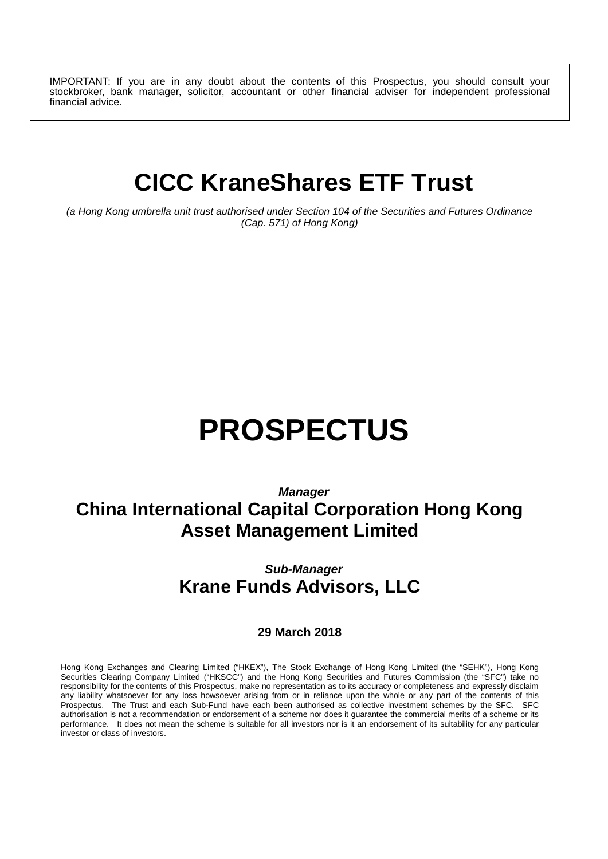IMPORTANT: If you are in any doubt about the contents of this Prospectus, you should consult your stockbroker, bank manager, solicitor, accountant or other financial adviser for independent professional financial advice.

## **CICC KraneShares ETF Trust**

*(a Hong Kong umbrella unit trust authorised under Section 104 of the Securities and Futures Ordinance (Cap. 571) of Hong Kong)*

# **PROSPECTUS**

## *Manager* **China International Capital Corporation Hong Kong Asset Management Limited**

## *Sub-Manager* **Krane Funds Advisors, LLC**

#### **29 March 2018**

Hong Kong Exchanges and Clearing Limited ("HKEX"), The Stock Exchange of Hong Kong Limited (the "SEHK"), Hong Kong Securities Clearing Company Limited ("HKSCC") and the Hong Kong Securities and Futures Commission (the "SFC") take no responsibility for the contents of this Prospectus, make no representation as to its accuracy or completeness and expressly disclaim any liability whatsoever for any loss howsoever arising from or in reliance upon the whole or any part of the contents of this Prospectus. The Trust and each Sub-Fund have each been authorised as collective investment schemes by the SFC. SFC authorisation is not a recommendation or endorsement of a scheme nor does it guarantee the commercial merits of a scheme or its performance. It does not mean the scheme is suitable for all investors nor is it an endorsement of its suitability for any particular investor or class of investors.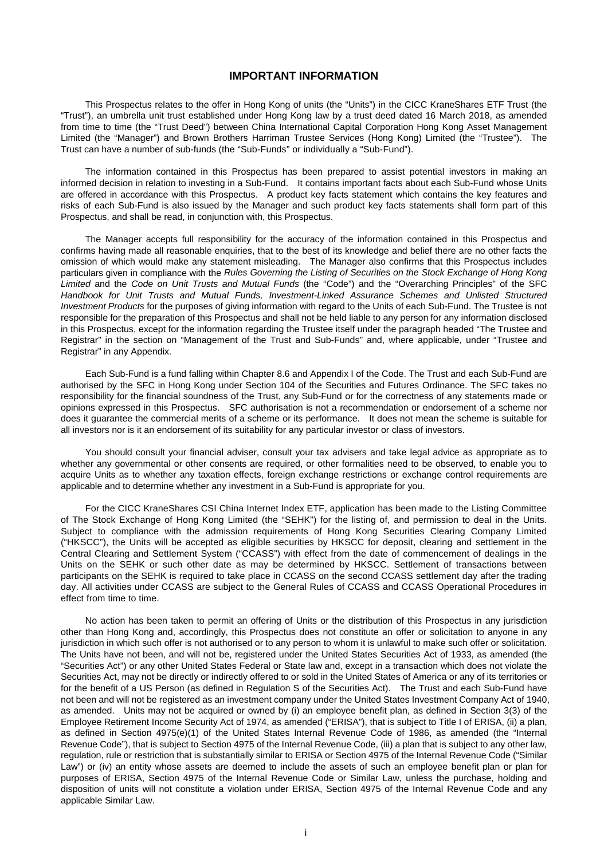#### **IMPORTANT INFORMATION**

This Prospectus relates to the offer in Hong Kong of units (the "Units") in the CICC KraneShares ETF Trust (the "Trust"), an umbrella unit trust established under Hong Kong law by a trust deed dated 16 March 2018, as amended from time to time (the "Trust Deed") between China International Capital Corporation Hong Kong Asset Management Limited (the "Manager") and Brown Brothers Harriman Trustee Services (Hong Kong) Limited (the "Trustee"). The Trust can have a number of sub-funds (the "Sub-Funds" or individually a "Sub-Fund").

The information contained in this Prospectus has been prepared to assist potential investors in making an informed decision in relation to investing in a Sub-Fund. It contains important facts about each Sub-Fund whose Units are offered in accordance with this Prospectus. A product key facts statement which contains the key features and risks of each Sub-Fund is also issued by the Manager and such product key facts statements shall form part of this Prospectus, and shall be read, in conjunction with, this Prospectus.

The Manager accepts full responsibility for the accuracy of the information contained in this Prospectus and confirms having made all reasonable enquiries, that to the best of its knowledge and belief there are no other facts the omission of which would make any statement misleading. The Manager also confirms that this Prospectus includes particulars given in compliance with the *Rules Governing the Listing of Securities on the Stock Exchange of Hong Kong Limited* and the *Code on Unit Trusts and Mutual Funds* (the "Code") and the "Overarching Principles" of the SFC *Handbook for Unit Trusts and Mutual Funds, Investment-Linked Assurance Schemes and Unlisted Structured Investment Products* for the purposes of giving information with regard to the Units of each Sub-Fund. The Trustee is not responsible for the preparation of this Prospectus and shall not be held liable to any person for any information disclosed in this Prospectus, except for the information regarding the Trustee itself under the paragraph headed "The Trustee and Registrar" in the section on "Management of the Trust and Sub-Funds" and, where applicable, under "Trustee and Registrar" in any Appendix.

Each Sub-Fund is a fund falling within Chapter 8.6 and Appendix I of the Code. The Trust and each Sub-Fund are authorised by the SFC in Hong Kong under Section 104 of the Securities and Futures Ordinance. The SFC takes no responsibility for the financial soundness of the Trust, any Sub-Fund or for the correctness of any statements made or opinions expressed in this Prospectus. SFC authorisation is not a recommendation or endorsement of a scheme nor does it guarantee the commercial merits of a scheme or its performance. It does not mean the scheme is suitable for all investors nor is it an endorsement of its suitability for any particular investor or class of investors.

You should consult your financial adviser, consult your tax advisers and take legal advice as appropriate as to whether any governmental or other consents are required, or other formalities need to be observed, to enable you to acquire Units as to whether any taxation effects, foreign exchange restrictions or exchange control requirements are applicable and to determine whether any investment in a Sub-Fund is appropriate for you.

For the CICC KraneShares CSI China Internet Index ETF, application has been made to the Listing Committee of The Stock Exchange of Hong Kong Limited (the "SEHK") for the listing of, and permission to deal in the Units. Subject to compliance with the admission requirements of Hong Kong Securities Clearing Company Limited ("HKSCC"), the Units will be accepted as eligible securities by HKSCC for deposit, clearing and settlement in the Central Clearing and Settlement System ("CCASS") with effect from the date of commencement of dealings in the Units on the SEHK or such other date as may be determined by HKSCC. Settlement of transactions between participants on the SEHK is required to take place in CCASS on the second CCASS settlement day after the trading day. All activities under CCASS are subject to the General Rules of CCASS and CCASS Operational Procedures in effect from time to time.

No action has been taken to permit an offering of Units or the distribution of this Prospectus in any jurisdiction other than Hong Kong and, accordingly, this Prospectus does not constitute an offer or solicitation to anyone in any jurisdiction in which such offer is not authorised or to any person to whom it is unlawful to make such offer or solicitation. The Units have not been, and will not be, registered under the United States Securities Act of 1933, as amended (the "Securities Act") or any other United States Federal or State law and, except in a transaction which does not violate the Securities Act, may not be directly or indirectly offered to or sold in the United States of America or any of its territories or for the benefit of a US Person (as defined in Regulation S of the Securities Act). The Trust and each Sub-Fund have not been and will not be registered as an investment company under the United States Investment Company Act of 1940, as amended. Units may not be acquired or owned by (i) an employee benefit plan, as defined in Section 3(3) of the Employee Retirement Income Security Act of 1974, as amended ("ERISA"), that is subject to Title I of ERISA, (ii) a plan, as defined in Section 4975(e)(1) of the United States Internal Revenue Code of 1986, as amended (the "Internal Revenue Code"), that is subject to Section 4975 of the Internal Revenue Code, (iii) a plan that is subject to any other law, regulation, rule or restriction that is substantially similar to ERISA or Section 4975 of the Internal Revenue Code ("Similar Law") or (iv) an entity whose assets are deemed to include the assets of such an employee benefit plan or plan for purposes of ERISA, Section 4975 of the Internal Revenue Code or Similar Law, unless the purchase, holding and disposition of units will not constitute a violation under ERISA, Section 4975 of the Internal Revenue Code and any applicable Similar Law.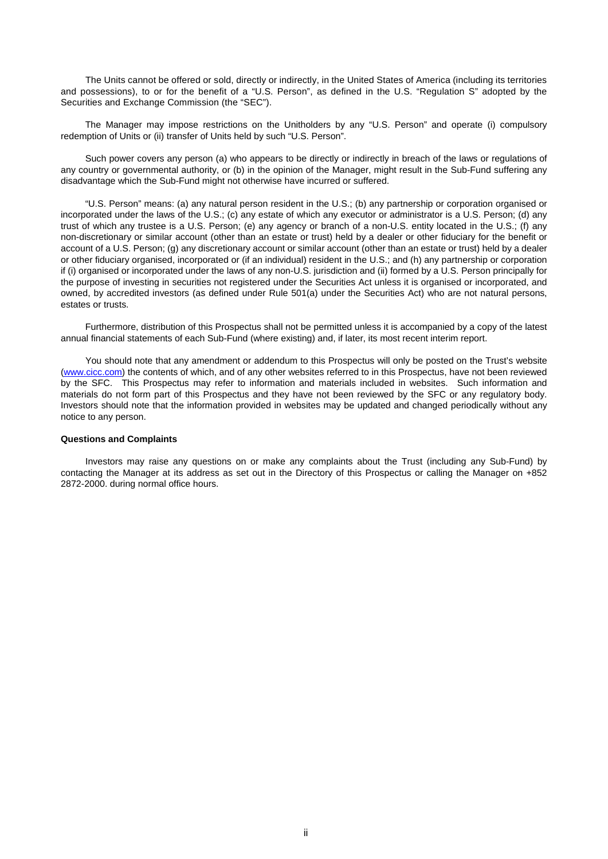The Units cannot be offered or sold, directly or indirectly, in the United States of America (including its territories and possessions), to or for the benefit of a "U.S. Person", as defined in the U.S. "Regulation S" adopted by the Securities and Exchange Commission (the "SEC").

The Manager may impose restrictions on the Unitholders by any "U.S. Person" and operate (i) compulsory redemption of Units or (ii) transfer of Units held by such "U.S. Person".

Such power covers any person (a) who appears to be directly or indirectly in breach of the laws or regulations of any country or governmental authority, or (b) in the opinion of the Manager, might result in the Sub-Fund suffering any disadvantage which the Sub-Fund might not otherwise have incurred or suffered.

"U.S. Person" means: (a) any natural person resident in the U.S.; (b) any partnership or corporation organised or incorporated under the laws of the U.S.; (c) any estate of which any executor or administrator is a U.S. Person; (d) any trust of which any trustee is a U.S. Person; (e) any agency or branch of a non-U.S. entity located in the U.S.; (f) any non-discretionary or similar account (other than an estate or trust) held by a dealer or other fiduciary for the benefit or account of a U.S. Person; (g) any discretionary account or similar account (other than an estate or trust) held by a dealer or other fiduciary organised, incorporated or (if an individual) resident in the U.S.; and (h) any partnership or corporation if (i) organised or incorporated under the laws of any non-U.S. jurisdiction and (ii) formed by a U.S. Person principally for the purpose of investing in securities not registered under the Securities Act unless it is organised or incorporated, and owned, by accredited investors (as defined under Rule 501(a) under the Securities Act) who are not natural persons, estates or trusts.

Furthermore, distribution of this Prospectus shall not be permitted unless it is accompanied by a copy of the latest annual financial statements of each Sub-Fund (where existing) and, if later, its most recent interim report.

You should note that any amendment or addendum to this Prospectus will only be posted on the Trust's website (www.cicc.com) the contents of which, and of any other websites referred to in this Prospectus, have not been reviewed by the SFC. This Prospectus may refer to information and materials included in websites. Such information and materials do not form part of this Prospectus and they have not been reviewed by the SFC or any regulatory body. Investors should note that the information provided in websites may be updated and changed periodically without any notice to any person.

#### **Questions and Complaints**

Investors may raise any questions on or make any complaints about the Trust (including any Sub-Fund) by contacting the Manager at its address as set out in the Directory of this Prospectus or calling the Manager on +852 2872-2000. during normal office hours.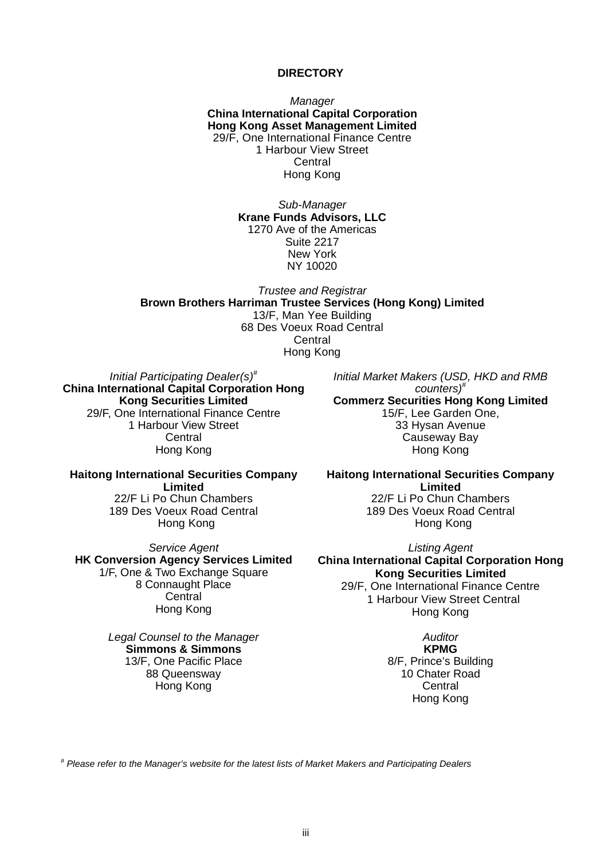#### **DIRECTORY**

*Manager*  **China International Capital Corporation Hong Kong Asset Management Limited** 29/F, One International Finance Centre 1 Harbour View Street **Central** Hong Kong

> *Sub-Manager* **Krane Funds Advisors, LLC** 1270 Ave of the Americas Suite 2217 New York NY 10020

*Trustee and Registrar* **Brown Brothers Harriman Trustee Services (Hong Kong) Limited** 13/F, Man Yee Building 68 Des Voeux Road Central **Central** Hong Kong

*Initial Participating Dealer(s) #* **China International Capital Corporation Hong Kong Securities Limited** 29/F, One International Finance Centre 1 Harbour View Street **Central** Hong Kong

*Initial Market Makers (USD, HKD and RMB counters)#* **Commerz Securities Hong Kong Limited** 15/F, Lee Garden One, 33 Hysan Avenue Causeway Bay Hong Kong

**Haitong International Securities Company Limited** 22/F Li Po Chun Chambers 189 Des Voeux Road Central Hong Kong

*Service Agent* **HK Conversion Agency Services Limited** 1/F, One & Two Exchange Square 8 Connaught Place **Central** Hong Kong

> *Legal Counsel to the Manager* **Simmons & Simmons** 13/F, One Pacific Place 88 Queensway Hong Kong

**Haitong International Securities Company Limited** 22/F Li Po Chun Chambers 189 Des Voeux Road Central Hong Kong

*Listing Agent* **China International Capital Corporation Hong Kong Securities Limited** 29/F, One International Finance Centre 1 Harbour View Street Central Hong Kong

> *Auditor* **KPMG** 8/F, Prince's Building 10 Chater Road **Central** Hong Kong

*# Please refer to the Manager's website for the latest lists of Market Makers and Participating Dealers*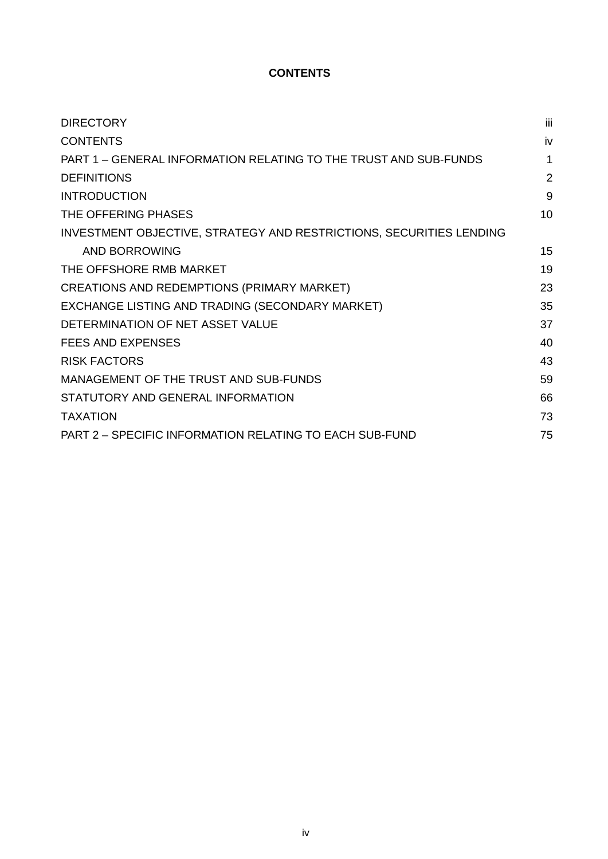## **CONTENTS**

| <b>DIRECTORY</b>                                                    | iii            |
|---------------------------------------------------------------------|----------------|
| <b>CONTENTS</b>                                                     | iv             |
| PART 1 - GENERAL INFORMATION RELATING TO THE TRUST AND SUB-FUNDS    | 1              |
| <b>DEFINITIONS</b>                                                  | $\overline{2}$ |
| <b>INTRODUCTION</b>                                                 | 9              |
| THE OFFERING PHASES                                                 | 10             |
| INVESTMENT OBJECTIVE, STRATEGY AND RESTRICTIONS, SECURITIES LENDING |                |
| AND BORROWING                                                       | 15             |
| THE OFFSHORE RMB MARKET                                             | 19             |
| CREATIONS AND REDEMPTIONS (PRIMARY MARKET)                          | 23             |
| EXCHANGE LISTING AND TRADING (SECONDARY MARKET)                     | 35             |
| DETERMINATION OF NET ASSET VALUE                                    | 37             |
| <b>FEES AND EXPENSES</b>                                            | 40             |
| <b>RISK FACTORS</b>                                                 | 43             |
| MANAGEMENT OF THE TRUST AND SUB-FUNDS                               | 59             |
| STATUTORY AND GENERAL INFORMATION                                   | 66             |
| <b>TAXATION</b>                                                     | 73             |
| PART 2 - SPECIFIC INFORMATION RELATING TO EACH SUB-FUND             | 75             |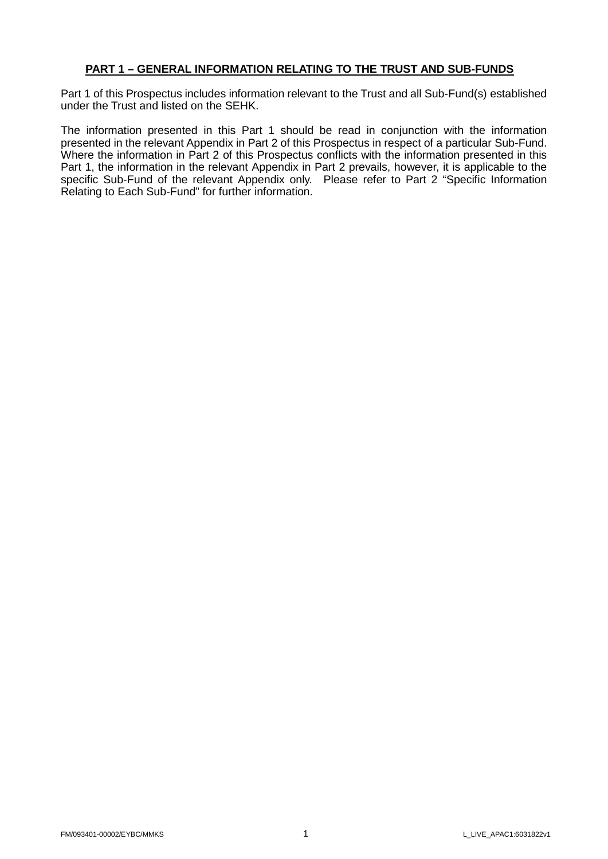#### **PART 1 – GENERAL INFORMATION RELATING TO THE TRUST AND SUB-FUNDS**

Part 1 of this Prospectus includes information relevant to the Trust and all Sub-Fund(s) established under the Trust and listed on the SEHK.

The information presented in this Part 1 should be read in conjunction with the information presented in the relevant Appendix in Part 2 of this Prospectus in respect of a particular Sub-Fund. Where the information in Part 2 of this Prospectus conflicts with the information presented in this Part 1, the information in the relevant Appendix in Part 2 prevails, however, it is applicable to the specific Sub-Fund of the relevant Appendix only. Please refer to Part 2 "Specific Information Relating to Each Sub-Fund" for further information.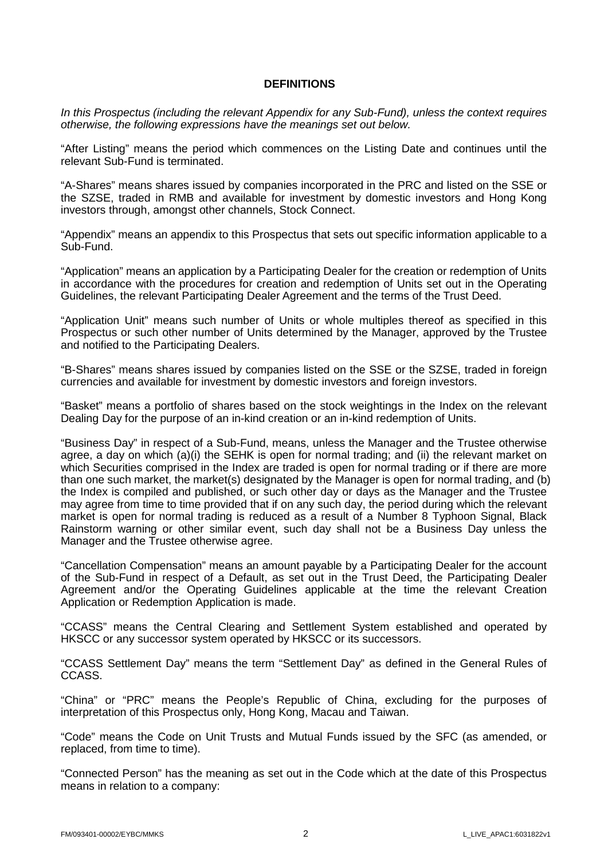#### **DEFINITIONS**

*In this Prospectus (including the relevant Appendix for any Sub-Fund), unless the context requires otherwise, the following expressions have the meanings set out below.*

"After Listing" means the period which commences on the Listing Date and continues until the relevant Sub-Fund is terminated.

"A-Shares" means shares issued by companies incorporated in the PRC and listed on the SSE or the SZSE, traded in RMB and available for investment by domestic investors and Hong Kong investors through, amongst other channels, Stock Connect.

"Appendix" means an appendix to this Prospectus that sets out specific information applicable to a Sub-Fund.

"Application" means an application by a Participating Dealer for the creation or redemption of Units in accordance with the procedures for creation and redemption of Units set out in the Operating Guidelines, the relevant Participating Dealer Agreement and the terms of the Trust Deed.

"Application Unit" means such number of Units or whole multiples thereof as specified in this Prospectus or such other number of Units determined by the Manager, approved by the Trustee and notified to the Participating Dealers.

"B-Shares" means shares issued by companies listed on the SSE or the SZSE, traded in foreign currencies and available for investment by domestic investors and foreign investors.

"Basket" means a portfolio of shares based on the stock weightings in the Index on the relevant Dealing Day for the purpose of an in-kind creation or an in-kind redemption of Units.

"Business Day" in respect of a Sub-Fund, means, unless the Manager and the Trustee otherwise agree, a day on which (a)(i) the SEHK is open for normal trading; and (ii) the relevant market on which Securities comprised in the Index are traded is open for normal trading or if there are more than one such market, the market(s) designated by the Manager is open for normal trading, and (b) the Index is compiled and published, or such other day or days as the Manager and the Trustee may agree from time to time provided that if on any such day, the period during which the relevant market is open for normal trading is reduced as a result of a Number 8 Typhoon Signal, Black Rainstorm warning or other similar event, such day shall not be a Business Day unless the Manager and the Trustee otherwise agree.

"Cancellation Compensation" means an amount payable by a Participating Dealer for the account of the Sub-Fund in respect of a Default, as set out in the Trust Deed, the Participating Dealer Agreement and/or the Operating Guidelines applicable at the time the relevant Creation Application or Redemption Application is made.

"CCASS" means the Central Clearing and Settlement System established and operated by HKSCC or any successor system operated by HKSCC or its successors.

"CCASS Settlement Day" means the term "Settlement Day" as defined in the General Rules of CCASS.

"China" or "PRC" means the People's Republic of China, excluding for the purposes of interpretation of this Prospectus only, Hong Kong, Macau and Taiwan.

"Code" means the Code on Unit Trusts and Mutual Funds issued by the SFC (as amended, or replaced, from time to time).

"Connected Person" has the meaning as set out in the Code which at the date of this Prospectus means in relation to a company: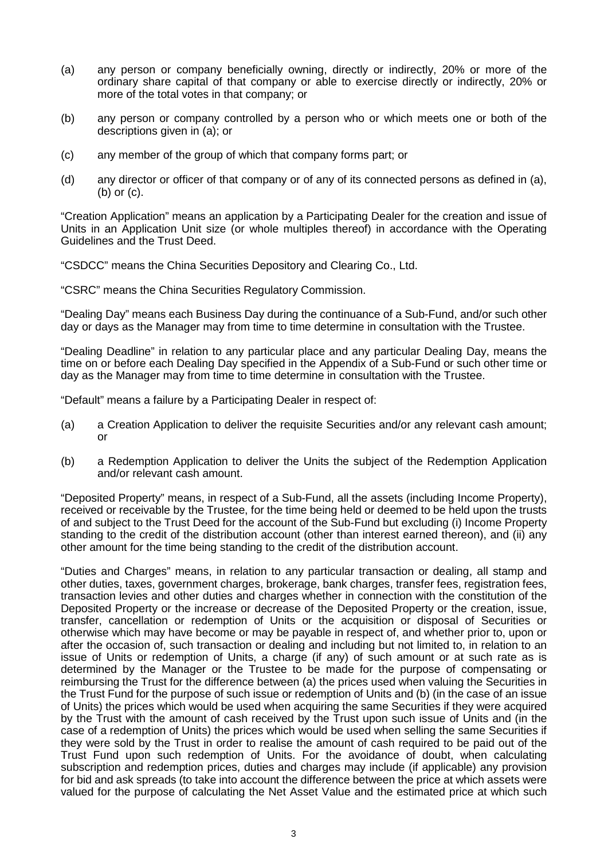- (a) any person or company beneficially owning, directly or indirectly, 20% or more of the ordinary share capital of that company or able to exercise directly or indirectly, 20% or more of the total votes in that company; or
- (b) any person or company controlled by a person who or which meets one or both of the descriptions given in (a); or
- (c) any member of the group of which that company forms part; or
- (d) any director or officer of that company or of any of its connected persons as defined in (a), (b) or (c).

"Creation Application" means an application by a Participating Dealer for the creation and issue of Units in an Application Unit size (or whole multiples thereof) in accordance with the Operating Guidelines and the Trust Deed.

"CSDCC" means the China Securities Depository and Clearing Co., Ltd.

"CSRC" means the China Securities Regulatory Commission.

"Dealing Day" means each Business Day during the continuance of a Sub-Fund, and/or such other day or days as the Manager may from time to time determine in consultation with the Trustee.

"Dealing Deadline" in relation to any particular place and any particular Dealing Day, means the time on or before each Dealing Day specified in the Appendix of a Sub-Fund or such other time or day as the Manager may from time to time determine in consultation with the Trustee.

"Default" means a failure by a Participating Dealer in respect of:

- (a) a Creation Application to deliver the requisite Securities and/or any relevant cash amount; or
- (b) a Redemption Application to deliver the Units the subject of the Redemption Application and/or relevant cash amount.

"Deposited Property" means, in respect of a Sub-Fund, all the assets (including Income Property), received or receivable by the Trustee, for the time being held or deemed to be held upon the trusts of and subject to the Trust Deed for the account of the Sub-Fund but excluding (i) Income Property standing to the credit of the distribution account (other than interest earned thereon), and (ii) any other amount for the time being standing to the credit of the distribution account.

"Duties and Charges" means, in relation to any particular transaction or dealing, all stamp and other duties, taxes, government charges, brokerage, bank charges, transfer fees, registration fees, transaction levies and other duties and charges whether in connection with the constitution of the Deposited Property or the increase or decrease of the Deposited Property or the creation, issue, transfer, cancellation or redemption of Units or the acquisition or disposal of Securities or otherwise which may have become or may be payable in respect of, and whether prior to, upon or after the occasion of, such transaction or dealing and including but not limited to, in relation to an issue of Units or redemption of Units, a charge (if any) of such amount or at such rate as is determined by the Manager or the Trustee to be made for the purpose of compensating or reimbursing the Trust for the difference between (a) the prices used when valuing the Securities in the Trust Fund for the purpose of such issue or redemption of Units and (b) (in the case of an issue of Units) the prices which would be used when acquiring the same Securities if they were acquired by the Trust with the amount of cash received by the Trust upon such issue of Units and (in the case of a redemption of Units) the prices which would be used when selling the same Securities if they were sold by the Trust in order to realise the amount of cash required to be paid out of the Trust Fund upon such redemption of Units. For the avoidance of doubt, when calculating subscription and redemption prices, duties and charges may include (if applicable) any provision for bid and ask spreads (to take into account the difference between the price at which assets were valued for the purpose of calculating the Net Asset Value and the estimated price at which such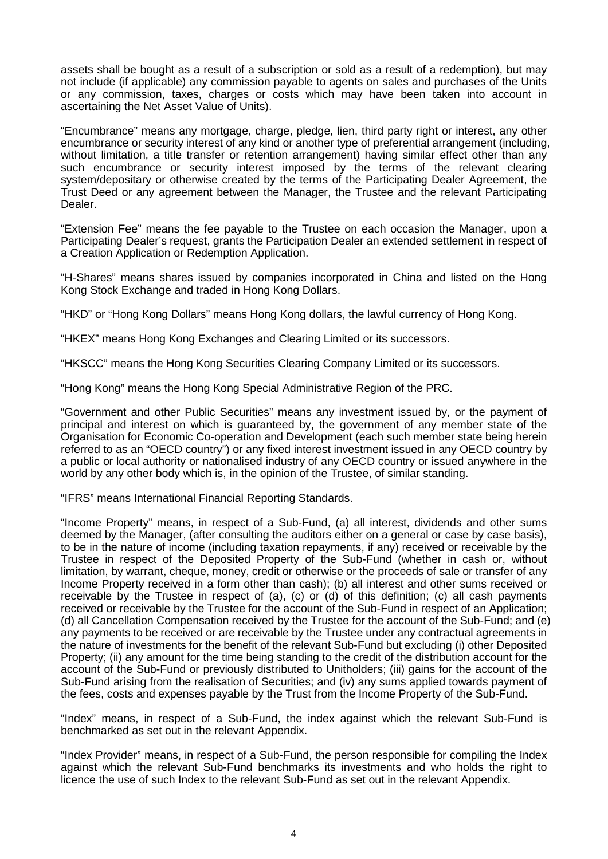assets shall be bought as a result of a subscription or sold as a result of a redemption), but may not include (if applicable) any commission payable to agents on sales and purchases of the Units or any commission, taxes, charges or costs which may have been taken into account in ascertaining the Net Asset Value of Units).

"Encumbrance" means any mortgage, charge, pledge, lien, third party right or interest, any other encumbrance or security interest of any kind or another type of preferential arrangement (including, without limitation, a title transfer or retention arrangement) having similar effect other than any such encumbrance or security interest imposed by the terms of the relevant clearing system/depositary or otherwise created by the terms of the Participating Dealer Agreement, the Trust Deed or any agreement between the Manager, the Trustee and the relevant Participating Dealer.

"Extension Fee" means the fee payable to the Trustee on each occasion the Manager, upon a Participating Dealer's request, grants the Participation Dealer an extended settlement in respect of a Creation Application or Redemption Application.

"H-Shares" means shares issued by companies incorporated in China and listed on the Hong Kong Stock Exchange and traded in Hong Kong Dollars.

"HKD" or "Hong Kong Dollars" means Hong Kong dollars, the lawful currency of Hong Kong.

"HKEX" means Hong Kong Exchanges and Clearing Limited or its successors.

"HKSCC" means the Hong Kong Securities Clearing Company Limited or its successors.

"Hong Kong" means the Hong Kong Special Administrative Region of the PRC.

"Government and other Public Securities" means any investment issued by, or the payment of principal and interest on which is guaranteed by, the government of any member state of the Organisation for Economic Co-operation and Development (each such member state being herein referred to as an "OECD country") or any fixed interest investment issued in any OECD country by a public or local authority or nationalised industry of any OECD country or issued anywhere in the world by any other body which is, in the opinion of the Trustee, of similar standing.

"IFRS" means International Financial Reporting Standards.

"Income Property" means, in respect of a Sub-Fund, (a) all interest, dividends and other sums deemed by the Manager, (after consulting the auditors either on a general or case by case basis), to be in the nature of income (including taxation repayments, if any) received or receivable by the Trustee in respect of the Deposited Property of the Sub-Fund (whether in cash or, without limitation, by warrant, cheque, money, credit or otherwise or the proceeds of sale or transfer of any Income Property received in a form other than cash); (b) all interest and other sums received or receivable by the Trustee in respect of (a), (c) or (d) of this definition; (c) all cash payments received or receivable by the Trustee for the account of the Sub-Fund in respect of an Application; (d) all Cancellation Compensation received by the Trustee for the account of the Sub-Fund; and (e) any payments to be received or are receivable by the Trustee under any contractual agreements in the nature of investments for the benefit of the relevant Sub-Fund but excluding (i) other Deposited Property; (ii) any amount for the time being standing to the credit of the distribution account for the account of the Sub-Fund or previously distributed to Unitholders; (iii) gains for the account of the Sub-Fund arising from the realisation of Securities; and (iv) any sums applied towards payment of the fees, costs and expenses payable by the Trust from the Income Property of the Sub-Fund.

"Index" means, in respect of a Sub-Fund, the index against which the relevant Sub-Fund is benchmarked as set out in the relevant Appendix.

"Index Provider" means, in respect of a Sub-Fund, the person responsible for compiling the Index against which the relevant Sub-Fund benchmarks its investments and who holds the right to licence the use of such Index to the relevant Sub-Fund as set out in the relevant Appendix.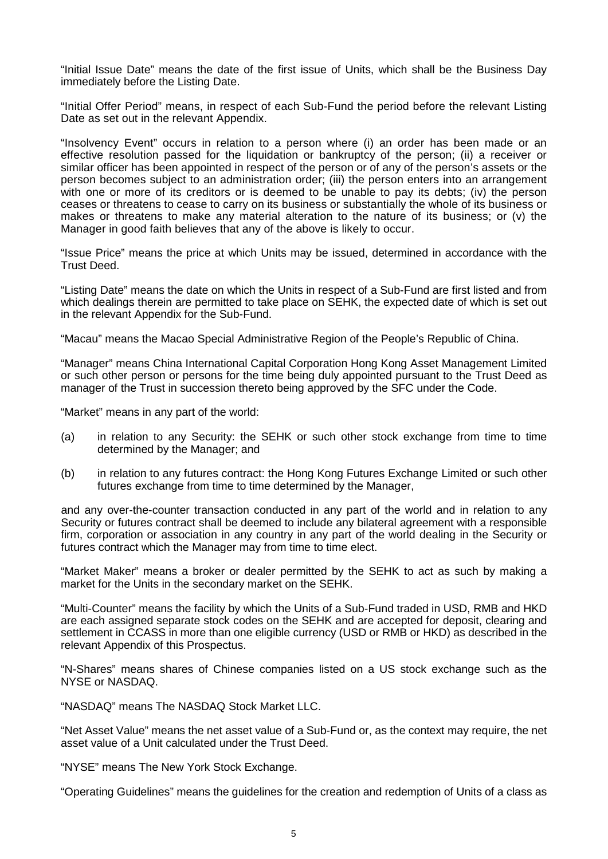"Initial Issue Date" means the date of the first issue of Units, which shall be the Business Day immediately before the Listing Date.

"Initial Offer Period" means, in respect of each Sub-Fund the period before the relevant Listing Date as set out in the relevant Appendix.

"Insolvency Event" occurs in relation to a person where (i) an order has been made or an effective resolution passed for the liquidation or bankruptcy of the person; (ii) a receiver or similar officer has been appointed in respect of the person or of any of the person's assets or the person becomes subject to an administration order; (iii) the person enters into an arrangement with one or more of its creditors or is deemed to be unable to pay its debts; (iv) the person ceases or threatens to cease to carry on its business or substantially the whole of its business or makes or threatens to make any material alteration to the nature of its business; or (v) the Manager in good faith believes that any of the above is likely to occur.

"Issue Price" means the price at which Units may be issued, determined in accordance with the Trust Deed.

"Listing Date" means the date on which the Units in respect of a Sub-Fund are first listed and from which dealings therein are permitted to take place on SEHK, the expected date of which is set out in the relevant Appendix for the Sub-Fund.

"Macau" means the Macao Special Administrative Region of the People's Republic of China.

"Manager" means China International Capital Corporation Hong Kong Asset Management Limited or such other person or persons for the time being duly appointed pursuant to the Trust Deed as manager of the Trust in succession thereto being approved by the SFC under the Code.

"Market" means in any part of the world:

- (a) in relation to any Security: the SEHK or such other stock exchange from time to time determined by the Manager; and
- (b) in relation to any futures contract: the Hong Kong Futures Exchange Limited or such other futures exchange from time to time determined by the Manager.

and any over-the-counter transaction conducted in any part of the world and in relation to any Security or futures contract shall be deemed to include any bilateral agreement with a responsible firm, corporation or association in any country in any part of the world dealing in the Security or futures contract which the Manager may from time to time elect.

"Market Maker" means a broker or dealer permitted by the SEHK to act as such by making a market for the Units in the secondary market on the SEHK.

"Multi-Counter" means the facility by which the Units of a Sub-Fund traded in USD, RMB and HKD are each assigned separate stock codes on the SEHK and are accepted for deposit, clearing and settlement in CCASS in more than one eligible currency (USD or RMB or HKD) as described in the relevant Appendix of this Prospectus.

"N-Shares" means shares of Chinese companies listed on a US stock exchange such as the NYSE or NASDAQ.

"NASDAQ" means The NASDAQ Stock Market LLC.

"Net Asset Value" means the net asset value of a Sub-Fund or, as the context may require, the net asset value of a Unit calculated under the Trust Deed.

"NYSE" means The New York Stock Exchange.

"Operating Guidelines" means the guidelines for the creation and redemption of Units of a class as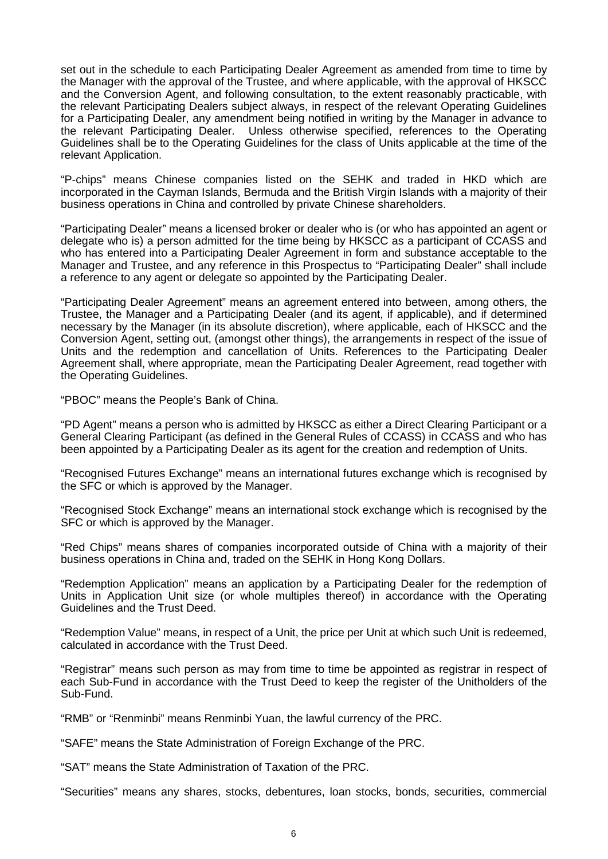set out in the schedule to each Participating Dealer Agreement as amended from time to time by the Manager with the approval of the Trustee, and where applicable, with the approval of HKSCC and the Conversion Agent, and following consultation, to the extent reasonably practicable, with the relevant Participating Dealers subject always, in respect of the relevant Operating Guidelines for a Participating Dealer, any amendment being notified in writing by the Manager in advance to the relevant Participating Dealer. Unless otherwise specified, references to the Operating Guidelines shall be to the Operating Guidelines for the class of Units applicable at the time of the relevant Application.

"P-chips" means Chinese companies listed on the SEHK and traded in HKD which are incorporated in the Cayman Islands, Bermuda and the British Virgin Islands with a majority of their business operations in China and controlled by private Chinese shareholders.

"Participating Dealer" means a licensed broker or dealer who is (or who has appointed an agent or delegate who is) a person admitted for the time being by HKSCC as a participant of CCASS and who has entered into a Participating Dealer Agreement in form and substance acceptable to the Manager and Trustee, and any reference in this Prospectus to "Participating Dealer" shall include a reference to any agent or delegate so appointed by the Participating Dealer.

"Participating Dealer Agreement" means an agreement entered into between, among others, the Trustee, the Manager and a Participating Dealer (and its agent, if applicable), and if determined necessary by the Manager (in its absolute discretion), where applicable, each of HKSCC and the Conversion Agent, setting out, (amongst other things), the arrangements in respect of the issue of Units and the redemption and cancellation of Units. References to the Participating Dealer Agreement shall, where appropriate, mean the Participating Dealer Agreement, read together with the Operating Guidelines.

"PBOC" means the People's Bank of China.

"PD Agent" means a person who is admitted by HKSCC as either a Direct Clearing Participant or a General Clearing Participant (as defined in the General Rules of CCASS) in CCASS and who has been appointed by a Participating Dealer as its agent for the creation and redemption of Units.

"Recognised Futures Exchange" means an international futures exchange which is recognised by the SFC or which is approved by the Manager.

"Recognised Stock Exchange" means an international stock exchange which is recognised by the SFC or which is approved by the Manager.

"Red Chips" means shares of companies incorporated outside of China with a majority of their business operations in China and, traded on the SEHK in Hong Kong Dollars.

"Redemption Application" means an application by a Participating Dealer for the redemption of Units in Application Unit size (or whole multiples thereof) in accordance with the Operating Guidelines and the Trust Deed.

"Redemption Value" means, in respect of a Unit, the price per Unit at which such Unit is redeemed, calculated in accordance with the Trust Deed.

"Registrar" means such person as may from time to time be appointed as registrar in respect of each Sub-Fund in accordance with the Trust Deed to keep the register of the Unitholders of the Sub-Fund.

"RMB" or "Renminbi" means Renminbi Yuan, the lawful currency of the PRC.

"SAFE" means the State Administration of Foreign Exchange of the PRC.

"SAT" means the State Administration of Taxation of the PRC.

"Securities" means any shares, stocks, debentures, loan stocks, bonds, securities, commercial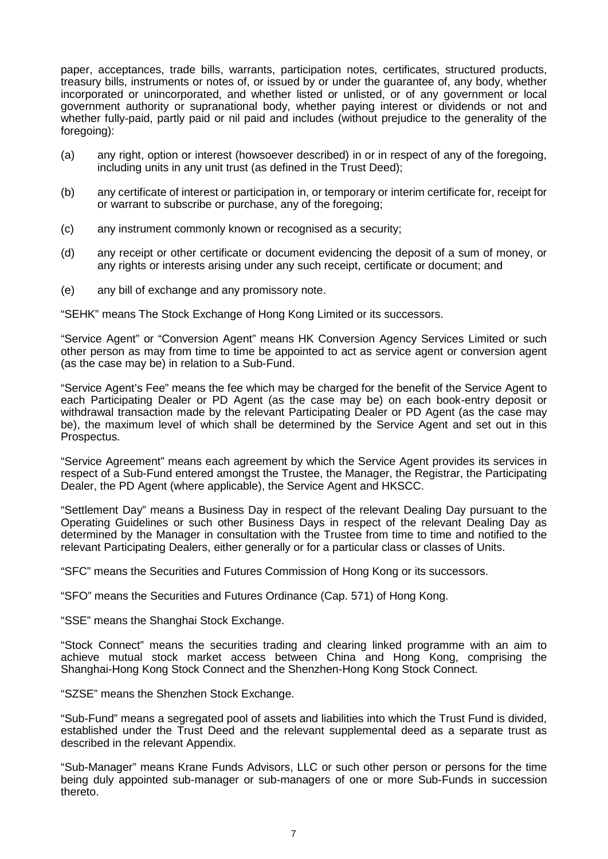paper, acceptances, trade bills, warrants, participation notes, certificates, structured products, treasury bills, instruments or notes of, or issued by or under the guarantee of, any body, whether incorporated or unincorporated, and whether listed or unlisted, or of any government or local government authority or supranational body, whether paying interest or dividends or not and whether fully-paid, partly paid or nil paid and includes (without prejudice to the generality of the foregoing):

- (a) any right, option or interest (howsoever described) in or in respect of any of the foregoing, including units in any unit trust (as defined in the Trust Deed);
- (b) any certificate of interest or participation in, or temporary or interim certificate for, receipt for or warrant to subscribe or purchase, any of the foregoing;
- (c) any instrument commonly known or recognised as a security;
- (d) any receipt or other certificate or document evidencing the deposit of a sum of money, or any rights or interests arising under any such receipt, certificate or document; and
- (e) any bill of exchange and any promissory note.

"SEHK" means The Stock Exchange of Hong Kong Limited or its successors.

"Service Agent" or "Conversion Agent" means HK Conversion Agency Services Limited or such other person as may from time to time be appointed to act as service agent or conversion agent (as the case may be) in relation to a Sub-Fund.

"Service Agent's Fee" means the fee which may be charged for the benefit of the Service Agent to each Participating Dealer or PD Agent (as the case may be) on each book-entry deposit or withdrawal transaction made by the relevant Participating Dealer or PD Agent (as the case may be), the maximum level of which shall be determined by the Service Agent and set out in this Prospectus.

"Service Agreement" means each agreement by which the Service Agent provides its services in respect of a Sub-Fund entered amongst the Trustee, the Manager, the Registrar, the Participating Dealer, the PD Agent (where applicable), the Service Agent and HKSCC.

"Settlement Day" means a Business Day in respect of the relevant Dealing Day pursuant to the Operating Guidelines or such other Business Days in respect of the relevant Dealing Day as determined by the Manager in consultation with the Trustee from time to time and notified to the relevant Participating Dealers, either generally or for a particular class or classes of Units.

"SFC" means the Securities and Futures Commission of Hong Kong or its successors.

"SFO" means the Securities and Futures Ordinance (Cap. 571) of Hong Kong.

"SSE" means the Shanghai Stock Exchange.

"Stock Connect" means the securities trading and clearing linked programme with an aim to achieve mutual stock market access between China and Hong Kong, comprising the Shanghai-Hong Kong Stock Connect and the Shenzhen-Hong Kong Stock Connect.

"SZSE" means the Shenzhen Stock Exchange.

"Sub-Fund" means a segregated pool of assets and liabilities into which the Trust Fund is divided, established under the Trust Deed and the relevant supplemental deed as a separate trust as described in the relevant Appendix.

"Sub-Manager" means Krane Funds Advisors, LLC or such other person or persons for the time being duly appointed sub-manager or sub-managers of one or more Sub-Funds in succession thereto.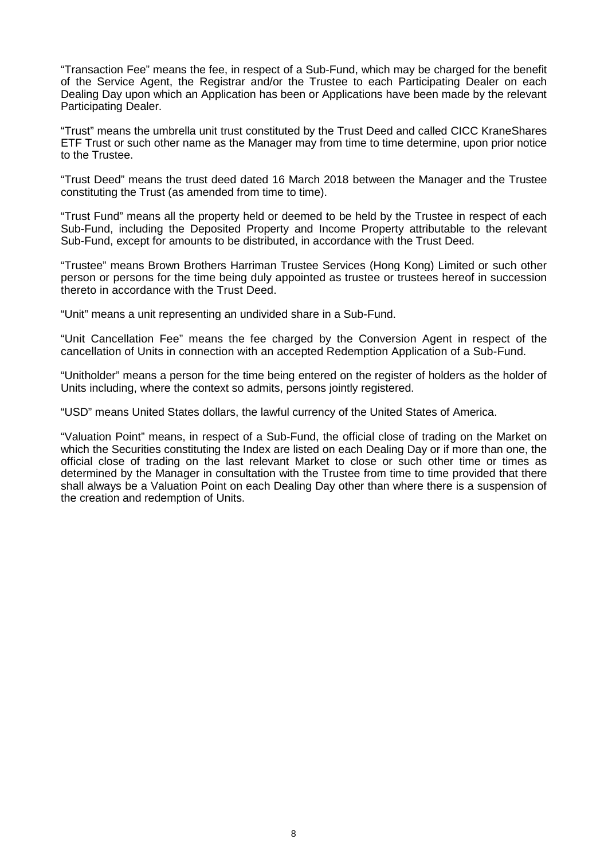"Transaction Fee" means the fee, in respect of a Sub-Fund, which may be charged for the benefit of the Service Agent, the Registrar and/or the Trustee to each Participating Dealer on each Dealing Day upon which an Application has been or Applications have been made by the relevant Participating Dealer.

"Trust" means the umbrella unit trust constituted by the Trust Deed and called CICC KraneShares ETF Trust or such other name as the Manager may from time to time determine, upon prior notice to the Trustee.

"Trust Deed" means the trust deed dated 16 March 2018 between the Manager and the Trustee constituting the Trust (as amended from time to time).

"Trust Fund" means all the property held or deemed to be held by the Trustee in respect of each Sub-Fund, including the Deposited Property and Income Property attributable to the relevant Sub-Fund, except for amounts to be distributed, in accordance with the Trust Deed.

"Trustee" means Brown Brothers Harriman Trustee Services (Hong Kong) Limited or such other person or persons for the time being duly appointed as trustee or trustees hereof in succession thereto in accordance with the Trust Deed.

"Unit" means a unit representing an undivided share in a Sub-Fund.

"Unit Cancellation Fee" means the fee charged by the Conversion Agent in respect of the cancellation of Units in connection with an accepted Redemption Application of a Sub-Fund.

"Unitholder" means a person for the time being entered on the register of holders as the holder of Units including, where the context so admits, persons jointly registered.

"USD" means United States dollars, the lawful currency of the United States of America.

"Valuation Point" means, in respect of a Sub-Fund, the official close of trading on the Market on which the Securities constituting the Index are listed on each Dealing Day or if more than one, the official close of trading on the last relevant Market to close or such other time or times as determined by the Manager in consultation with the Trustee from time to time provided that there shall always be a Valuation Point on each Dealing Day other than where there is a suspension of the creation and redemption of Units.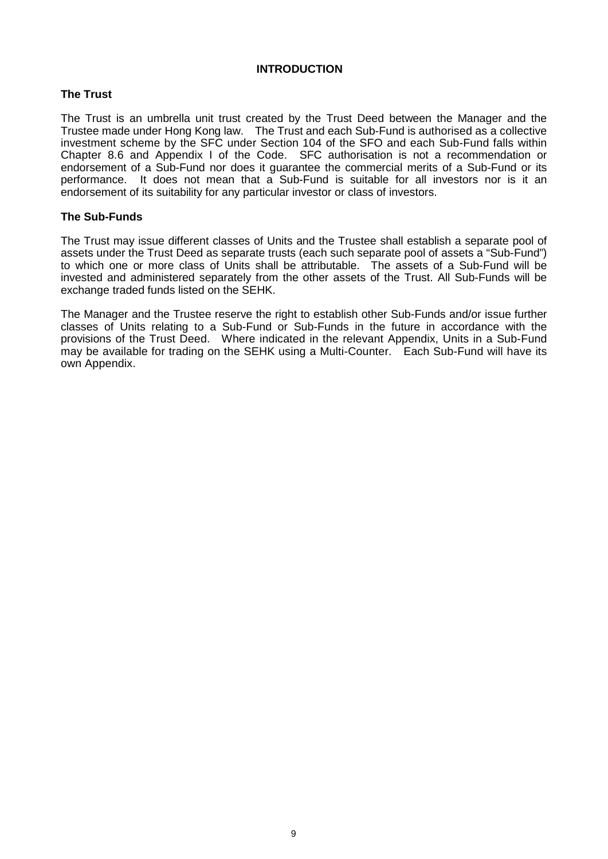#### **INTRODUCTION**

#### **The Trust**

The Trust is an umbrella unit trust created by the Trust Deed between the Manager and the Trustee made under Hong Kong law. The Trust and each Sub-Fund is authorised as a collective investment scheme by the SFC under Section 104 of the SFO and each Sub-Fund falls within Chapter 8.6 and Appendix I of the Code. SFC authorisation is not a recommendation or endorsement of a Sub-Fund nor does it guarantee the commercial merits of a Sub-Fund or its performance. It does not mean that a Sub-Fund is suitable for all investors nor is it an endorsement of its suitability for any particular investor or class of investors.

#### **The Sub-Funds**

The Trust may issue different classes of Units and the Trustee shall establish a separate pool of assets under the Trust Deed as separate trusts (each such separate pool of assets a "Sub-Fund") to which one or more class of Units shall be attributable. The assets of a Sub-Fund will be invested and administered separately from the other assets of the Trust. All Sub-Funds will be exchange traded funds listed on the SEHK.

The Manager and the Trustee reserve the right to establish other Sub-Funds and/or issue further classes of Units relating to a Sub-Fund or Sub-Funds in the future in accordance with the provisions of the Trust Deed. Where indicated in the relevant Appendix, Units in a Sub-Fund may be available for trading on the SEHK using a Multi-Counter. Each Sub-Fund will have its own Appendix.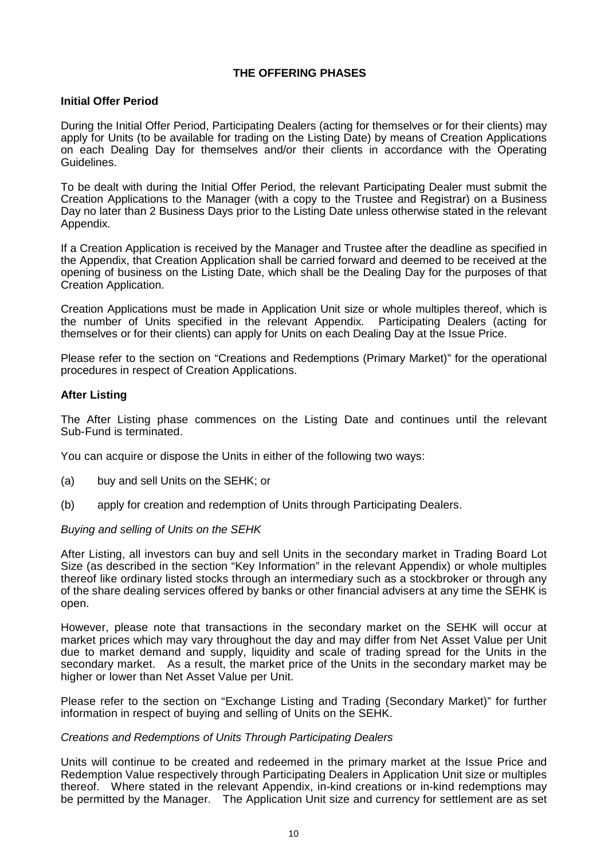#### **THE OFFERING PHASES**

#### **Initial Offer Period**

During the Initial Offer Period, Participating Dealers (acting for themselves or for their clients) may apply for Units (to be available for trading on the Listing Date) by means of Creation Applications on each Dealing Day for themselves and/or their clients in accordance with the Operating Guidelines.

To be dealt with during the Initial Offer Period, the relevant Participating Dealer must submit the Creation Applications to the Manager (with a copy to the Trustee and Registrar) on a Business Day no later than 2 Business Days prior to the Listing Date unless otherwise stated in the relevant Appendix.

If a Creation Application is received by the Manager and Trustee after the deadline as specified in the Appendix, that Creation Application shall be carried forward and deemed to be received at the opening of business on the Listing Date, which shall be the Dealing Day for the purposes of that Creation Application.

Creation Applications must be made in Application Unit size or whole multiples thereof, which is the number of Units specified in the relevant Appendix. Participating Dealers (acting for themselves or for their clients) can apply for Units on each Dealing Day at the Issue Price.

Please refer to the section on "Creations and Redemptions (Primary Market)" for the operational procedures in respect of Creation Applications.

#### **After Listing**

The After Listing phase commences on the Listing Date and continues until the relevant Sub-Fund is terminated.

You can acquire or dispose the Units in either of the following two ways:

- (a) buy and sell Units on the SEHK; or
- (b) apply for creation and redemption of Units through Participating Dealers.

#### *Buying and selling of Units on the SEHK*

After Listing, all investors can buy and sell Units in the secondary market in Trading Board Lot Size (as described in the section "Key Information" in the relevant Appendix) or whole multiples thereof like ordinary listed stocks through an intermediary such as a stockbroker or through any of the share dealing services offered by banks or other financial advisers at any time the SEHK is open.

However, please note that transactions in the secondary market on the SEHK will occur at market prices which may vary throughout the day and may differ from Net Asset Value per Unit due to market demand and supply, liquidity and scale of trading spread for the Units in the secondary market. As a result, the market price of the Units in the secondary market may be higher or lower than Net Asset Value per Unit.

Please refer to the section on "Exchange Listing and Trading (Secondary Market)" for further information in respect of buying and selling of Units on the SEHK.

#### *Creations and Redemptions of Units Through Participating Dealers*

Units will continue to be created and redeemed in the primary market at the Issue Price and Redemption Value respectively through Participating Dealers in Application Unit size or multiples thereof. Where stated in the relevant Appendix, in-kind creations or in-kind redemptions may be permitted by the Manager. The Application Unit size and currency for settlement are as set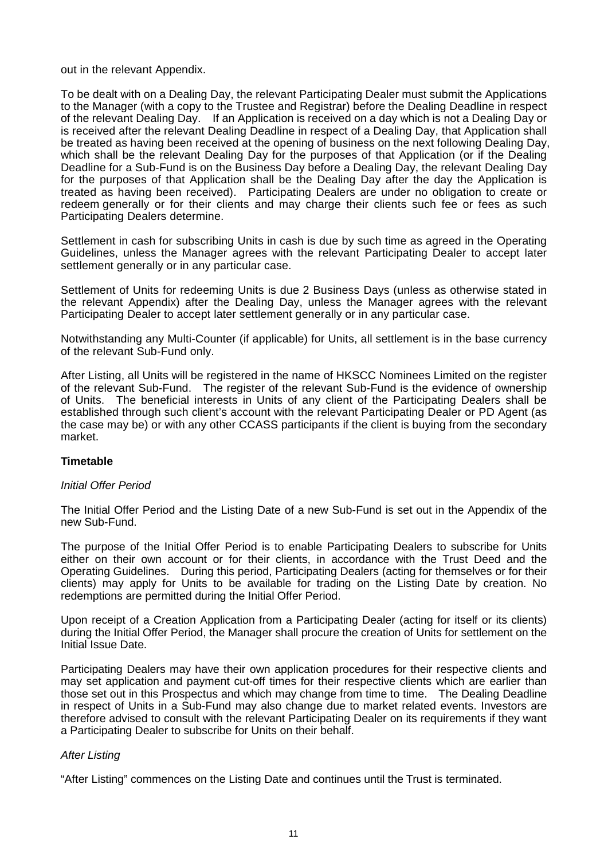out in the relevant Appendix.

To be dealt with on a Dealing Day, the relevant Participating Dealer must submit the Applications to the Manager (with a copy to the Trustee and Registrar) before the Dealing Deadline in respect of the relevant Dealing Day. If an Application is received on a day which is not a Dealing Day or is received after the relevant Dealing Deadline in respect of a Dealing Day, that Application shall be treated as having been received at the opening of business on the next following Dealing Day, which shall be the relevant Dealing Day for the purposes of that Application (or if the Dealing Deadline for a Sub-Fund is on the Business Day before a Dealing Day, the relevant Dealing Day for the purposes of that Application shall be the Dealing Day after the day the Application is treated as having been received). Participating Dealers are under no obligation to create or redeem generally or for their clients and may charge their clients such fee or fees as such Participating Dealers determine.

Settlement in cash for subscribing Units in cash is due by such time as agreed in the Operating Guidelines, unless the Manager agrees with the relevant Participating Dealer to accept later settlement generally or in any particular case.

Settlement of Units for redeeming Units is due 2 Business Days (unless as otherwise stated in the relevant Appendix) after the Dealing Day, unless the Manager agrees with the relevant Participating Dealer to accept later settlement generally or in any particular case.

Notwithstanding any Multi-Counter (if applicable) for Units, all settlement is in the base currency of the relevant Sub-Fund only.

After Listing, all Units will be registered in the name of HKSCC Nominees Limited on the register of the relevant Sub-Fund. The register of the relevant Sub-Fund is the evidence of ownership of Units. The beneficial interests in Units of any client of the Participating Dealers shall be established through such client's account with the relevant Participating Dealer or PD Agent (as the case may be) or with any other CCASS participants if the client is buying from the secondary market.

#### **Timetable**

#### *Initial Offer Period*

The Initial Offer Period and the Listing Date of a new Sub-Fund is set out in the Appendix of the new Sub-Fund.

The purpose of the Initial Offer Period is to enable Participating Dealers to subscribe for Units either on their own account or for their clients, in accordance with the Trust Deed and the Operating Guidelines. During this period, Participating Dealers (acting for themselves or for their clients) may apply for Units to be available for trading on the Listing Date by creation. No redemptions are permitted during the Initial Offer Period.

Upon receipt of a Creation Application from a Participating Dealer (acting for itself or its clients) during the Initial Offer Period, the Manager shall procure the creation of Units for settlement on the Initial Issue Date.

Participating Dealers may have their own application procedures for their respective clients and may set application and payment cut-off times for their respective clients which are earlier than those set out in this Prospectus and which may change from time to time. The Dealing Deadline in respect of Units in a Sub-Fund may also change due to market related events. Investors are therefore advised to consult with the relevant Participating Dealer on its requirements if they want a Participating Dealer to subscribe for Units on their behalf.

#### *After Listing*

"After Listing" commences on the Listing Date and continues until the Trust is terminated.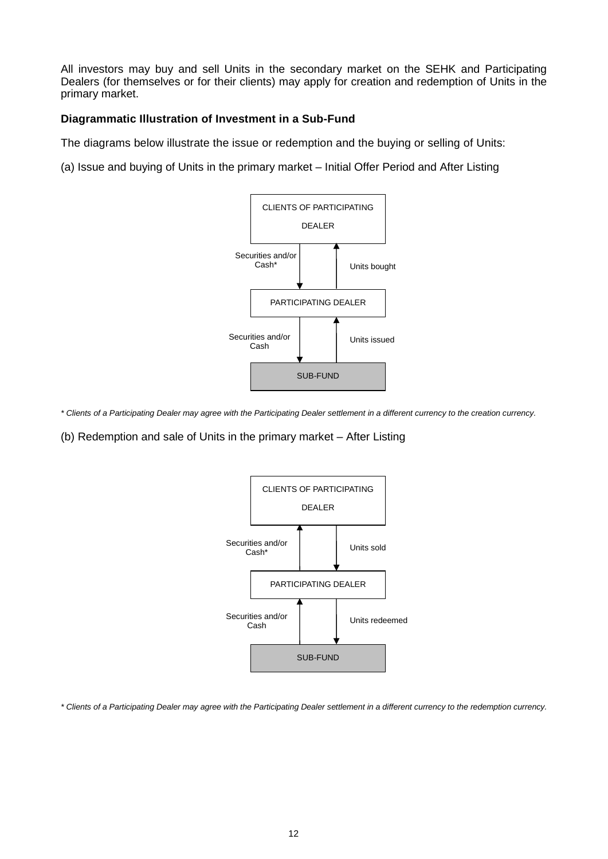All investors may buy and sell Units in the secondary market on the SEHK and Participating Dealers (for themselves or for their clients) may apply for creation and redemption of Units in the primary market.

#### **Diagrammatic Illustration of Investment in a Sub-Fund**

The diagrams below illustrate the issue or redemption and the buying or selling of Units:

(a) Issue and buying of Units in the primary market – Initial Offer Period and After Listing



*\* Clients of a Participating Dealer may agree with the Participating Dealer settlement in a different currency to the creation currency.*

(b) Redemption and sale of Units in the primary market – After Listing



*\* Clients of a Participating Dealer may agree with the Participating Dealer settlement in a different currency to the redemption currency.*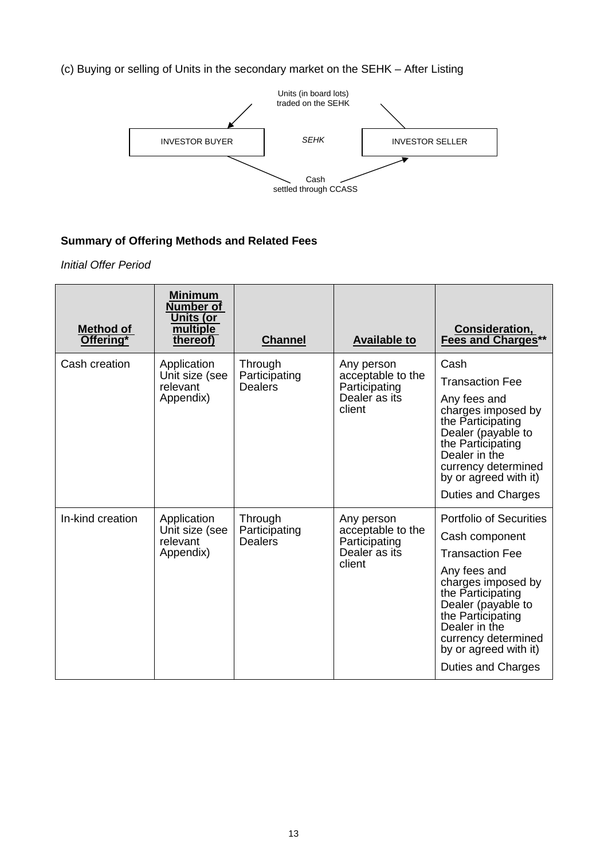(c) Buying or selling of Units in the secondary market on the SEHK – After Listing



#### **Summary of Offering Methods and Related Fees**

*Initial Offer Period*

| Method of<br>Offering* | <b>Minimum</b><br><b>Number of</b><br><b>Units (or</b><br>multiple<br>thereof) | <b>Channel</b>                             | <b>Available to</b>                                                         | <b>Consideration,<br/>Fees and Charges**</b>                                                                                                                                                                                                                                   |
|------------------------|--------------------------------------------------------------------------------|--------------------------------------------|-----------------------------------------------------------------------------|--------------------------------------------------------------------------------------------------------------------------------------------------------------------------------------------------------------------------------------------------------------------------------|
| Cash creation          | Application<br>Unit size (see<br>relevant<br>Appendix)                         | Through<br>Participating<br><b>Dealers</b> | Any person<br>acceptable to the<br>Participating<br>Dealer as its<br>client | Cash<br><b>Transaction Fee</b><br>Any fees and<br>charges imposed by<br>the Participating<br>Dealer (payable to<br>the Participating<br>Dealer in the<br>currency determined<br>by or agreed with it)<br>Duties and Charges                                                    |
| In-kind creation       | Application<br>Unit size (see<br>relevant<br>Appendix)                         | Through<br>Participating<br>Dealers        | Any person<br>acceptable to the<br>Participating<br>Dealer as its<br>client | <b>Portfolio of Securities</b><br>Cash component<br><b>Transaction Fee</b><br>Any fees and<br>charges imposed by<br>the Participating<br>Dealer (payable to<br>the Participating<br>Dealer in the<br>currency determined<br>by or agreed with it)<br><b>Duties and Charges</b> |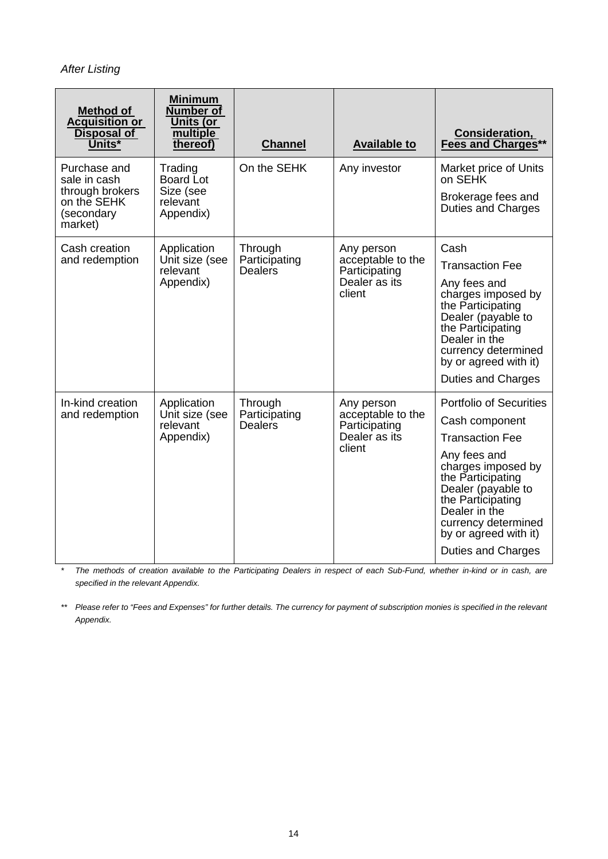*After Listing*

| Method of<br><b>Acquisition or</b><br><b>Disposal of</b><br>Units*                      | <b>Minimum</b><br><b>Number of</b><br><b>Units (or</b><br>multiple<br>thereof) | <b>Channel</b>                             | <b>Available to</b>                                                         | Consideration,<br><b>Fees and Charges**</b>                                                                                                                                                                                                                                    |
|-----------------------------------------------------------------------------------------|--------------------------------------------------------------------------------|--------------------------------------------|-----------------------------------------------------------------------------|--------------------------------------------------------------------------------------------------------------------------------------------------------------------------------------------------------------------------------------------------------------------------------|
| Purchase and<br>sale in cash<br>through brokers<br>on the SEHK<br>(secondary<br>market) | Trading<br>Board Lot<br>Size (see<br>relevant<br>Appendix)                     | On the SEHK                                | Any investor                                                                | Market price of Units<br>on SEHK<br>Brokerage fees and<br>Duties and Charges                                                                                                                                                                                                   |
| Cash creation<br>and redemption                                                         | Application<br>Unit size (see<br>relevant<br>Appendix)                         | Through<br>Participating<br><b>Dealers</b> | Any person<br>acceptable to the<br>Participating<br>Dealer as its<br>client | Cash<br><b>Transaction Fee</b><br>Any fees and<br>charges imposed by<br>the Participating<br>Dealer (payable to<br>the Participating<br>Dealer in the<br>currency determined<br>by or agreed with it)<br><b>Duties and Charges</b>                                             |
| In-kind creation<br>and redemption                                                      | Application<br>Unit size (see<br>relevant<br>Appendix)                         | Through<br>Participating<br><b>Dealers</b> | Any person<br>acceptable to the<br>Participating<br>Dealer as its<br>client | <b>Portfolio of Securities</b><br>Cash component<br><b>Transaction Fee</b><br>Any fees and<br>charges imposed by<br>the Participating<br>Dealer (payable to<br>the Participating<br>Dealer in the<br>currency determined<br>by or agreed with it)<br><b>Duties and Charges</b> |

*\* The methods of creation available to the Participating Dealers in respect of each Sub-Fund, whether in-kind or in cash, are specified in the relevant Appendix.*

*\*\* Please refer to "Fees and Expenses" for further details. The currency for payment of subscription monies is specified in the relevant Appendix.*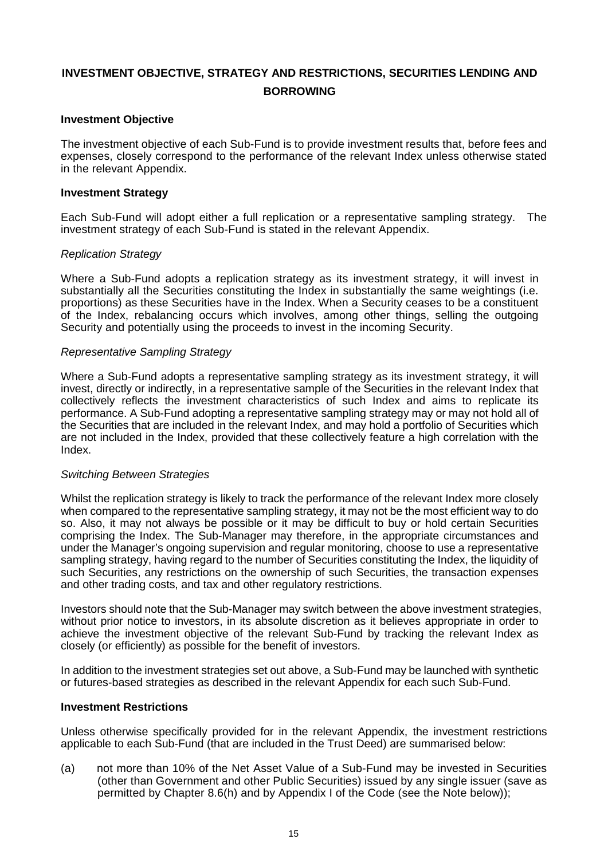## **INVESTMENT OBJECTIVE, STRATEGY AND RESTRICTIONS, SECURITIES LENDING AND BORROWING**

#### **Investment Objective**

The investment objective of each Sub-Fund is to provide investment results that, before fees and expenses, closely correspond to the performance of the relevant Index unless otherwise stated in the relevant Appendix.

#### **Investment Strategy**

Each Sub-Fund will adopt either a full replication or a representative sampling strategy. The investment strategy of each Sub-Fund is stated in the relevant Appendix.

#### *Replication Strategy*

Where a Sub-Fund adopts a replication strategy as its investment strategy, it will invest in substantially all the Securities constituting the Index in substantially the same weightings (i.e. proportions) as these Securities have in the Index. When a Security ceases to be a constituent of the Index, rebalancing occurs which involves, among other things, selling the outgoing Security and potentially using the proceeds to invest in the incoming Security.

#### *Representative Sampling Strategy*

Where a Sub-Fund adopts a representative sampling strategy as its investment strategy, it will invest, directly or indirectly, in a representative sample of the Securities in the relevant Index that collectively reflects the investment characteristics of such Index and aims to replicate its performance. A Sub-Fund adopting a representative sampling strategy may or may not hold all of the Securities that are included in the relevant Index, and may hold a portfolio of Securities which are not included in the Index, provided that these collectively feature a high correlation with the Index.

#### *Switching Between Strategies*

Whilst the replication strategy is likely to track the performance of the relevant Index more closely when compared to the representative sampling strategy, it may not be the most efficient way to do so. Also, it may not always be possible or it may be difficult to buy or hold certain Securities comprising the Index. The Sub-Manager may therefore, in the appropriate circumstances and under the Manager's ongoing supervision and regular monitoring, choose to use a representative sampling strategy, having regard to the number of Securities constituting the Index, the liquidity of such Securities, any restrictions on the ownership of such Securities, the transaction expenses and other trading costs, and tax and other regulatory restrictions.

Investors should note that the Sub-Manager may switch between the above investment strategies, without prior notice to investors, in its absolute discretion as it believes appropriate in order to achieve the investment objective of the relevant Sub-Fund by tracking the relevant Index as closely (or efficiently) as possible for the benefit of investors.

In addition to the investment strategies set out above, a Sub-Fund may be launched with synthetic or futures-based strategies as described in the relevant Appendix for each such Sub-Fund.

#### **Investment Restrictions**

Unless otherwise specifically provided for in the relevant Appendix, the investment restrictions applicable to each Sub-Fund (that are included in the Trust Deed) are summarised below:

(a) not more than 10% of the Net Asset Value of a Sub-Fund may be invested in Securities (other than Government and other Public Securities) issued by any single issuer (save as permitted by Chapter 8.6(h) and by Appendix I of the Code (see the Note below));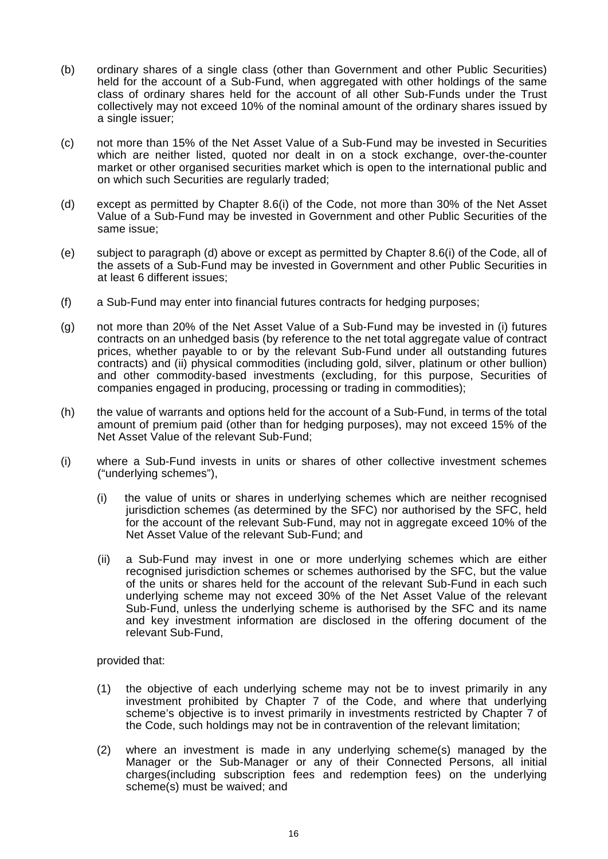- (b) ordinary shares of a single class (other than Government and other Public Securities) held for the account of a Sub-Fund, when aggregated with other holdings of the same class of ordinary shares held for the account of all other Sub-Funds under the Trust collectively may not exceed 10% of the nominal amount of the ordinary shares issued by a single issuer;
- (c) not more than 15% of the Net Asset Value of a Sub-Fund may be invested in Securities which are neither listed, quoted nor dealt in on a stock exchange, over-the-counter market or other organised securities market which is open to the international public and on which such Securities are regularly traded;
- (d) except as permitted by Chapter 8.6(i) of the Code, not more than 30% of the Net Asset Value of a Sub-Fund may be invested in Government and other Public Securities of the same issue;
- (e) subject to paragraph (d) above or except as permitted by Chapter 8.6(i) of the Code, all of the assets of a Sub-Fund may be invested in Government and other Public Securities in at least 6 different issues;
- (f) a Sub-Fund may enter into financial futures contracts for hedging purposes;
- (g) not more than 20% of the Net Asset Value of a Sub-Fund may be invested in (i) futures contracts on an unhedged basis (by reference to the net total aggregate value of contract prices, whether payable to or by the relevant Sub-Fund under all outstanding futures contracts) and (ii) physical commodities (including gold, silver, platinum or other bullion) and other commodity-based investments (excluding, for this purpose, Securities of companies engaged in producing, processing or trading in commodities);
- (h) the value of warrants and options held for the account of a Sub-Fund, in terms of the total amount of premium paid (other than for hedging purposes), may not exceed 15% of the Net Asset Value of the relevant Sub-Fund;
- (i) where a Sub-Fund invests in units or shares of other collective investment schemes ("underlying schemes"),
	- (i) the value of units or shares in underlying schemes which are neither recognised jurisdiction schemes (as determined by the SFC) nor authorised by the SFC, held for the account of the relevant Sub-Fund, may not in aggregate exceed 10% of the Net Asset Value of the relevant Sub-Fund; and
	- (ii) a Sub-Fund may invest in one or more underlying schemes which are either recognised jurisdiction schemes or schemes authorised by the SFC, but the value of the units or shares held for the account of the relevant Sub-Fund in each such underlying scheme may not exceed 30% of the Net Asset Value of the relevant Sub-Fund, unless the underlying scheme is authorised by the SFC and its name and key investment information are disclosed in the offering document of the relevant Sub-Fund,

provided that:

- (1) the objective of each underlying scheme may not be to invest primarily in any investment prohibited by Chapter 7 of the Code, and where that underlying scheme's objective is to invest primarily in investments restricted by Chapter 7 of the Code, such holdings may not be in contravention of the relevant limitation;
- (2) where an investment is made in any underlying scheme(s) managed by the Manager or the Sub-Manager or any of their Connected Persons, all initial charges(including subscription fees and redemption fees) on the underlying scheme(s) must be waived; and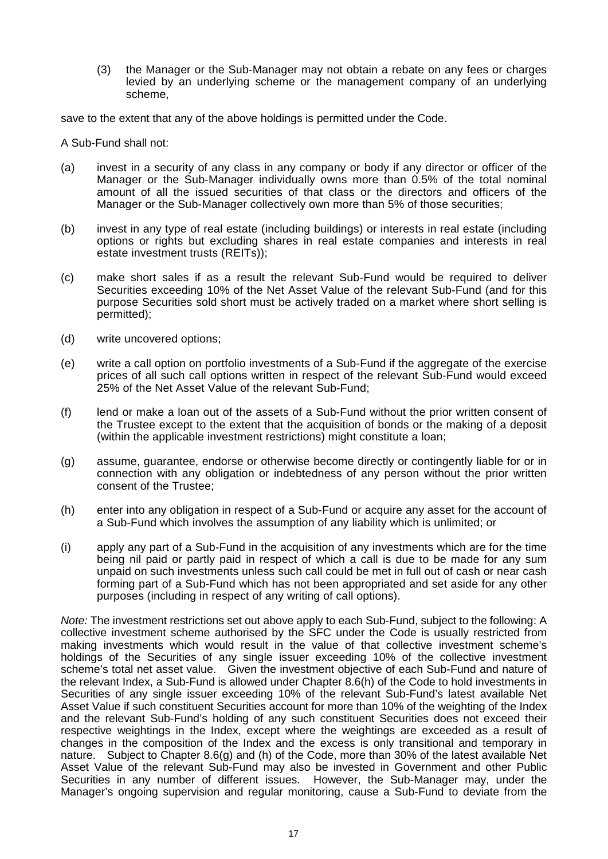(3) the Manager or the Sub-Manager may not obtain a rebate on any fees or charges levied by an underlying scheme or the management company of an underlying scheme,

save to the extent that any of the above holdings is permitted under the Code.

A Sub-Fund shall not:

- (a) invest in a security of any class in any company or body if any director or officer of the Manager or the Sub-Manager individually owns more than 0.5% of the total nominal amount of all the issued securities of that class or the directors and officers of the Manager or the Sub-Manager collectively own more than 5% of those securities;
- (b) invest in any type of real estate (including buildings) or interests in real estate (including options or rights but excluding shares in real estate companies and interests in real estate investment trusts (REITs));
- (c) make short sales if as a result the relevant Sub-Fund would be required to deliver Securities exceeding 10% of the Net Asset Value of the relevant Sub-Fund (and for this purpose Securities sold short must be actively traded on a market where short selling is permitted);
- (d) write uncovered options;
- (e) write a call option on portfolio investments of a Sub-Fund if the aggregate of the exercise prices of all such call options written in respect of the relevant Sub-Fund would exceed 25% of the Net Asset Value of the relevant Sub-Fund;
- (f) lend or make a loan out of the assets of a Sub-Fund without the prior written consent of the Trustee except to the extent that the acquisition of bonds or the making of a deposit (within the applicable investment restrictions) might constitute a loan;
- (g) assume, guarantee, endorse or otherwise become directly or contingently liable for or in connection with any obligation or indebtedness of any person without the prior written consent of the Trustee;
- (h) enter into any obligation in respect of a Sub-Fund or acquire any asset for the account of a Sub-Fund which involves the assumption of any liability which is unlimited; or
- (i) apply any part of a Sub-Fund in the acquisition of any investments which are for the time being nil paid or partly paid in respect of which a call is due to be made for any sum unpaid on such investments unless such call could be met in full out of cash or near cash forming part of a Sub-Fund which has not been appropriated and set aside for any other purposes (including in respect of any writing of call options).

*Note:* The investment restrictions set out above apply to each Sub-Fund, subject to the following: A collective investment scheme authorised by the SFC under the Code is usually restricted from making investments which would result in the value of that collective investment scheme's holdings of the Securities of any single issuer exceeding 10% of the collective investment scheme's total net asset value. Given the investment objective of each Sub-Fund and nature of the relevant Index, a Sub-Fund is allowed under Chapter 8.6(h) of the Code to hold investments in Securities of any single issuer exceeding 10% of the relevant Sub-Fund's latest available Net Asset Value if such constituent Securities account for more than 10% of the weighting of the Index and the relevant Sub-Fund's holding of any such constituent Securities does not exceed their respective weightings in the Index, except where the weightings are exceeded as a result of changes in the composition of the Index and the excess is only transitional and temporary in nature. Subject to Chapter 8.6(g) and (h) of the Code, more than 30% of the latest available Net Asset Value of the relevant Sub-Fund may also be invested in Government and other Public Securities in any number of different issues. However, the Sub-Manager may, under the Manager's ongoing supervision and regular monitoring, cause a Sub-Fund to deviate from the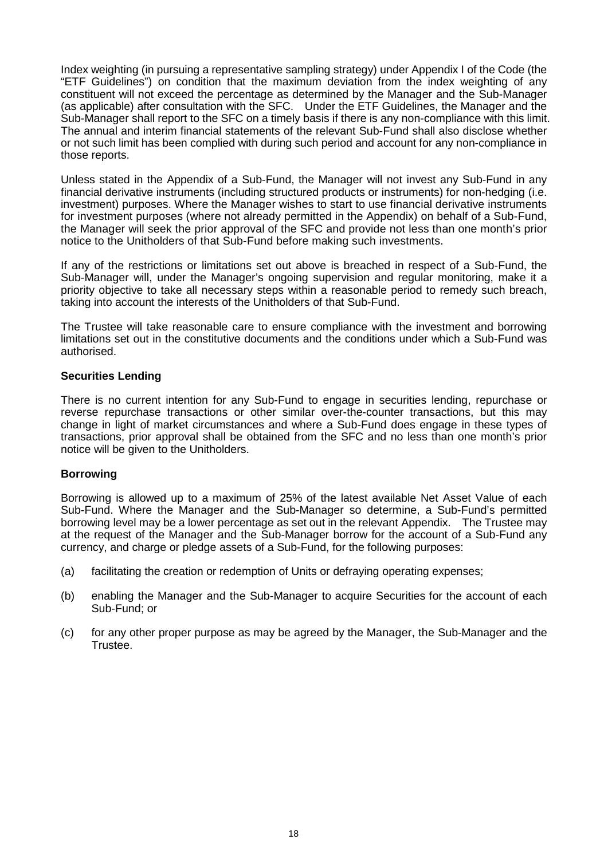Index weighting (in pursuing a representative sampling strategy) under Appendix I of the Code (the "ETF Guidelines") on condition that the maximum deviation from the index weighting of any constituent will not exceed the percentage as determined by the Manager and the Sub-Manager (as applicable) after consultation with the SFC. Under the ETF Guidelines, the Manager and the Sub-Manager shall report to the SFC on a timely basis if there is any non-compliance with this limit. The annual and interim financial statements of the relevant Sub-Fund shall also disclose whether or not such limit has been complied with during such period and account for any non-compliance in those reports.

Unless stated in the Appendix of a Sub-Fund, the Manager will not invest any Sub-Fund in any financial derivative instruments (including structured products or instruments) for non-hedging (i.e. investment) purposes. Where the Manager wishes to start to use financial derivative instruments for investment purposes (where not already permitted in the Appendix) on behalf of a Sub-Fund, the Manager will seek the prior approval of the SFC and provide not less than one month's prior notice to the Unitholders of that Sub-Fund before making such investments.

If any of the restrictions or limitations set out above is breached in respect of a Sub-Fund, the Sub-Manager will, under the Manager's ongoing supervision and regular monitoring, make it a priority objective to take all necessary steps within a reasonable period to remedy such breach, taking into account the interests of the Unitholders of that Sub-Fund.

The Trustee will take reasonable care to ensure compliance with the investment and borrowing limitations set out in the constitutive documents and the conditions under which a Sub-Fund was authorised.

#### **Securities Lending**

There is no current intention for any Sub-Fund to engage in securities lending, repurchase or reverse repurchase transactions or other similar over-the-counter transactions, but this may change in light of market circumstances and where a Sub-Fund does engage in these types of transactions, prior approval shall be obtained from the SFC and no less than one month's prior notice will be given to the Unitholders.

#### **Borrowing**

Borrowing is allowed up to a maximum of 25% of the latest available Net Asset Value of each Sub-Fund. Where the Manager and the Sub-Manager so determine, a Sub-Fund's permitted borrowing level may be a lower percentage as set out in the relevant Appendix. The Trustee may at the request of the Manager and the Sub-Manager borrow for the account of a Sub-Fund any currency, and charge or pledge assets of a Sub-Fund, for the following purposes:

- (a) facilitating the creation or redemption of Units or defraying operating expenses;
- (b) enabling the Manager and the Sub-Manager to acquire Securities for the account of each Sub-Fund; or
- (c) for any other proper purpose as may be agreed by the Manager, the Sub-Manager and the Trustee.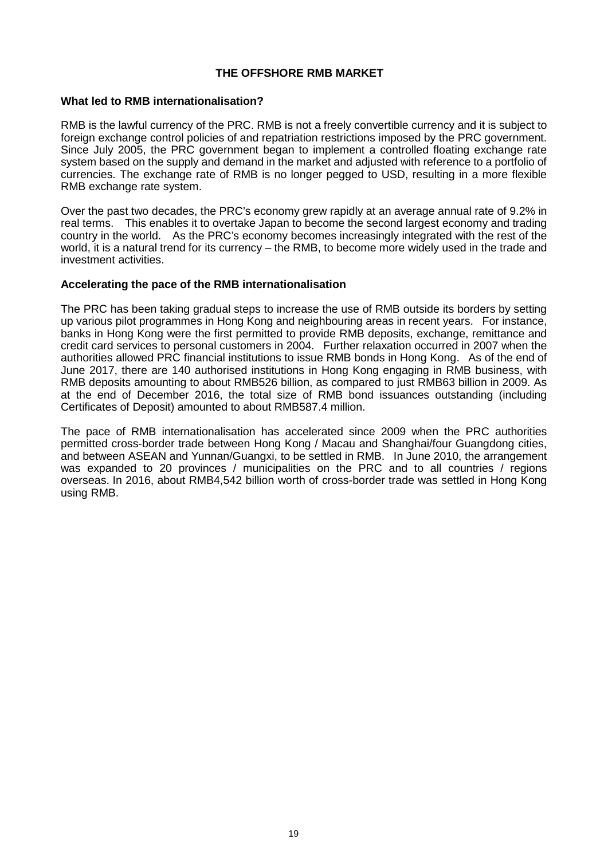#### **THE OFFSHORE RMB MARKET**

#### **What led to RMB internationalisation?**

RMB is the lawful currency of the PRC. RMB is not a freely convertible currency and it is subject to foreign exchange control policies of and repatriation restrictions imposed by the PRC government. Since July 2005, the PRC government began to implement a controlled floating exchange rate system based on the supply and demand in the market and adjusted with reference to a portfolio of currencies. The exchange rate of RMB is no longer pegged to USD, resulting in a more flexible RMB exchange rate system.

Over the past two decades, the PRC's economy grew rapidly at an average annual rate of 9.2% in real terms. This enables it to overtake Japan to become the second largest economy and trading country in the world. As the PRC's economy becomes increasingly integrated with the rest of the world, it is a natural trend for its currency – the RMB, to become more widely used in the trade and investment activities.

#### **Accelerating the pace of the RMB internationalisation**

The PRC has been taking gradual steps to increase the use of RMB outside its borders by setting up various pilot programmes in Hong Kong and neighbouring areas in recent years. For instance, banks in Hong Kong were the first permitted to provide RMB deposits, exchange, remittance and credit card services to personal customers in 2004. Further relaxation occurred in 2007 when the authorities allowed PRC financial institutions to issue RMB bonds in Hong Kong. As of the end of June 2017, there are 140 authorised institutions in Hong Kong engaging in RMB business, with RMB deposits amounting to about RMB526 billion, as compared to just RMB63 billion in 2009. As at the end of December 2016, the total size of RMB bond issuances outstanding (including Certificates of Deposit) amounted to about RMB587.4 million.

The pace of RMB internationalisation has accelerated since 2009 when the PRC authorities permitted cross-border trade between Hong Kong / Macau and Shanghai/four Guangdong cities, and between ASEAN and Yunnan/Guangxi, to be settled in RMB. In June 2010, the arrangement was expanded to 20 provinces / municipalities on the PRC and to all countries / regions overseas. In 2016, about RMB4,542 billion worth of cross-border trade was settled in Hong Kong using RMB.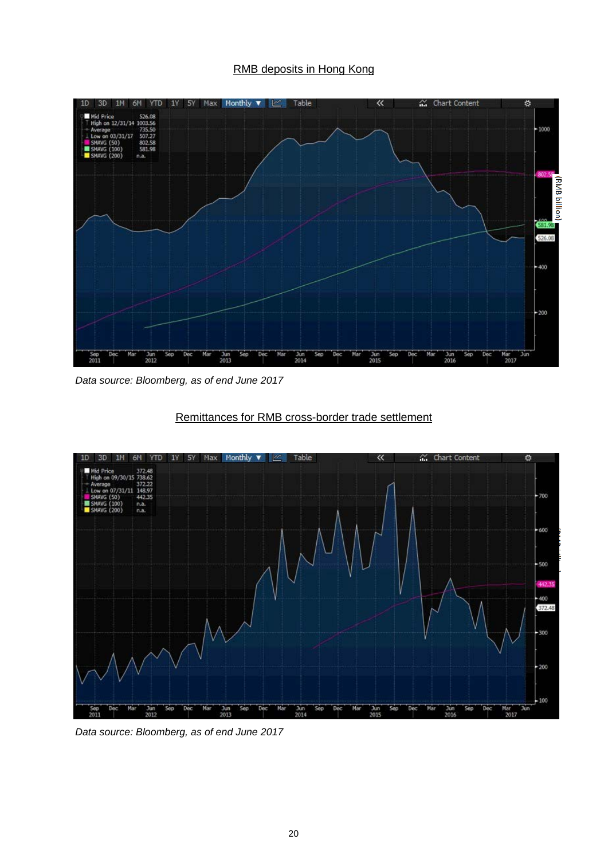#### RMB deposits in Hong Kong



*Data source: Bloomberg, as of end June 2017*



#### Remittances for RMB cross-border trade settlement

*Data source: Bloomberg, as of end June 2017*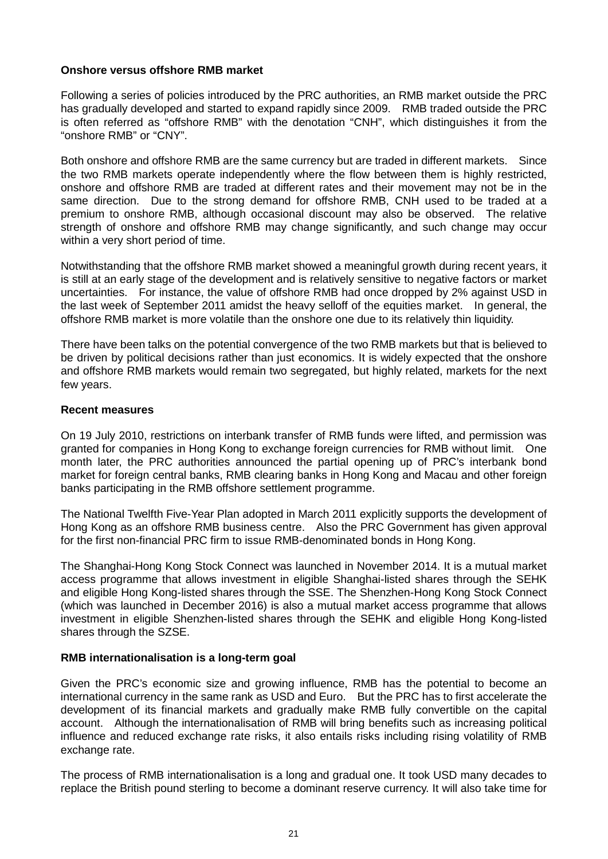#### **Onshore versus offshore RMB market**

Following a series of policies introduced by the PRC authorities, an RMB market outside the PRC has gradually developed and started to expand rapidly since 2009. RMB traded outside the PRC is often referred as "offshore RMB" with the denotation "CNH", which distinguishes it from the "onshore RMB" or "CNY".

Both onshore and offshore RMB are the same currency but are traded in different markets. Since the two RMB markets operate independently where the flow between them is highly restricted, onshore and offshore RMB are traded at different rates and their movement may not be in the same direction. Due to the strong demand for offshore RMB, CNH used to be traded at a premium to onshore RMB, although occasional discount may also be observed. The relative strength of onshore and offshore RMB may change significantly, and such change may occur within a very short period of time.

Notwithstanding that the offshore RMB market showed a meaningful growth during recent years, it is still at an early stage of the development and is relatively sensitive to negative factors or market uncertainties. For instance, the value of offshore RMB had once dropped by 2% against USD in the last week of September 2011 amidst the heavy selloff of the equities market. In general, the offshore RMB market is more volatile than the onshore one due to its relatively thin liquidity.

There have been talks on the potential convergence of the two RMB markets but that is believed to be driven by political decisions rather than just economics. It is widely expected that the onshore and offshore RMB markets would remain two segregated, but highly related, markets for the next few years.

#### **Recent measures**

On 19 July 2010, restrictions on interbank transfer of RMB funds were lifted, and permission was granted for companies in Hong Kong to exchange foreign currencies for RMB without limit. One month later, the PRC authorities announced the partial opening up of PRC's interbank bond market for foreign central banks, RMB clearing banks in Hong Kong and Macau and other foreign banks participating in the RMB offshore settlement programme.

The National Twelfth Five-Year Plan adopted in March 2011 explicitly supports the development of Hong Kong as an offshore RMB business centre. Also the PRC Government has given approval for the first non-financial PRC firm to issue RMB-denominated bonds in Hong Kong.

The Shanghai-Hong Kong Stock Connect was launched in November 2014. It is a mutual market access programme that allows investment in eligible Shanghai-listed shares through the SEHK and eligible Hong Kong-listed shares through the SSE. The Shenzhen-Hong Kong Stock Connect (which was launched in December 2016) is also a mutual market access programme that allows investment in eligible Shenzhen-listed shares through the SEHK and eligible Hong Kong-listed shares through the SZSE.

#### **RMB internationalisation is a long-term goal**

Given the PRC's economic size and growing influence, RMB has the potential to become an international currency in the same rank as USD and Euro. But the PRC has to first accelerate the development of its financial markets and gradually make RMB fully convertible on the capital account. Although the internationalisation of RMB will bring benefits such as increasing political influence and reduced exchange rate risks, it also entails risks including rising volatility of RMB exchange rate.

The process of RMB internationalisation is a long and gradual one. It took USD many decades to replace the British pound sterling to become a dominant reserve currency. It will also take time for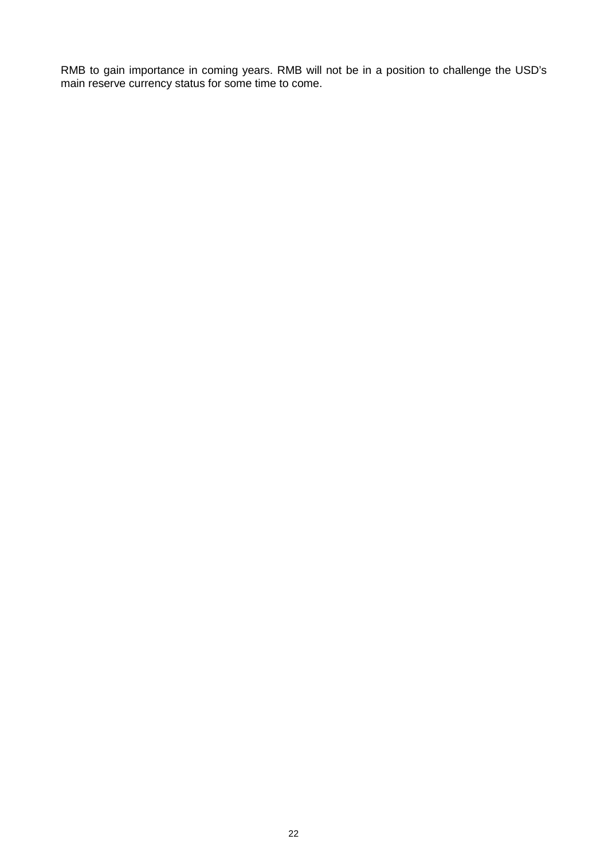RMB to gain importance in coming years. RMB will not be in a position to challenge the USD's main reserve currency status for some time to come.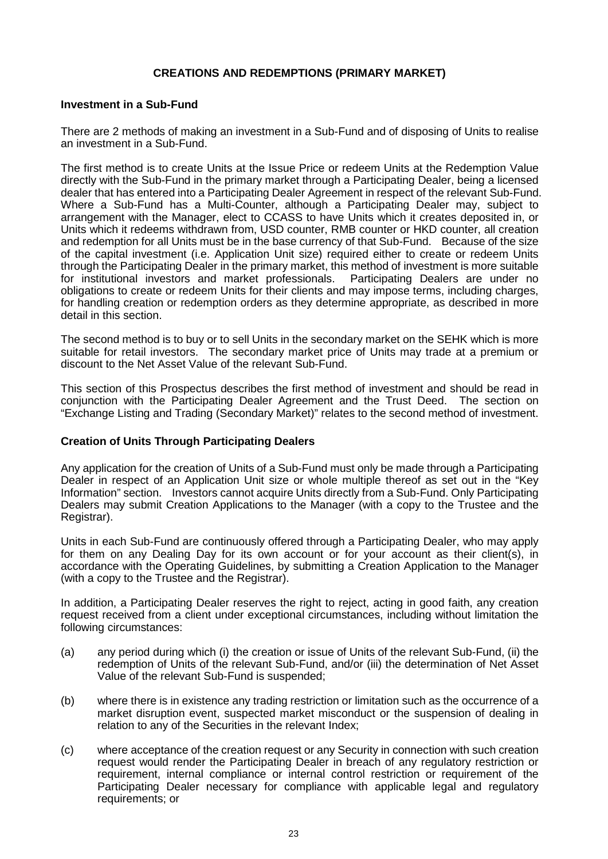#### **CREATIONS AND REDEMPTIONS (PRIMARY MARKET)**

#### **Investment in a Sub-Fund**

There are 2 methods of making an investment in a Sub-Fund and of disposing of Units to realise an investment in a Sub-Fund.

The first method is to create Units at the Issue Price or redeem Units at the Redemption Value directly with the Sub-Fund in the primary market through a Participating Dealer, being a licensed dealer that has entered into a Participating Dealer Agreement in respect of the relevant Sub-Fund. Where a Sub-Fund has a Multi-Counter, although a Participating Dealer may, subject to arrangement with the Manager, elect to CCASS to have Units which it creates deposited in, or Units which it redeems withdrawn from, USD counter, RMB counter or HKD counter, all creation and redemption for all Units must be in the base currency of that Sub-Fund. Because of the size of the capital investment (i.e. Application Unit size) required either to create or redeem Units through the Participating Dealer in the primary market, this method of investment is more suitable<br>for institutional investors and market professionals. Participating Dealers are under no for institutional investors and market professionals. obligations to create or redeem Units for their clients and may impose terms, including charges, for handling creation or redemption orders as they determine appropriate, as described in more detail in this section.

The second method is to buy or to sell Units in the secondary market on the SEHK which is more suitable for retail investors. The secondary market price of Units may trade at a premium or discount to the Net Asset Value of the relevant Sub-Fund.

This section of this Prospectus describes the first method of investment and should be read in conjunction with the Participating Dealer Agreement and the Trust Deed. The section on "Exchange Listing and Trading (Secondary Market)" relates to the second method of investment.

#### **Creation of Units Through Participating Dealers**

Any application for the creation of Units of a Sub-Fund must only be made through a Participating Dealer in respect of an Application Unit size or whole multiple thereof as set out in the "Key Information" section. Investors cannot acquire Units directly from a Sub-Fund. Only Participating Dealers may submit Creation Applications to the Manager (with a copy to the Trustee and the Registrar).

Units in each Sub-Fund are continuously offered through a Participating Dealer, who may apply for them on any Dealing Day for its own account or for your account as their client(s), in accordance with the Operating Guidelines, by submitting a Creation Application to the Manager (with a copy to the Trustee and the Registrar).

In addition, a Participating Dealer reserves the right to reject, acting in good faith, any creation request received from a client under exceptional circumstances, including without limitation the following circumstances:

- (a) any period during which (i) the creation or issue of Units of the relevant Sub-Fund, (ii) the redemption of Units of the relevant Sub-Fund, and/or (iii) the determination of Net Asset Value of the relevant Sub-Fund is suspended;
- (b) where there is in existence any trading restriction or limitation such as the occurrence of a market disruption event, suspected market misconduct or the suspension of dealing in relation to any of the Securities in the relevant Index;
- (c) where acceptance of the creation request or any Security in connection with such creation request would render the Participating Dealer in breach of any regulatory restriction or requirement, internal compliance or internal control restriction or requirement of the Participating Dealer necessary for compliance with applicable legal and regulatory requirements; or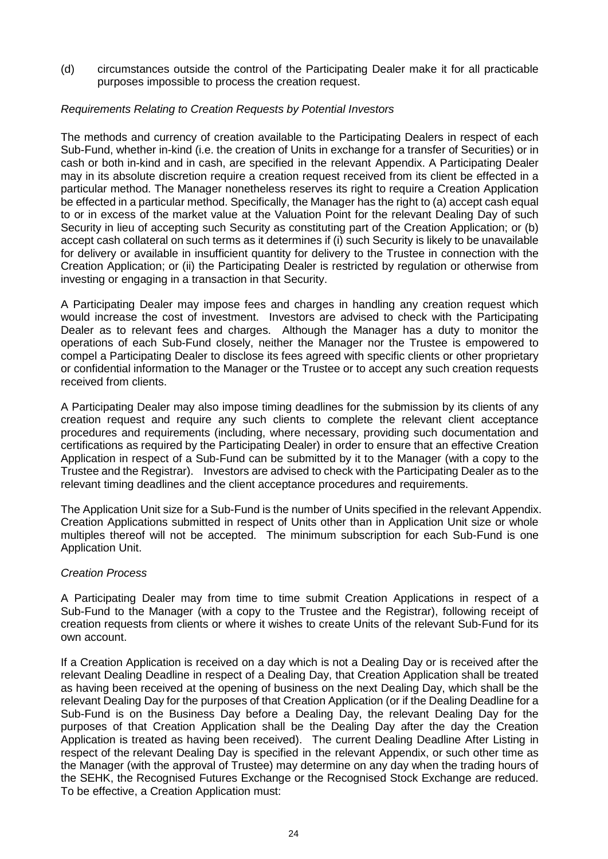(d) circumstances outside the control of the Participating Dealer make it for all practicable purposes impossible to process the creation request.

#### *Requirements Relating to Creation Requests by Potential Investors*

The methods and currency of creation available to the Participating Dealers in respect of each Sub-Fund, whether in-kind (i.e. the creation of Units in exchange for a transfer of Securities) or in cash or both in-kind and in cash, are specified in the relevant Appendix. A Participating Dealer may in its absolute discretion require a creation request received from its client be effected in a particular method. The Manager nonetheless reserves its right to require a Creation Application be effected in a particular method. Specifically, the Manager has the right to (a) accept cash equal to or in excess of the market value at the Valuation Point for the relevant Dealing Day of such Security in lieu of accepting such Security as constituting part of the Creation Application; or (b) accept cash collateral on such terms as it determines if (i) such Security is likely to be unavailable for delivery or available in insufficient quantity for delivery to the Trustee in connection with the Creation Application; or (ii) the Participating Dealer is restricted by regulation or otherwise from investing or engaging in a transaction in that Security.

A Participating Dealer may impose fees and charges in handling any creation request which would increase the cost of investment. Investors are advised to check with the Participating Dealer as to relevant fees and charges. Although the Manager has a duty to monitor the operations of each Sub-Fund closely, neither the Manager nor the Trustee is empowered to compel a Participating Dealer to disclose its fees agreed with specific clients or other proprietary or confidential information to the Manager or the Trustee or to accept any such creation requests received from clients.

A Participating Dealer may also impose timing deadlines for the submission by its clients of any creation request and require any such clients to complete the relevant client acceptance procedures and requirements (including, where necessary, providing such documentation and certifications as required by the Participating Dealer) in order to ensure that an effective Creation Application in respect of a Sub-Fund can be submitted by it to the Manager (with a copy to the Trustee and the Registrar). Investors are advised to check with the Participating Dealer as to the relevant timing deadlines and the client acceptance procedures and requirements.

The Application Unit size for a Sub-Fund is the number of Units specified in the relevant Appendix. Creation Applications submitted in respect of Units other than in Application Unit size or whole multiples thereof will not be accepted. The minimum subscription for each Sub-Fund is one Application Unit.

#### *Creation Process*

A Participating Dealer may from time to time submit Creation Applications in respect of a Sub-Fund to the Manager (with a copy to the Trustee and the Registrar), following receipt of creation requests from clients or where it wishes to create Units of the relevant Sub-Fund for its own account.

If a Creation Application is received on a day which is not a Dealing Day or is received after the relevant Dealing Deadline in respect of a Dealing Day, that Creation Application shall be treated as having been received at the opening of business on the next Dealing Day, which shall be the relevant Dealing Day for the purposes of that Creation Application (or if the Dealing Deadline for a Sub-Fund is on the Business Day before a Dealing Day, the relevant Dealing Day for the purposes of that Creation Application shall be the Dealing Day after the day the Creation Application is treated as having been received). The current Dealing Deadline After Listing in respect of the relevant Dealing Day is specified in the relevant Appendix, or such other time as the Manager (with the approval of Trustee) may determine on any day when the trading hours of the SEHK, the Recognised Futures Exchange or the Recognised Stock Exchange are reduced. To be effective, a Creation Application must: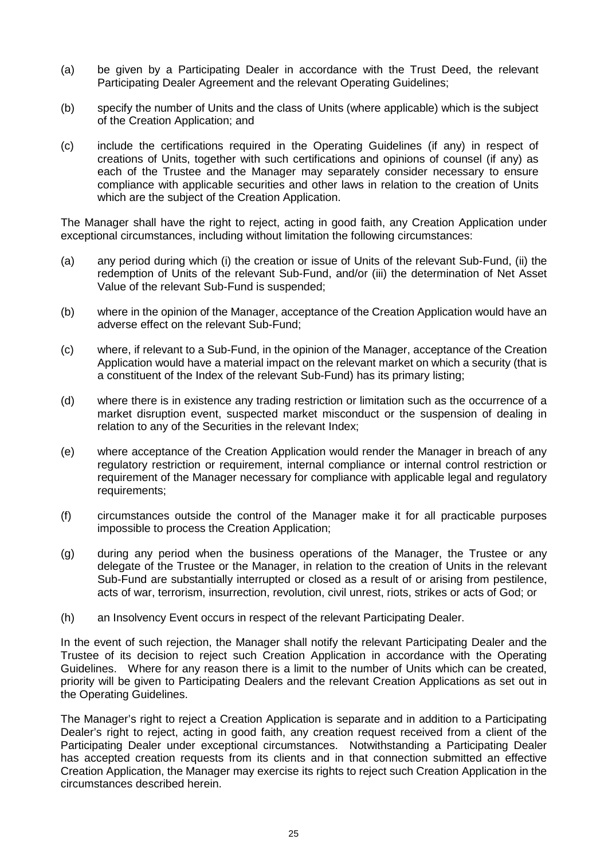- (a) be given by a Participating Dealer in accordance with the Trust Deed, the relevant Participating Dealer Agreement and the relevant Operating Guidelines;
- (b) specify the number of Units and the class of Units (where applicable) which is the subject of the Creation Application; and
- (c) include the certifications required in the Operating Guidelines (if any) in respect of creations of Units, together with such certifications and opinions of counsel (if any) as each of the Trustee and the Manager may separately consider necessary to ensure compliance with applicable securities and other laws in relation to the creation of Units which are the subject of the Creation Application.

The Manager shall have the right to reject, acting in good faith, any Creation Application under exceptional circumstances, including without limitation the following circumstances:

- (a) any period during which (i) the creation or issue of Units of the relevant Sub-Fund, (ii) the redemption of Units of the relevant Sub-Fund, and/or (iii) the determination of Net Asset Value of the relevant Sub-Fund is suspended;
- (b) where in the opinion of the Manager, acceptance of the Creation Application would have an adverse effect on the relevant Sub-Fund;
- (c) where, if relevant to a Sub-Fund, in the opinion of the Manager, acceptance of the Creation Application would have a material impact on the relevant market on which a security (that is a constituent of the Index of the relevant Sub-Fund) has its primary listing;
- (d) where there is in existence any trading restriction or limitation such as the occurrence of a market disruption event, suspected market misconduct or the suspension of dealing in relation to any of the Securities in the relevant Index;
- (e) where acceptance of the Creation Application would render the Manager in breach of any regulatory restriction or requirement, internal compliance or internal control restriction or requirement of the Manager necessary for compliance with applicable legal and regulatory requirements;
- (f) circumstances outside the control of the Manager make it for all practicable purposes impossible to process the Creation Application;
- (g) during any period when the business operations of the Manager, the Trustee or any delegate of the Trustee or the Manager, in relation to the creation of Units in the relevant Sub-Fund are substantially interrupted or closed as a result of or arising from pestilence, acts of war, terrorism, insurrection, revolution, civil unrest, riots, strikes or acts of God; or
- (h) an Insolvency Event occurs in respect of the relevant Participating Dealer.

In the event of such rejection, the Manager shall notify the relevant Participating Dealer and the Trustee of its decision to reject such Creation Application in accordance with the Operating Guidelines. Where for any reason there is a limit to the number of Units which can be created, priority will be given to Participating Dealers and the relevant Creation Applications as set out in the Operating Guidelines.

The Manager's right to reject a Creation Application is separate and in addition to a Participating Dealer's right to reject, acting in good faith, any creation request received from a client of the Participating Dealer under exceptional circumstances. Notwithstanding a Participating Dealer has accepted creation requests from its clients and in that connection submitted an effective Creation Application, the Manager may exercise its rights to reject such Creation Application in the circumstances described herein.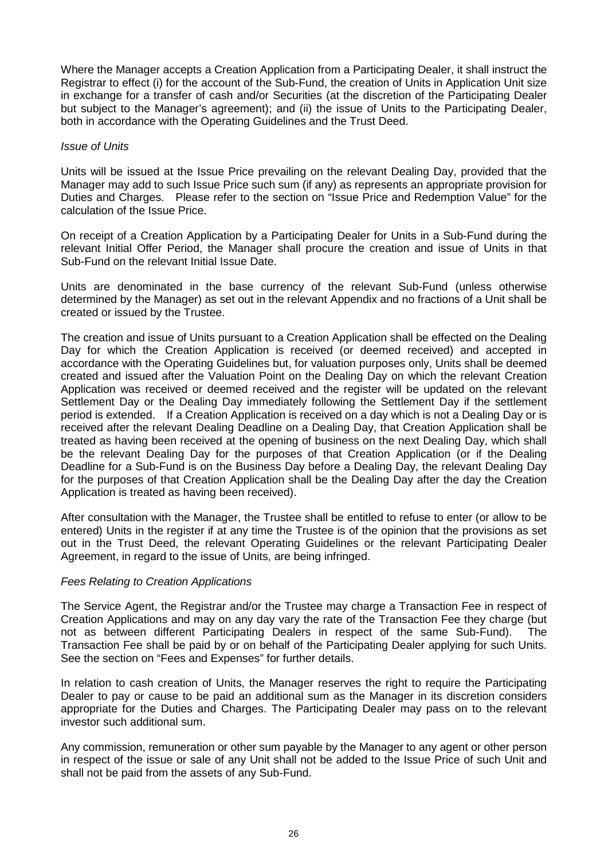Where the Manager accepts a Creation Application from a Participating Dealer, it shall instruct the Registrar to effect (i) for the account of the Sub-Fund, the creation of Units in Application Unit size in exchange for a transfer of cash and/or Securities (at the discretion of the Participating Dealer but subject to the Manager's agreement); and (ii) the issue of Units to the Participating Dealer, both in accordance with the Operating Guidelines and the Trust Deed.

#### *Issue of Units*

Units will be issued at the Issue Price prevailing on the relevant Dealing Day, provided that the Manager may add to such Issue Price such sum (if any) as represents an appropriate provision for Duties and Charges. Please refer to the section on "Issue Price and Redemption Value" for the calculation of the Issue Price.

On receipt of a Creation Application by a Participating Dealer for Units in a Sub-Fund during the relevant Initial Offer Period, the Manager shall procure the creation and issue of Units in that Sub-Fund on the relevant Initial Issue Date.

Units are denominated in the base currency of the relevant Sub-Fund (unless otherwise determined by the Manager) as set out in the relevant Appendix and no fractions of a Unit shall be created or issued by the Trustee.

The creation and issue of Units pursuant to a Creation Application shall be effected on the Dealing Day for which the Creation Application is received (or deemed received) and accepted in accordance with the Operating Guidelines but, for valuation purposes only, Units shall be deemed created and issued after the Valuation Point on the Dealing Day on which the relevant Creation Application was received or deemed received and the register will be updated on the relevant Settlement Day or the Dealing Day immediately following the Settlement Day if the settlement period is extended. If a Creation Application is received on a day which is not a Dealing Day or is received after the relevant Dealing Deadline on a Dealing Day, that Creation Application shall be treated as having been received at the opening of business on the next Dealing Day, which shall be the relevant Dealing Day for the purposes of that Creation Application (or if the Dealing Deadline for a Sub-Fund is on the Business Day before a Dealing Day, the relevant Dealing Day for the purposes of that Creation Application shall be the Dealing Day after the day the Creation Application is treated as having been received).

After consultation with the Manager, the Trustee shall be entitled to refuse to enter (or allow to be entered) Units in the register if at any time the Trustee is of the opinion that the provisions as set out in the Trust Deed, the relevant Operating Guidelines or the relevant Participating Dealer Agreement, in regard to the issue of Units, are being infringed.

#### *Fees Relating to Creation Applications*

The Service Agent, the Registrar and/or the Trustee may charge a Transaction Fee in respect of Creation Applications and may on any day vary the rate of the Transaction Fee they charge (but not as between different Participating Dealers in respect of the same Sub-Fund). The Transaction Fee shall be paid by or on behalf of the Participating Dealer applying for such Units. See the section on "Fees and Expenses" for further details.

In relation to cash creation of Units, the Manager reserves the right to require the Participating Dealer to pay or cause to be paid an additional sum as the Manager in its discretion considers appropriate for the Duties and Charges. The Participating Dealer may pass on to the relevant investor such additional sum.

Any commission, remuneration or other sum payable by the Manager to any agent or other person in respect of the issue or sale of any Unit shall not be added to the Issue Price of such Unit and shall not be paid from the assets of any Sub-Fund.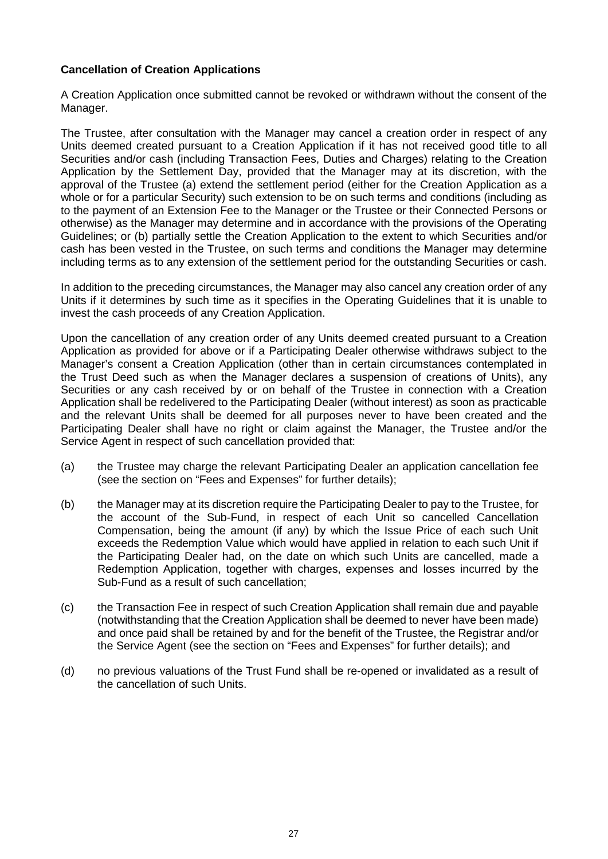#### **Cancellation of Creation Applications**

A Creation Application once submitted cannot be revoked or withdrawn without the consent of the Manager.

The Trustee, after consultation with the Manager may cancel a creation order in respect of any Units deemed created pursuant to a Creation Application if it has not received good title to all Securities and/or cash (including Transaction Fees, Duties and Charges) relating to the Creation Application by the Settlement Day, provided that the Manager may at its discretion, with the approval of the Trustee (a) extend the settlement period (either for the Creation Application as a whole or for a particular Security) such extension to be on such terms and conditions (including as to the payment of an Extension Fee to the Manager or the Trustee or their Connected Persons or otherwise) as the Manager may determine and in accordance with the provisions of the Operating Guidelines; or (b) partially settle the Creation Application to the extent to which Securities and/or cash has been vested in the Trustee, on such terms and conditions the Manager may determine including terms as to any extension of the settlement period for the outstanding Securities or cash.

In addition to the preceding circumstances, the Manager may also cancel any creation order of any Units if it determines by such time as it specifies in the Operating Guidelines that it is unable to invest the cash proceeds of any Creation Application.

Upon the cancellation of any creation order of any Units deemed created pursuant to a Creation Application as provided for above or if a Participating Dealer otherwise withdraws subject to the Manager's consent a Creation Application (other than in certain circumstances contemplated in the Trust Deed such as when the Manager declares a suspension of creations of Units), any Securities or any cash received by or on behalf of the Trustee in connection with a Creation Application shall be redelivered to the Participating Dealer (without interest) as soon as practicable and the relevant Units shall be deemed for all purposes never to have been created and the Participating Dealer shall have no right or claim against the Manager, the Trustee and/or the Service Agent in respect of such cancellation provided that:

- (a) the Trustee may charge the relevant Participating Dealer an application cancellation fee (see the section on "Fees and Expenses" for further details);
- (b) the Manager may at its discretion require the Participating Dealer to pay to the Trustee, for the account of the Sub-Fund, in respect of each Unit so cancelled Cancellation Compensation, being the amount (if any) by which the Issue Price of each such Unit exceeds the Redemption Value which would have applied in relation to each such Unit if the Participating Dealer had, on the date on which such Units are cancelled, made a Redemption Application, together with charges, expenses and losses incurred by the Sub-Fund as a result of such cancellation;
- (c) the Transaction Fee in respect of such Creation Application shall remain due and payable (notwithstanding that the Creation Application shall be deemed to never have been made) and once paid shall be retained by and for the benefit of the Trustee, the Registrar and/or the Service Agent (see the section on "Fees and Expenses" for further details); and
- (d) no previous valuations of the Trust Fund shall be re-opened or invalidated as a result of the cancellation of such Units.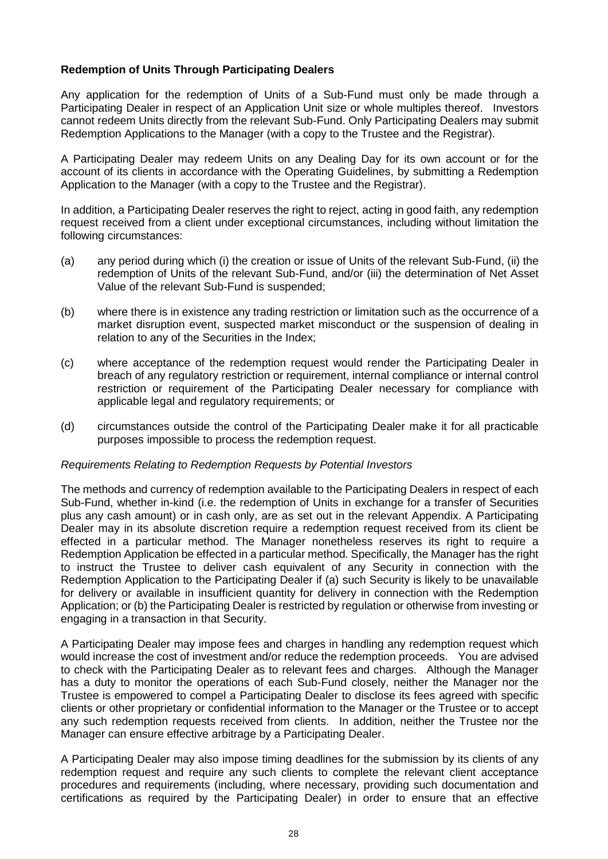#### **Redemption of Units Through Participating Dealers**

Any application for the redemption of Units of a Sub-Fund must only be made through a Participating Dealer in respect of an Application Unit size or whole multiples thereof. Investors cannot redeem Units directly from the relevant Sub-Fund. Only Participating Dealers may submit Redemption Applications to the Manager (with a copy to the Trustee and the Registrar).

A Participating Dealer may redeem Units on any Dealing Day for its own account or for the account of its clients in accordance with the Operating Guidelines, by submitting a Redemption Application to the Manager (with a copy to the Trustee and the Registrar).

In addition, a Participating Dealer reserves the right to reject, acting in good faith, any redemption request received from a client under exceptional circumstances, including without limitation the following circumstances:

- (a) any period during which (i) the creation or issue of Units of the relevant Sub-Fund, (ii) the redemption of Units of the relevant Sub-Fund, and/or (iii) the determination of Net Asset Value of the relevant Sub-Fund is suspended;
- (b) where there is in existence any trading restriction or limitation such as the occurrence of a market disruption event, suspected market misconduct or the suspension of dealing in relation to any of the Securities in the Index;
- (c) where acceptance of the redemption request would render the Participating Dealer in breach of any regulatory restriction or requirement, internal compliance or internal control restriction or requirement of the Participating Dealer necessary for compliance with applicable legal and regulatory requirements; or
- (d) circumstances outside the control of the Participating Dealer make it for all practicable purposes impossible to process the redemption request.

#### *Requirements Relating to Redemption Requests by Potential Investors*

The methods and currency of redemption available to the Participating Dealers in respect of each Sub-Fund, whether in-kind (i.e. the redemption of Units in exchange for a transfer of Securities plus any cash amount) or in cash only, are as set out in the relevant Appendix. A Participating Dealer may in its absolute discretion require a redemption request received from its client be effected in a particular method. The Manager nonetheless reserves its right to require a Redemption Application be effected in a particular method. Specifically, the Manager has the right to instruct the Trustee to deliver cash equivalent of any Security in connection with the Redemption Application to the Participating Dealer if (a) such Security is likely to be unavailable for delivery or available in insufficient quantity for delivery in connection with the Redemption Application; or (b) the Participating Dealer is restricted by regulation or otherwise from investing or engaging in a transaction in that Security.

A Participating Dealer may impose fees and charges in handling any redemption request which would increase the cost of investment and/or reduce the redemption proceeds. You are advised to check with the Participating Dealer as to relevant fees and charges. Although the Manager has a duty to monitor the operations of each Sub-Fund closely, neither the Manager nor the Trustee is empowered to compel a Participating Dealer to disclose its fees agreed with specific clients or other proprietary or confidential information to the Manager or the Trustee or to accept any such redemption requests received from clients. In addition, neither the Trustee nor the Manager can ensure effective arbitrage by a Participating Dealer.

A Participating Dealer may also impose timing deadlines for the submission by its clients of any redemption request and require any such clients to complete the relevant client acceptance procedures and requirements (including, where necessary, providing such documentation and certifications as required by the Participating Dealer) in order to ensure that an effective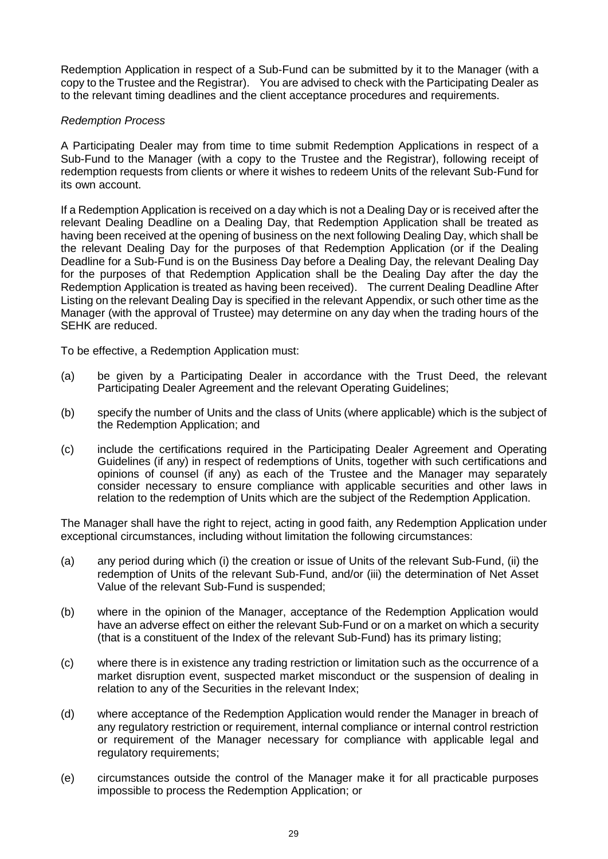Redemption Application in respect of a Sub-Fund can be submitted by it to the Manager (with a copy to the Trustee and the Registrar). You are advised to check with the Participating Dealer as to the relevant timing deadlines and the client acceptance procedures and requirements.

#### *Redemption Process*

A Participating Dealer may from time to time submit Redemption Applications in respect of a Sub-Fund to the Manager (with a copy to the Trustee and the Registrar), following receipt of redemption requests from clients or where it wishes to redeem Units of the relevant Sub-Fund for its own account.

If a Redemption Application is received on a day which is not a Dealing Day or is received after the relevant Dealing Deadline on a Dealing Day, that Redemption Application shall be treated as having been received at the opening of business on the next following Dealing Day, which shall be the relevant Dealing Day for the purposes of that Redemption Application (or if the Dealing Deadline for a Sub-Fund is on the Business Day before a Dealing Day, the relevant Dealing Day for the purposes of that Redemption Application shall be the Dealing Day after the day the Redemption Application is treated as having been received). The current Dealing Deadline After Listing on the relevant Dealing Day is specified in the relevant Appendix, or such other time as the Manager (with the approval of Trustee) may determine on any day when the trading hours of the SEHK are reduced.

To be effective, a Redemption Application must:

- (a) be given by a Participating Dealer in accordance with the Trust Deed, the relevant Participating Dealer Agreement and the relevant Operating Guidelines:
- (b) specify the number of Units and the class of Units (where applicable) which is the subject of the Redemption Application; and
- (c) include the certifications required in the Participating Dealer Agreement and Operating Guidelines (if any) in respect of redemptions of Units, together with such certifications and opinions of counsel (if any) as each of the Trustee and the Manager may separately consider necessary to ensure compliance with applicable securities and other laws in relation to the redemption of Units which are the subject of the Redemption Application.

The Manager shall have the right to reject, acting in good faith, any Redemption Application under exceptional circumstances, including without limitation the following circumstances:

- (a) any period during which (i) the creation or issue of Units of the relevant Sub-Fund, (ii) the redemption of Units of the relevant Sub-Fund, and/or (iii) the determination of Net Asset Value of the relevant Sub-Fund is suspended;
- (b) where in the opinion of the Manager, acceptance of the Redemption Application would have an adverse effect on either the relevant Sub-Fund or on a market on which a security (that is a constituent of the Index of the relevant Sub-Fund) has its primary listing;
- (c) where there is in existence any trading restriction or limitation such as the occurrence of a market disruption event, suspected market misconduct or the suspension of dealing in relation to any of the Securities in the relevant Index;
- (d) where acceptance of the Redemption Application would render the Manager in breach of any regulatory restriction or requirement, internal compliance or internal control restriction or requirement of the Manager necessary for compliance with applicable legal and regulatory requirements;
- (e) circumstances outside the control of the Manager make it for all practicable purposes impossible to process the Redemption Application; or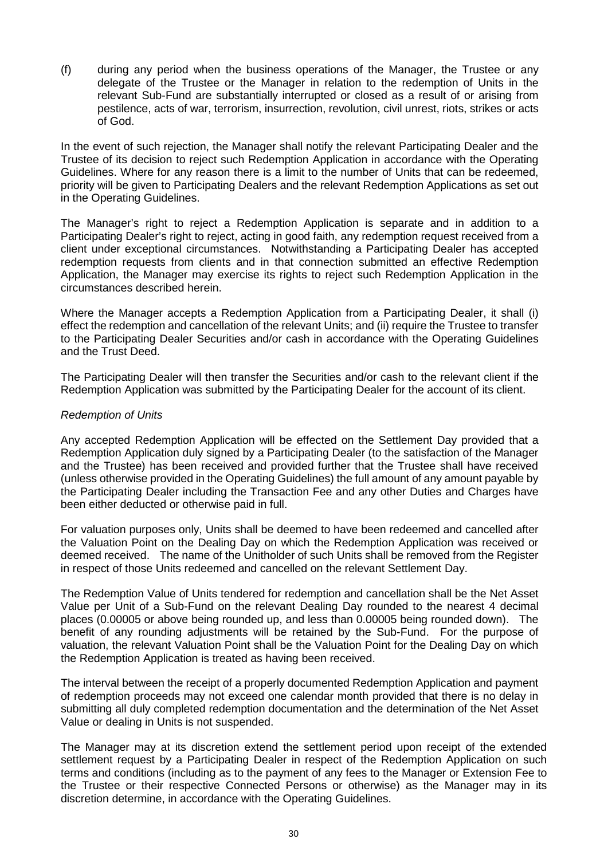(f) during any period when the business operations of the Manager, the Trustee or any delegate of the Trustee or the Manager in relation to the redemption of Units in the relevant Sub-Fund are substantially interrupted or closed as a result of or arising from pestilence, acts of war, terrorism, insurrection, revolution, civil unrest, riots, strikes or acts of God.

In the event of such rejection, the Manager shall notify the relevant Participating Dealer and the Trustee of its decision to reject such Redemption Application in accordance with the Operating Guidelines. Where for any reason there is a limit to the number of Units that can be redeemed, priority will be given to Participating Dealers and the relevant Redemption Applications as set out in the Operating Guidelines.

The Manager's right to reject a Redemption Application is separate and in addition to a Participating Dealer's right to reject, acting in good faith, any redemption request received from a client under exceptional circumstances. Notwithstanding a Participating Dealer has accepted redemption requests from clients and in that connection submitted an effective Redemption Application, the Manager may exercise its rights to reject such Redemption Application in the circumstances described herein.

Where the Manager accepts a Redemption Application from a Participating Dealer, it shall (i) effect the redemption and cancellation of the relevant Units; and (ii) require the Trustee to transfer to the Participating Dealer Securities and/or cash in accordance with the Operating Guidelines and the Trust Deed.

The Participating Dealer will then transfer the Securities and/or cash to the relevant client if the Redemption Application was submitted by the Participating Dealer for the account of its client.

#### *Redemption of Units*

Any accepted Redemption Application will be effected on the Settlement Day provided that a Redemption Application duly signed by a Participating Dealer (to the satisfaction of the Manager and the Trustee) has been received and provided further that the Trustee shall have received (unless otherwise provided in the Operating Guidelines) the full amount of any amount payable by the Participating Dealer including the Transaction Fee and any other Duties and Charges have been either deducted or otherwise paid in full.

For valuation purposes only, Units shall be deemed to have been redeemed and cancelled after the Valuation Point on the Dealing Day on which the Redemption Application was received or deemed received. The name of the Unitholder of such Units shall be removed from the Register in respect of those Units redeemed and cancelled on the relevant Settlement Day.

The Redemption Value of Units tendered for redemption and cancellation shall be the Net Asset Value per Unit of a Sub-Fund on the relevant Dealing Day rounded to the nearest 4 decimal places (0.00005 or above being rounded up, and less than 0.00005 being rounded down). The benefit of any rounding adjustments will be retained by the Sub-Fund. For the purpose of valuation, the relevant Valuation Point shall be the Valuation Point for the Dealing Day on which the Redemption Application is treated as having been received.

The interval between the receipt of a properly documented Redemption Application and payment of redemption proceeds may not exceed one calendar month provided that there is no delay in submitting all duly completed redemption documentation and the determination of the Net Asset Value or dealing in Units is not suspended.

The Manager may at its discretion extend the settlement period upon receipt of the extended settlement request by a Participating Dealer in respect of the Redemption Application on such terms and conditions (including as to the payment of any fees to the Manager or Extension Fee to the Trustee or their respective Connected Persons or otherwise) as the Manager may in its discretion determine, in accordance with the Operating Guidelines.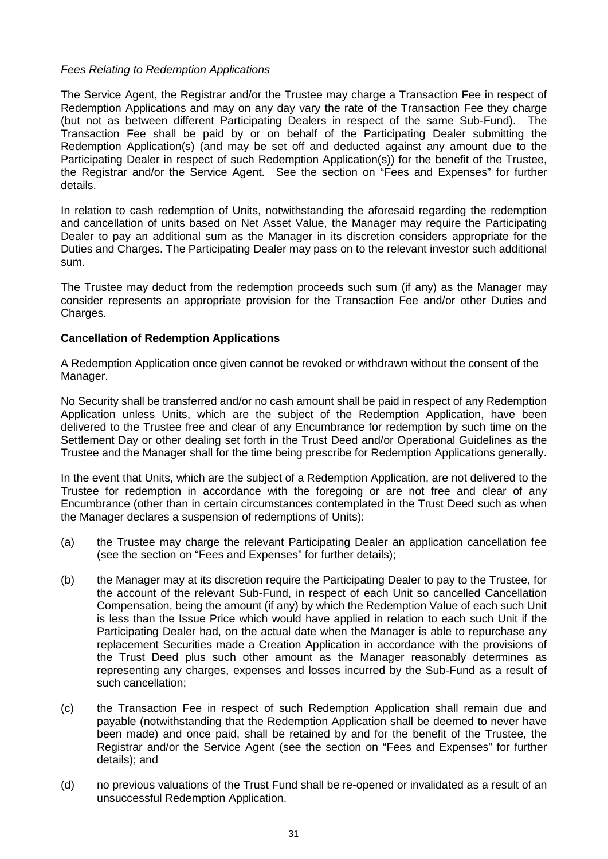#### *Fees Relating to Redemption Applications*

The Service Agent, the Registrar and/or the Trustee may charge a Transaction Fee in respect of Redemption Applications and may on any day vary the rate of the Transaction Fee they charge (but not as between different Participating Dealers in respect of the same Sub-Fund). The Transaction Fee shall be paid by or on behalf of the Participating Dealer submitting the Redemption Application(s) (and may be set off and deducted against any amount due to the Participating Dealer in respect of such Redemption Application(s)) for the benefit of the Trustee, the Registrar and/or the Service Agent. See the section on "Fees and Expenses" for further details.

In relation to cash redemption of Units, notwithstanding the aforesaid regarding the redemption and cancellation of units based on Net Asset Value, the Manager may require the Participating Dealer to pay an additional sum as the Manager in its discretion considers appropriate for the Duties and Charges. The Participating Dealer may pass on to the relevant investor such additional sum.

The Trustee may deduct from the redemption proceeds such sum (if any) as the Manager may consider represents an appropriate provision for the Transaction Fee and/or other Duties and Charges.

#### **Cancellation of Redemption Applications**

A Redemption Application once given cannot be revoked or withdrawn without the consent of the Manager.

No Security shall be transferred and/or no cash amount shall be paid in respect of any Redemption Application unless Units, which are the subject of the Redemption Application, have been delivered to the Trustee free and clear of any Encumbrance for redemption by such time on the Settlement Day or other dealing set forth in the Trust Deed and/or Operational Guidelines as the Trustee and the Manager shall for the time being prescribe for Redemption Applications generally.

In the event that Units, which are the subject of a Redemption Application, are not delivered to the Trustee for redemption in accordance with the foregoing or are not free and clear of any Encumbrance (other than in certain circumstances contemplated in the Trust Deed such as when the Manager declares a suspension of redemptions of Units):

- (a) the Trustee may charge the relevant Participating Dealer an application cancellation fee (see the section on "Fees and Expenses" for further details);
- (b) the Manager may at its discretion require the Participating Dealer to pay to the Trustee, for the account of the relevant Sub-Fund, in respect of each Unit so cancelled Cancellation Compensation, being the amount (if any) by which the Redemption Value of each such Unit is less than the Issue Price which would have applied in relation to each such Unit if the Participating Dealer had, on the actual date when the Manager is able to repurchase any replacement Securities made a Creation Application in accordance with the provisions of the Trust Deed plus such other amount as the Manager reasonably determines as representing any charges, expenses and losses incurred by the Sub-Fund as a result of such cancellation;
- (c) the Transaction Fee in respect of such Redemption Application shall remain due and payable (notwithstanding that the Redemption Application shall be deemed to never have been made) and once paid, shall be retained by and for the benefit of the Trustee, the Registrar and/or the Service Agent (see the section on "Fees and Expenses" for further details); and
- (d) no previous valuations of the Trust Fund shall be re-opened or invalidated as a result of an unsuccessful Redemption Application.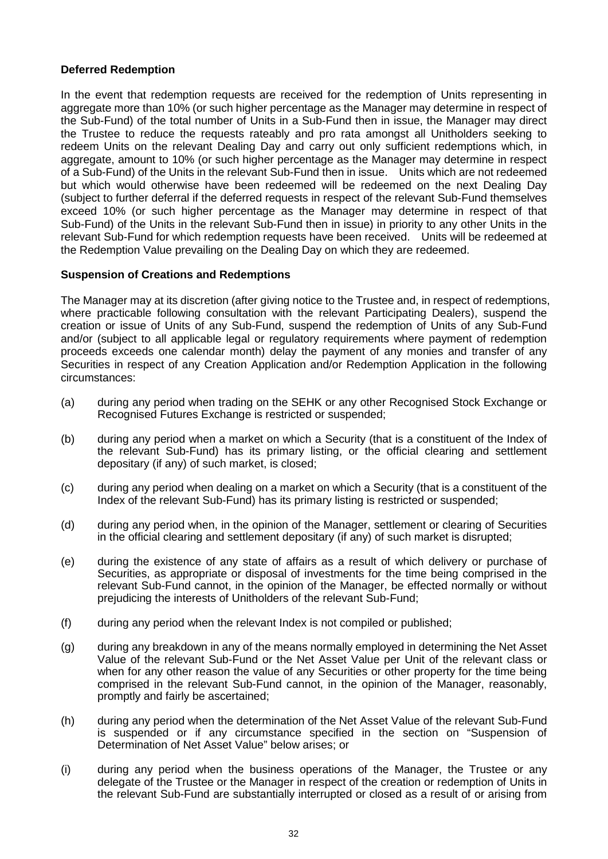# **Deferred Redemption**

In the event that redemption requests are received for the redemption of Units representing in aggregate more than 10% (or such higher percentage as the Manager may determine in respect of the Sub-Fund) of the total number of Units in a Sub-Fund then in issue, the Manager may direct the Trustee to reduce the requests rateably and pro rata amongst all Unitholders seeking to redeem Units on the relevant Dealing Day and carry out only sufficient redemptions which, in aggregate, amount to 10% (or such higher percentage as the Manager may determine in respect of a Sub-Fund) of the Units in the relevant Sub-Fund then in issue. Units which are not redeemed but which would otherwise have been redeemed will be redeemed on the next Dealing Day (subject to further deferral if the deferred requests in respect of the relevant Sub-Fund themselves exceed 10% (or such higher percentage as the Manager may determine in respect of that Sub-Fund) of the Units in the relevant Sub-Fund then in issue) in priority to any other Units in the relevant Sub-Fund for which redemption requests have been received. Units will be redeemed at the Redemption Value prevailing on the Dealing Day on which they are redeemed.

### **Suspension of Creations and Redemptions**

The Manager may at its discretion (after giving notice to the Trustee and, in respect of redemptions, where practicable following consultation with the relevant Participating Dealers), suspend the creation or issue of Units of any Sub-Fund, suspend the redemption of Units of any Sub-Fund and/or (subject to all applicable legal or regulatory requirements where payment of redemption proceeds exceeds one calendar month) delay the payment of any monies and transfer of any Securities in respect of any Creation Application and/or Redemption Application in the following circumstances:

- (a) during any period when trading on the SEHK or any other Recognised Stock Exchange or Recognised Futures Exchange is restricted or suspended;
- (b) during any period when a market on which a Security (that is a constituent of the Index of the relevant Sub-Fund) has its primary listing, or the official clearing and settlement depositary (if any) of such market, is closed;
- (c) during any period when dealing on a market on which a Security (that is a constituent of the Index of the relevant Sub-Fund) has its primary listing is restricted or suspended;
- (d) during any period when, in the opinion of the Manager, settlement or clearing of Securities in the official clearing and settlement depositary (if any) of such market is disrupted;
- (e) during the existence of any state of affairs as a result of which delivery or purchase of Securities, as appropriate or disposal of investments for the time being comprised in the relevant Sub-Fund cannot, in the opinion of the Manager, be effected normally or without prejudicing the interests of Unitholders of the relevant Sub-Fund;
- (f) during any period when the relevant Index is not compiled or published;
- (g) during any breakdown in any of the means normally employed in determining the Net Asset Value of the relevant Sub-Fund or the Net Asset Value per Unit of the relevant class or when for any other reason the value of any Securities or other property for the time being comprised in the relevant Sub-Fund cannot, in the opinion of the Manager, reasonably, promptly and fairly be ascertained;
- (h) during any period when the determination of the Net Asset Value of the relevant Sub-Fund is suspended or if any circumstance specified in the section on "Suspension of Determination of Net Asset Value" below arises; or
- (i) during any period when the business operations of the Manager, the Trustee or any delegate of the Trustee or the Manager in respect of the creation or redemption of Units in the relevant Sub-Fund are substantially interrupted or closed as a result of or arising from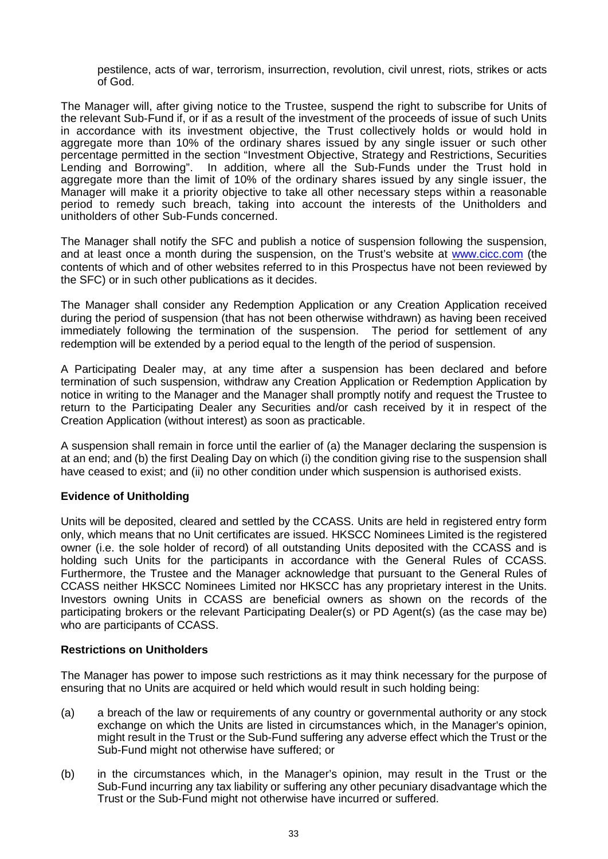pestilence, acts of war, terrorism, insurrection, revolution, civil unrest, riots, strikes or acts of God.

The Manager will, after giving notice to the Trustee, suspend the right to subscribe for Units of the relevant Sub-Fund if, or if as a result of the investment of the proceeds of issue of such Units in accordance with its investment objective, the Trust collectively holds or would hold in aggregate more than 10% of the ordinary shares issued by any single issuer or such other percentage permitted in the section "Investment Objective, Strategy and Restrictions, Securities Lending and Borrowing". In addition, where all the Sub-Funds under the Trust hold in aggregate more than the limit of 10% of the ordinary shares issued by any single issuer, the Manager will make it a priority objective to take all other necessary steps within a reasonable period to remedy such breach, taking into account the interests of the Unitholders and unitholders of other Sub-Funds concerned.

The Manager shall notify the SFC and publish a notice of suspension following the suspension, and at least once a month during the suspension, on the Trust's website at www.cicc.com (the contents of which and of other websites referred to in this Prospectus have not been reviewed by the SFC) or in such other publications as it decides.

The Manager shall consider any Redemption Application or any Creation Application received during the period of suspension (that has not been otherwise withdrawn) as having been received immediately following the termination of the suspension. The period for settlement of any redemption will be extended by a period equal to the length of the period of suspension.

A Participating Dealer may, at any time after a suspension has been declared and before termination of such suspension, withdraw any Creation Application or Redemption Application by notice in writing to the Manager and the Manager shall promptly notify and request the Trustee to return to the Participating Dealer any Securities and/or cash received by it in respect of the Creation Application (without interest) as soon as practicable.

A suspension shall remain in force until the earlier of (a) the Manager declaring the suspension is at an end; and (b) the first Dealing Day on which (i) the condition giving rise to the suspension shall have ceased to exist; and (ii) no other condition under which suspension is authorised exists.

# **Evidence of Unitholding**

Units will be deposited, cleared and settled by the CCASS. Units are held in registered entry form only, which means that no Unit certificates are issued. HKSCC Nominees Limited is the registered owner (i.e. the sole holder of record) of all outstanding Units deposited with the CCASS and is holding such Units for the participants in accordance with the General Rules of CCASS. Furthermore, the Trustee and the Manager acknowledge that pursuant to the General Rules of CCASS neither HKSCC Nominees Limited nor HKSCC has any proprietary interest in the Units. Investors owning Units in CCASS are beneficial owners as shown on the records of the participating brokers or the relevant Participating Dealer(s) or PD Agent(s) (as the case may be) who are participants of CCASS.

### **Restrictions on Unitholders**

The Manager has power to impose such restrictions as it may think necessary for the purpose of ensuring that no Units are acquired or held which would result in such holding being:

- (a) a breach of the law or requirements of any country or governmental authority or any stock exchange on which the Units are listed in circumstances which, in the Manager's opinion, might result in the Trust or the Sub-Fund suffering any adverse effect which the Trust or the Sub-Fund might not otherwise have suffered; or
- (b) in the circumstances which, in the Manager's opinion, may result in the Trust or the Sub-Fund incurring any tax liability or suffering any other pecuniary disadvantage which the Trust or the Sub-Fund might not otherwise have incurred or suffered.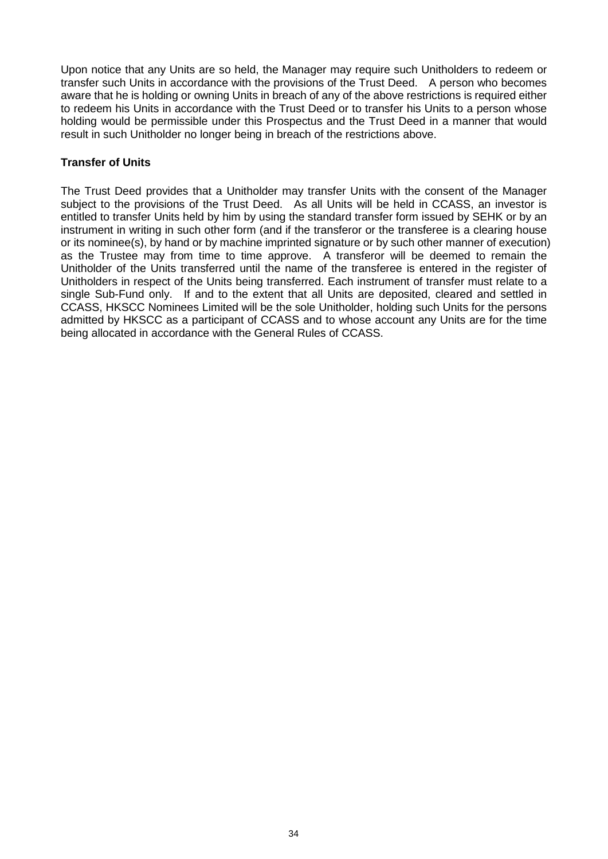Upon notice that any Units are so held, the Manager may require such Unitholders to redeem or transfer such Units in accordance with the provisions of the Trust Deed. A person who becomes aware that he is holding or owning Units in breach of any of the above restrictions is required either to redeem his Units in accordance with the Trust Deed or to transfer his Units to a person whose holding would be permissible under this Prospectus and the Trust Deed in a manner that would result in such Unitholder no longer being in breach of the restrictions above.

# **Transfer of Units**

The Trust Deed provides that a Unitholder may transfer Units with the consent of the Manager subject to the provisions of the Trust Deed. As all Units will be held in CCASS, an investor is entitled to transfer Units held by him by using the standard transfer form issued by SEHK or by an instrument in writing in such other form (and if the transferor or the transferee is a clearing house or its nominee(s), by hand or by machine imprinted signature or by such other manner of execution) as the Trustee may from time to time approve. A transferor will be deemed to remain the Unitholder of the Units transferred until the name of the transferee is entered in the register of Unitholders in respect of the Units being transferred. Each instrument of transfer must relate to a single Sub-Fund only. If and to the extent that all Units are deposited, cleared and settled in CCASS, HKSCC Nominees Limited will be the sole Unitholder, holding such Units for the persons admitted by HKSCC as a participant of CCASS and to whose account any Units are for the time being allocated in accordance with the General Rules of CCASS.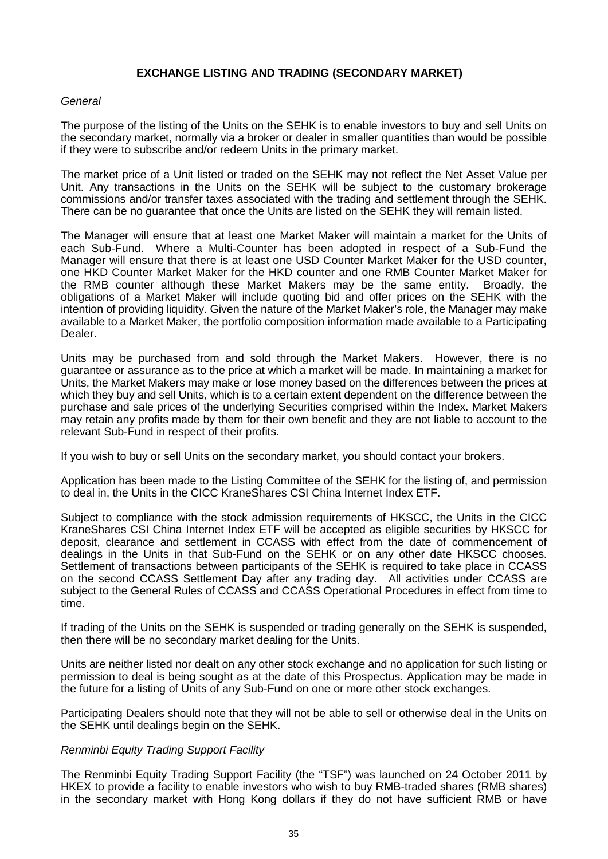### **EXCHANGE LISTING AND TRADING (SECONDARY MARKET)**

### *General*

The purpose of the listing of the Units on the SEHK is to enable investors to buy and sell Units on the secondary market, normally via a broker or dealer in smaller quantities than would be possible if they were to subscribe and/or redeem Units in the primary market.

The market price of a Unit listed or traded on the SEHK may not reflect the Net Asset Value per Unit. Any transactions in the Units on the SEHK will be subject to the customary brokerage commissions and/or transfer taxes associated with the trading and settlement through the SEHK. There can be no guarantee that once the Units are listed on the SEHK they will remain listed.

The Manager will ensure that at least one Market Maker will maintain a market for the Units of each Sub-Fund. Where a Multi-Counter has been adopted in respect of a Sub-Fund the Manager will ensure that there is at least one USD Counter Market Maker for the USD counter, one HKD Counter Market Maker for the HKD counter and one RMB Counter Market Maker for<br>the RMB counter although these Market Makers may be the same entity. Broadly, the the RMB counter although these Market Makers may be the same entity. obligations of a Market Maker will include quoting bid and offer prices on the SEHK with the intention of providing liquidity. Given the nature of the Market Maker's role, the Manager may make available to a Market Maker, the portfolio composition information made available to a Participating Dealer.

Units may be purchased from and sold through the Market Makers. However, there is no guarantee or assurance as to the price at which a market will be made. In maintaining a market for Units, the Market Makers may make or lose money based on the differences between the prices at which they buy and sell Units, which is to a certain extent dependent on the difference between the purchase and sale prices of the underlying Securities comprised within the Index. Market Makers may retain any profits made by them for their own benefit and they are not liable to account to the relevant Sub-Fund in respect of their profits.

If you wish to buy or sell Units on the secondary market, you should contact your brokers.

Application has been made to the Listing Committee of the SEHK for the listing of, and permission to deal in, the Units in the CICC KraneShares CSI China Internet Index ETF.

Subject to compliance with the stock admission requirements of HKSCC, the Units in the CICC KraneShares CSI China Internet Index ETF will be accepted as eligible securities by HKSCC for deposit, clearance and settlement in CCASS with effect from the date of commencement of dealings in the Units in that Sub-Fund on the SEHK or on any other date HKSCC chooses. Settlement of transactions between participants of the SEHK is required to take place in CCASS on the second CCASS Settlement Day after any trading day. All activities under CCASS are subject to the General Rules of CCASS and CCASS Operational Procedures in effect from time to time.

If trading of the Units on the SEHK is suspended or trading generally on the SEHK is suspended, then there will be no secondary market dealing for the Units.

Units are neither listed nor dealt on any other stock exchange and no application for such listing or permission to deal is being sought as at the date of this Prospectus. Application may be made in the future for a listing of Units of any Sub-Fund on one or more other stock exchanges.

Participating Dealers should note that they will not be able to sell or otherwise deal in the Units on the SEHK until dealings begin on the SEHK.

### *Renminbi Equity Trading Support Facility*

The Renminbi Equity Trading Support Facility (the "TSF") was launched on 24 October 2011 by HKEX to provide a facility to enable investors who wish to buy RMB-traded shares (RMB shares) in the secondary market with Hong Kong dollars if they do not have sufficient RMB or have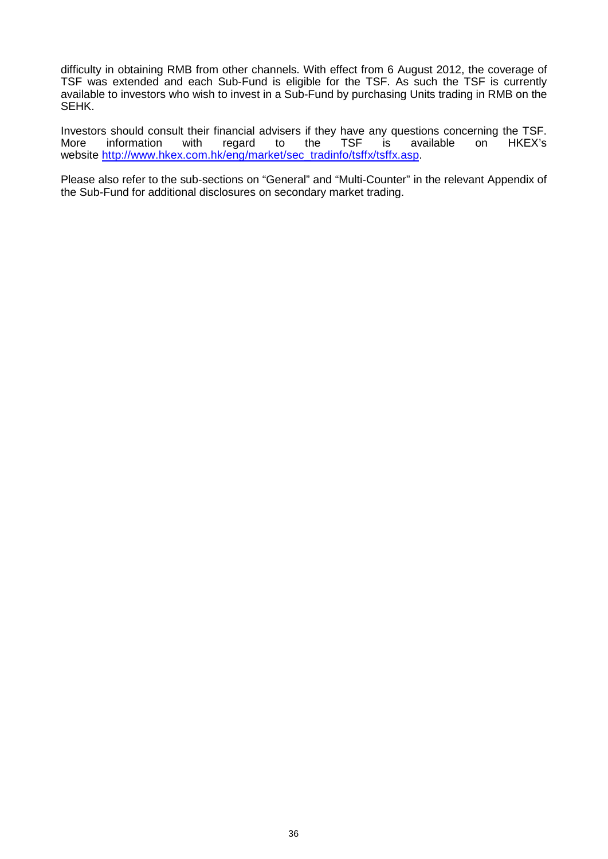difficulty in obtaining RMB from other channels. With effect from 6 August 2012, the coverage of TSF was extended and each Sub-Fund is eligible for the TSF. As such the TSF is currently available to investors who wish to invest in a Sub-Fund by purchasing Units trading in RMB on the SEHK.

Investors should consult their financial advisers if they have any questions concerning the TSF.<br>More information with regard to the TSF is available on HKEX's More information with regard to the TSF is available on HKEX's website http://www.hkex.com.hk/eng/market/sec\_tradinfo/tsffx/tsffx.asp.

Please also refer to the sub-sections on "General" and "Multi-Counter" in the relevant Appendix of the Sub-Fund for additional disclosures on secondary market trading.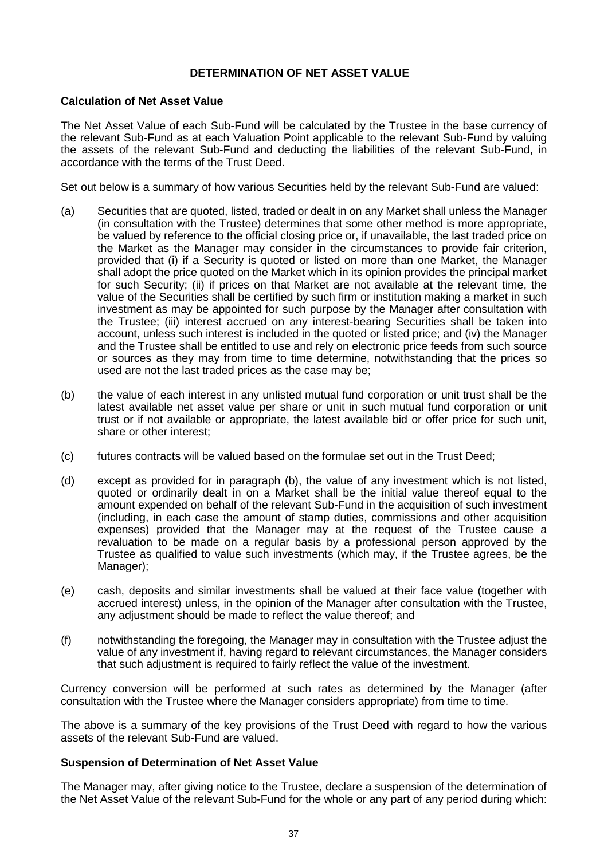### **DETERMINATION OF NET ASSET VALUE**

### **Calculation of Net Asset Value**

The Net Asset Value of each Sub-Fund will be calculated by the Trustee in the base currency of the relevant Sub-Fund as at each Valuation Point applicable to the relevant Sub-Fund by valuing the assets of the relevant Sub-Fund and deducting the liabilities of the relevant Sub-Fund, in accordance with the terms of the Trust Deed.

Set out below is a summary of how various Securities held by the relevant Sub-Fund are valued:

- (a) Securities that are quoted, listed, traded or dealt in on any Market shall unless the Manager (in consultation with the Trustee) determines that some other method is more appropriate, be valued by reference to the official closing price or, if unavailable, the last traded price on the Market as the Manager may consider in the circumstances to provide fair criterion, provided that (i) if a Security is quoted or listed on more than one Market, the Manager shall adopt the price quoted on the Market which in its opinion provides the principal market for such Security; (ii) if prices on that Market are not available at the relevant time, the value of the Securities shall be certified by such firm or institution making a market in such investment as may be appointed for such purpose by the Manager after consultation with the Trustee; (iii) interest accrued on any interest-bearing Securities shall be taken into account, unless such interest is included in the quoted or listed price; and (iv) the Manager and the Trustee shall be entitled to use and rely on electronic price feeds from such source or sources as they may from time to time determine, notwithstanding that the prices so used are not the last traded prices as the case may be;
- (b) the value of each interest in any unlisted mutual fund corporation or unit trust shall be the latest available net asset value per share or unit in such mutual fund corporation or unit trust or if not available or appropriate, the latest available bid or offer price for such unit, share or other interest;
- (c) futures contracts will be valued based on the formulae set out in the Trust Deed;
- (d) except as provided for in paragraph (b), the value of any investment which is not listed, quoted or ordinarily dealt in on a Market shall be the initial value thereof equal to the amount expended on behalf of the relevant Sub-Fund in the acquisition of such investment (including, in each case the amount of stamp duties, commissions and other acquisition expenses) provided that the Manager may at the request of the Trustee cause a revaluation to be made on a regular basis by a professional person approved by the Trustee as qualified to value such investments (which may, if the Trustee agrees, be the Manager);
- (e) cash, deposits and similar investments shall be valued at their face value (together with accrued interest) unless, in the opinion of the Manager after consultation with the Trustee, any adjustment should be made to reflect the value thereof; and
- (f) notwithstanding the foregoing, the Manager may in consultation with the Trustee adjust the value of any investment if, having regard to relevant circumstances, the Manager considers that such adjustment is required to fairly reflect the value of the investment.

Currency conversion will be performed at such rates as determined by the Manager (after consultation with the Trustee where the Manager considers appropriate) from time to time.

The above is a summary of the key provisions of the Trust Deed with regard to how the various assets of the relevant Sub-Fund are valued.

### **Suspension of Determination of Net Asset Value**

The Manager may, after giving notice to the Trustee, declare a suspension of the determination of the Net Asset Value of the relevant Sub-Fund for the whole or any part of any period during which: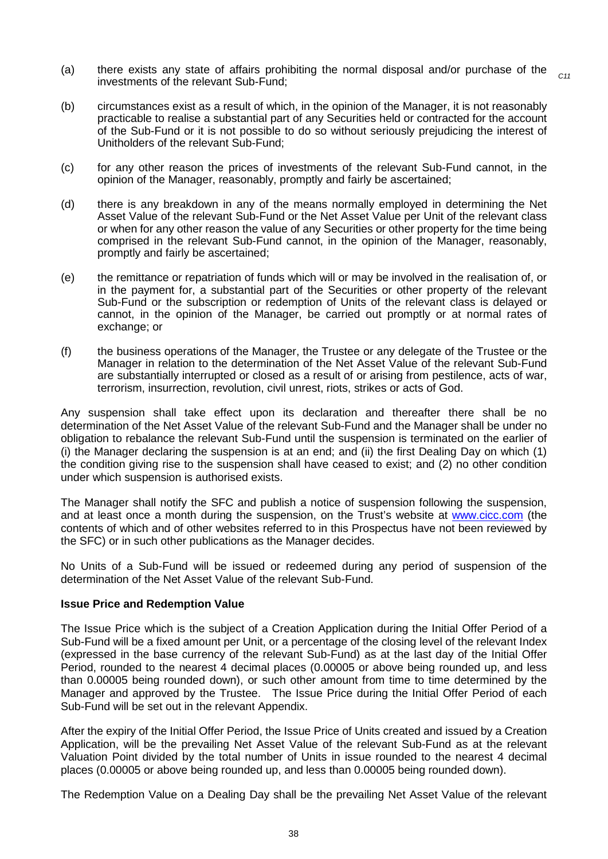- (a) there exists any state of affairs prohibiting the normal disposal and/or purchase of the investments of the relevant Sub-Fund; *C11*
- (b) circumstances exist as a result of which, in the opinion of the Manager, it is not reasonably practicable to realise a substantial part of any Securities held or contracted for the account of the Sub-Fund or it is not possible to do so without seriously prejudicing the interest of Unitholders of the relevant Sub-Fund;
- (c) for any other reason the prices of investments of the relevant Sub-Fund cannot, in the opinion of the Manager, reasonably, promptly and fairly be ascertained;
- (d) there is any breakdown in any of the means normally employed in determining the Net Asset Value of the relevant Sub-Fund or the Net Asset Value per Unit of the relevant class or when for any other reason the value of any Securities or other property for the time being comprised in the relevant Sub-Fund cannot, in the opinion of the Manager, reasonably, promptly and fairly be ascertained;
- (e) the remittance or repatriation of funds which will or may be involved in the realisation of, or in the payment for, a substantial part of the Securities or other property of the relevant Sub-Fund or the subscription or redemption of Units of the relevant class is delayed or cannot, in the opinion of the Manager, be carried out promptly or at normal rates of exchange; or
- (f) the business operations of the Manager, the Trustee or any delegate of the Trustee or the Manager in relation to the determination of the Net Asset Value of the relevant Sub-Fund are substantially interrupted or closed as a result of or arising from pestilence, acts of war, terrorism, insurrection, revolution, civil unrest, riots, strikes or acts of God.

Any suspension shall take effect upon its declaration and thereafter there shall be no determination of the Net Asset Value of the relevant Sub-Fund and the Manager shall be under no obligation to rebalance the relevant Sub-Fund until the suspension is terminated on the earlier of (i) the Manager declaring the suspension is at an end; and (ii) the first Dealing Day on which (1) the condition giving rise to the suspension shall have ceased to exist; and (2) no other condition under which suspension is authorised exists.

The Manager shall notify the SFC and publish a notice of suspension following the suspension, and at least once a month during the suspension, on the Trust's website at www.cicc.com (the contents of which and of other websites referred to in this Prospectus have not been reviewed by the SFC) or in such other publications as the Manager decides.

No Units of a Sub-Fund will be issued or redeemed during any period of suspension of the determination of the Net Asset Value of the relevant Sub-Fund.

# **Issue Price and Redemption Value**

The Issue Price which is the subject of a Creation Application during the Initial Offer Period of a Sub-Fund will be a fixed amount per Unit, or a percentage of the closing level of the relevant Index (expressed in the base currency of the relevant Sub-Fund) as at the last day of the Initial Offer Period, rounded to the nearest 4 decimal places (0.00005 or above being rounded up, and less than 0.00005 being rounded down), or such other amount from time to time determined by the Manager and approved by the Trustee. The Issue Price during the Initial Offer Period of each Sub-Fund will be set out in the relevant Appendix.

After the expiry of the Initial Offer Period, the Issue Price of Units created and issued by a Creation Application, will be the prevailing Net Asset Value of the relevant Sub-Fund as at the relevant Valuation Point divided by the total number of Units in issue rounded to the nearest 4 decimal places (0.00005 or above being rounded up, and less than 0.00005 being rounded down).

The Redemption Value on a Dealing Day shall be the prevailing Net Asset Value of the relevant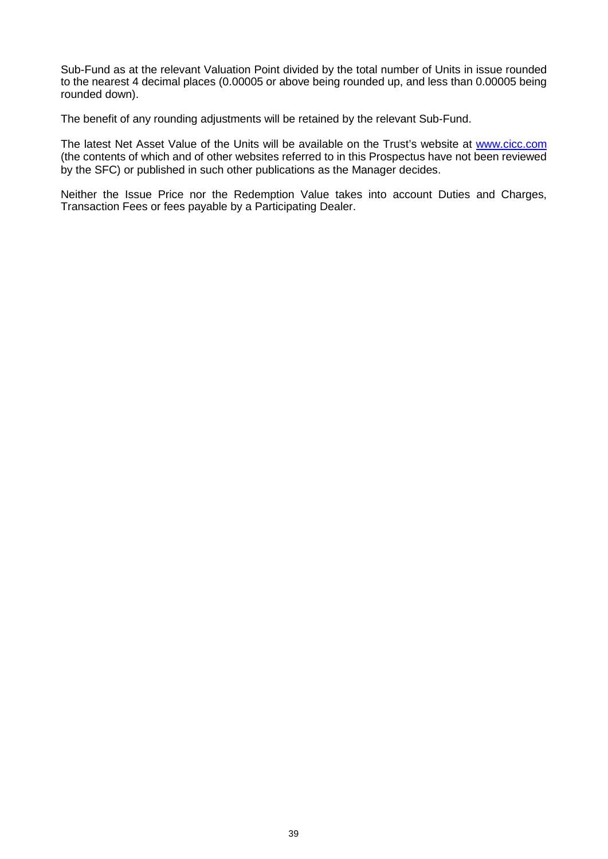Sub-Fund as at the relevant Valuation Point divided by the total number of Units in issue rounded to the nearest 4 decimal places (0.00005 or above being rounded up, and less than 0.00005 being rounded down).

The benefit of any rounding adjustments will be retained by the relevant Sub-Fund.

The latest Net Asset Value of the Units will be available on the Trust's website at www.cicc.com (the contents of which and of other websites referred to in this Prospectus have not been reviewed by the SFC) or published in such other publications as the Manager decides.

Neither the Issue Price nor the Redemption Value takes into account Duties and Charges, Transaction Fees or fees payable by a Participating Dealer.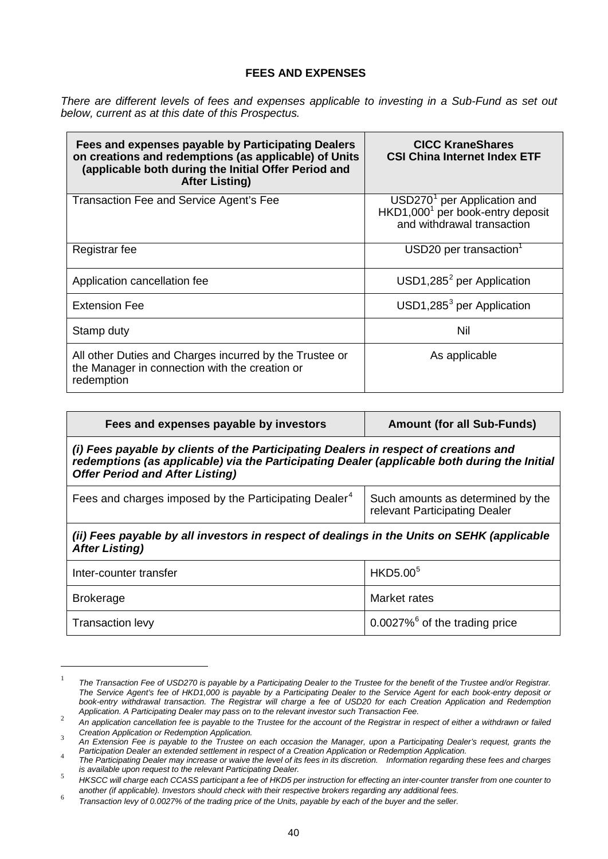## **FEES AND EXPENSES**

*There are different levels of fees and expenses applicable to investing in a Sub-Fund as set out below, current as at this date of this Prospectus.* 

| Fees and expenses payable by Participating Dealers<br>on creations and redemptions (as applicable) of Units<br>(applicable both during the Initial Offer Period and<br><b>After Listing)</b> | <b>CICC KraneShares</b><br><b>CSI China Internet Index ETF</b>                                                        |
|----------------------------------------------------------------------------------------------------------------------------------------------------------------------------------------------|-----------------------------------------------------------------------------------------------------------------------|
| Transaction Fee and Service Agent's Fee                                                                                                                                                      | USD270 <sup>1</sup> per Application and<br>HKD1,000 <sup>1</sup> per book-entry deposit<br>and withdrawal transaction |
| Registrar fee                                                                                                                                                                                | $USD20$ per transaction <sup>1</sup>                                                                                  |
| Application cancellation fee                                                                                                                                                                 | $USD1,2852$ per Application                                                                                           |
| <b>Extension Fee</b>                                                                                                                                                                         | $USD1,285^3$ per Application                                                                                          |
| Stamp duty                                                                                                                                                                                   | Nil                                                                                                                   |
| All other Duties and Charges incurred by the Trustee or<br>the Manager in connection with the creation or<br>redemption                                                                      | As applicable                                                                                                         |

| Fees and expenses payable by investors                                                                                                                                                                                         | <b>Amount (for all Sub-Funds)</b>                                  |  |
|--------------------------------------------------------------------------------------------------------------------------------------------------------------------------------------------------------------------------------|--------------------------------------------------------------------|--|
| (i) Fees payable by clients of the Participating Dealers in respect of creations and<br>redemptions (as applicable) via the Participating Dealer (applicable both during the Initial<br><b>Offer Period and After Listing)</b> |                                                                    |  |
| Fees and charges imposed by the Participating Dealer <sup>4</sup>                                                                                                                                                              | Such amounts as determined by the<br>relevant Participating Dealer |  |
| (ii) Fees payable by all investors in respect of dealings in the Units on SEHK (applicable<br><b>After Listing)</b>                                                                                                            |                                                                    |  |
| Inter-counter transfer                                                                                                                                                                                                         | HKD5.00 <sup>5</sup>                                               |  |
| <b>Brokerage</b>                                                                                                                                                                                                               | Market rates                                                       |  |
| <b>Transaction levy</b>                                                                                                                                                                                                        | $0.0027\%$ <sup>6</sup> of the trading price                       |  |

<sup>&</sup>lt;sup>1</sup> The Transaction Fee of USD270 is payable by a Participating Dealer to the Trustee for the benefit of the Trustee and/or Registrar. *The Service Agent's fee of HKD1,000 is payable by a Participating Dealer to the Service Agent for each book-entry deposit or book-entry withdrawal transaction. The Registrar will charge a fee of USD20 for each Creation Application and Redemption Application. A Participating Dealer may pass on to the relevant investor such Transaction Fee.* 

 $\overline{a}$ 

Application: A Funicipality Dealer may pass on to the relevant livestor sach mansaction Fee.<br>An application cancellation fee is payable to the Trustee for the account of the Registrar in respect of either a withdrawn or fa

*Creation Application or Redemption Application.* <sup>3</sup> *An Extension Fee is payable to the Trustee on each occasion the Manager, upon a Participating Dealer's request, grants the* 

Fanicipation Dealer an extended settlement in respect or a Creation Application or Redemption Application.<br>The Participating Dealer may increase or waive the level of its fees in its discretion. Information regarding these

*is available upon request to the relevant Participating Dealer.* <sup>5</sup> *HKSCC will charge each CCASS participant a fee of HKD5 per instruction for effecting an inter-counter transfer from one counter to* 

Transaction levy of 0.0027% of the trading price of the Units, payable by each of the buyer and the seller.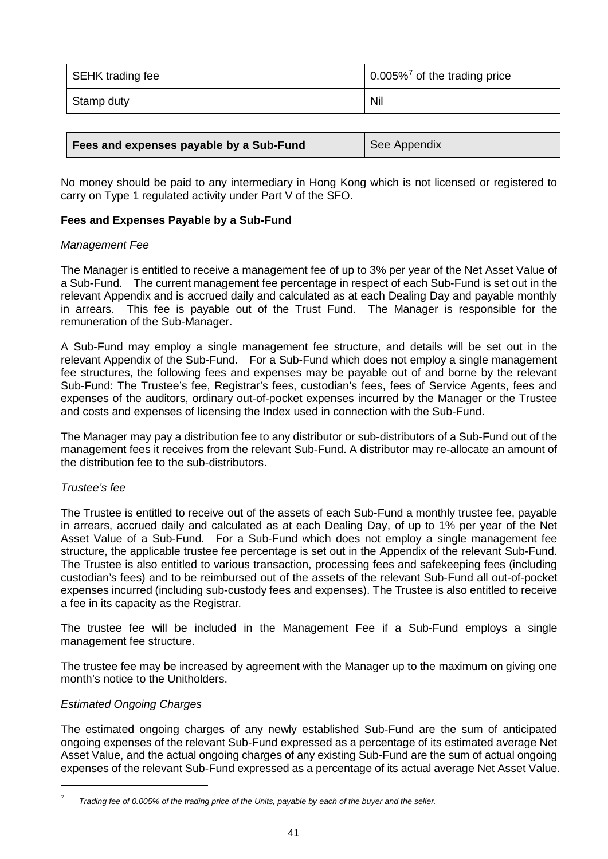| SEHK trading fee | 0.005% <sup>7</sup> of the trading price |
|------------------|------------------------------------------|
| Stamp duty       | Nil                                      |

| Fees and expenses payable by a Sub-Fund | See Appendix |
|-----------------------------------------|--------------|
|-----------------------------------------|--------------|

No money should be paid to any intermediary in Hong Kong which is not licensed or registered to carry on Type 1 regulated activity under Part V of the SFO.

## **Fees and Expenses Payable by a Sub-Fund**

### *Management Fee*

The Manager is entitled to receive a management fee of up to 3% per year of the Net Asset Value of a Sub-Fund. The current management fee percentage in respect of each Sub-Fund is set out in the relevant Appendix and is accrued daily and calculated as at each Dealing Day and payable monthly in arrears. This fee is payable out of the Trust Fund. The Manager is responsible for the remuneration of the Sub-Manager.

A Sub-Fund may employ a single management fee structure, and details will be set out in the relevant Appendix of the Sub-Fund. For a Sub-Fund which does not employ a single management fee structures, the following fees and expenses may be payable out of and borne by the relevant Sub-Fund: The Trustee's fee, Registrar's fees, custodian's fees, fees of Service Agents, fees and expenses of the auditors, ordinary out-of-pocket expenses incurred by the Manager or the Trustee and costs and expenses of licensing the Index used in connection with the Sub-Fund.

The Manager may pay a distribution fee to any distributor or sub-distributors of a Sub-Fund out of the management fees it receives from the relevant Sub-Fund. A distributor may re-allocate an amount of the distribution fee to the sub-distributors.

### *Trustee's fee*

The Trustee is entitled to receive out of the assets of each Sub-Fund a monthly trustee fee, payable in arrears, accrued daily and calculated as at each Dealing Day, of up to 1% per year of the Net Asset Value of a Sub-Fund. For a Sub-Fund which does not employ a single management fee structure, the applicable trustee fee percentage is set out in the Appendix of the relevant Sub-Fund. The Trustee is also entitled to various transaction, processing fees and safekeeping fees (including custodian's fees) and to be reimbursed out of the assets of the relevant Sub-Fund all out-of-pocket expenses incurred (including sub-custody fees and expenses). The Trustee is also entitled to receive a fee in its capacity as the Registrar.

The trustee fee will be included in the Management Fee if a Sub-Fund employs a single management fee structure.

The trustee fee may be increased by agreement with the Manager up to the maximum on giving one month's notice to the Unitholders.

# *Estimated Ongoing Charges*

 $\overline{a}$ 

The estimated ongoing charges of any newly established Sub-Fund are the sum of anticipated ongoing expenses of the relevant Sub-Fund expressed as a percentage of its estimated average Net Asset Value, and the actual ongoing charges of any existing Sub-Fund are the sum of actual ongoing expenses of the relevant Sub-Fund expressed as a percentage of its actual average Net Asset Value.

<sup>7</sup> *Trading fee of 0.005% of the trading price of the Units, payable by each of the buyer and the seller.*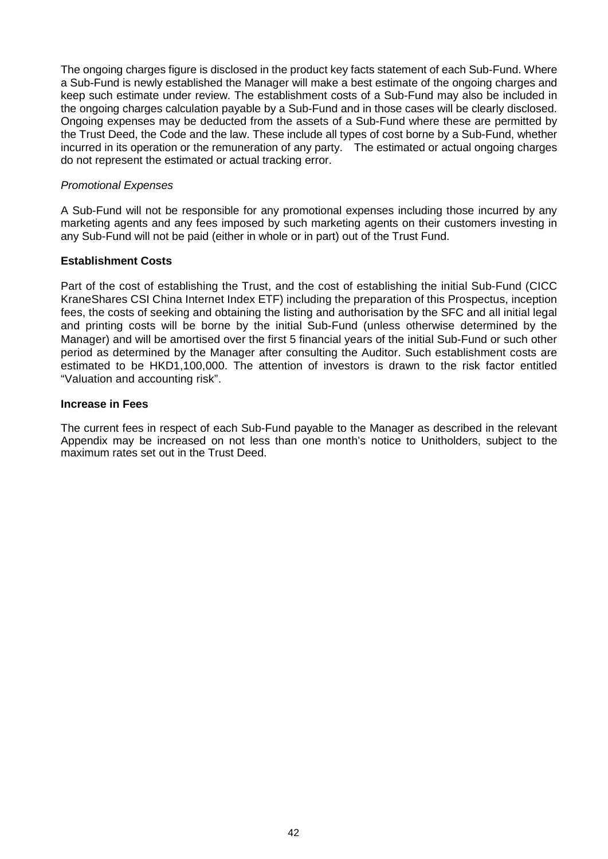The ongoing charges figure is disclosed in the product key facts statement of each Sub-Fund. Where a Sub-Fund is newly established the Manager will make a best estimate of the ongoing charges and keep such estimate under review. The establishment costs of a Sub-Fund may also be included in the ongoing charges calculation payable by a Sub-Fund and in those cases will be clearly disclosed. Ongoing expenses may be deducted from the assets of a Sub-Fund where these are permitted by the Trust Deed, the Code and the law. These include all types of cost borne by a Sub-Fund, whether incurred in its operation or the remuneration of any party. The estimated or actual ongoing charges do not represent the estimated or actual tracking error.

### *Promotional Expenses*

A Sub-Fund will not be responsible for any promotional expenses including those incurred by any marketing agents and any fees imposed by such marketing agents on their customers investing in any Sub-Fund will not be paid (either in whole or in part) out of the Trust Fund.

### **Establishment Costs**

Part of the cost of establishing the Trust, and the cost of establishing the initial Sub-Fund (CICC KraneShares CSI China Internet Index ETF) including the preparation of this Prospectus, inception fees, the costs of seeking and obtaining the listing and authorisation by the SFC and all initial legal and printing costs will be borne by the initial Sub-Fund (unless otherwise determined by the Manager) and will be amortised over the first 5 financial years of the initial Sub-Fund or such other period as determined by the Manager after consulting the Auditor. Such establishment costs are estimated to be HKD1,100,000. The attention of investors is drawn to the risk factor entitled "Valuation and accounting risk".

### **Increase in Fees**

The current fees in respect of each Sub-Fund payable to the Manager as described in the relevant Appendix may be increased on not less than one month's notice to Unitholders, subject to the maximum rates set out in the Trust Deed.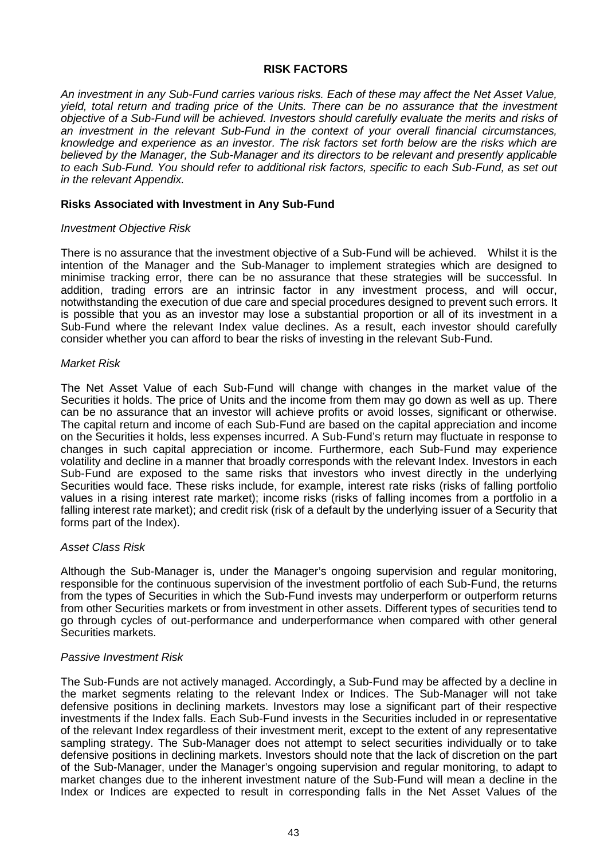### **RISK FACTORS**

*An investment in any Sub-Fund carries various risks. Each of these may affect the Net Asset Value, yield, total return and trading price of the Units. There can be no assurance that the investment objective of a Sub-Fund will be achieved. Investors should carefully evaluate the merits and risks of an investment in the relevant Sub-Fund in the context of your overall financial circumstances, knowledge and experience as an investor. The risk factors set forth below are the risks which are believed by the Manager, the Sub-Manager and its directors to be relevant and presently applicable to each Sub-Fund. You should refer to additional risk factors, specific to each Sub-Fund, as set out in the relevant Appendix.* 

#### **Risks Associated with Investment in Any Sub-Fund**

#### *Investment Objective Risk*

There is no assurance that the investment objective of a Sub-Fund will be achieved. Whilst it is the intention of the Manager and the Sub-Manager to implement strategies which are designed to minimise tracking error, there can be no assurance that these strategies will be successful. In addition, trading errors are an intrinsic factor in any investment process, and will occur, notwithstanding the execution of due care and special procedures designed to prevent such errors. It is possible that you as an investor may lose a substantial proportion or all of its investment in a Sub-Fund where the relevant Index value declines. As a result, each investor should carefully consider whether you can afford to bear the risks of investing in the relevant Sub-Fund.

#### *Market Risk*

The Net Asset Value of each Sub-Fund will change with changes in the market value of the Securities it holds. The price of Units and the income from them may go down as well as up. There can be no assurance that an investor will achieve profits or avoid losses, significant or otherwise. The capital return and income of each Sub-Fund are based on the capital appreciation and income on the Securities it holds, less expenses incurred. A Sub-Fund's return may fluctuate in response to changes in such capital appreciation or income. Furthermore, each Sub-Fund may experience volatility and decline in a manner that broadly corresponds with the relevant Index. Investors in each Sub-Fund are exposed to the same risks that investors who invest directly in the underlying Securities would face. These risks include, for example, interest rate risks (risks of falling portfolio values in a rising interest rate market); income risks (risks of falling incomes from a portfolio in a falling interest rate market); and credit risk (risk of a default by the underlying issuer of a Security that forms part of the Index).

### *Asset Class Risk*

Although the Sub-Manager is, under the Manager's ongoing supervision and regular monitoring, responsible for the continuous supervision of the investment portfolio of each Sub-Fund, the returns from the types of Securities in which the Sub-Fund invests may underperform or outperform returns from other Securities markets or from investment in other assets. Different types of securities tend to go through cycles of out-performance and underperformance when compared with other general Securities markets.

#### *Passive Investment Risk*

The Sub-Funds are not actively managed. Accordingly, a Sub-Fund may be affected by a decline in the market segments relating to the relevant Index or Indices. The Sub-Manager will not take defensive positions in declining markets. Investors may lose a significant part of their respective investments if the Index falls. Each Sub-Fund invests in the Securities included in or representative of the relevant Index regardless of their investment merit, except to the extent of any representative sampling strategy. The Sub-Manager does not attempt to select securities individually or to take defensive positions in declining markets. Investors should note that the lack of discretion on the part of the Sub-Manager, under the Manager's ongoing supervision and regular monitoring, to adapt to market changes due to the inherent investment nature of the Sub-Fund will mean a decline in the Index or Indices are expected to result in corresponding falls in the Net Asset Values of the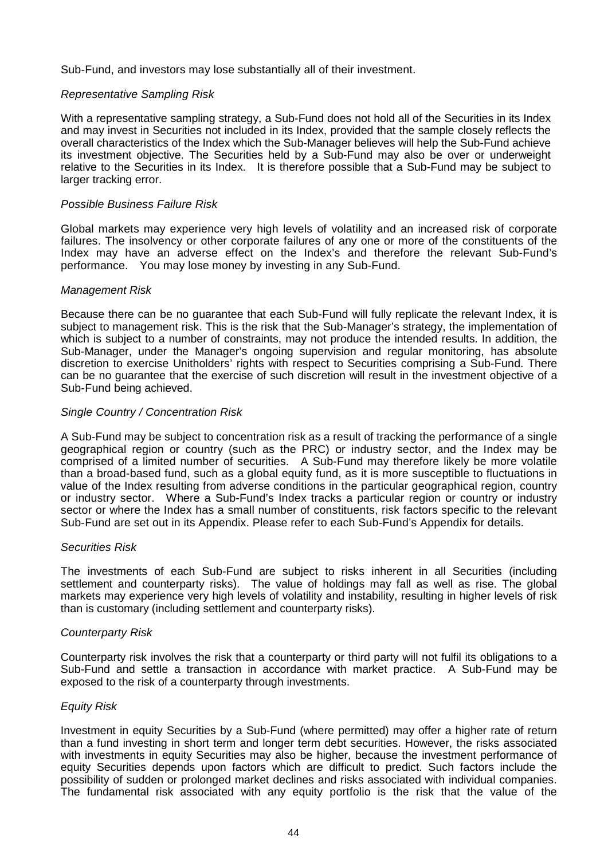Sub-Fund, and investors may lose substantially all of their investment.

### *Representative Sampling Risk*

With a representative sampling strategy, a Sub-Fund does not hold all of the Securities in its Index and may invest in Securities not included in its Index, provided that the sample closely reflects the overall characteristics of the Index which the Sub-Manager believes will help the Sub-Fund achieve its investment objective. The Securities held by a Sub-Fund may also be over or underweight relative to the Securities in its Index. It is therefore possible that a Sub-Fund may be subject to larger tracking error.

### *Possible Business Failure Risk*

Global markets may experience very high levels of volatility and an increased risk of corporate failures. The insolvency or other corporate failures of any one or more of the constituents of the Index may have an adverse effect on the Index's and therefore the relevant Sub-Fund's performance. You may lose money by investing in any Sub-Fund.

### *Management Risk*

Because there can be no guarantee that each Sub-Fund will fully replicate the relevant Index, it is subject to management risk. This is the risk that the Sub-Manager's strategy, the implementation of which is subject to a number of constraints, may not produce the intended results. In addition, the Sub-Manager, under the Manager's ongoing supervision and regular monitoring, has absolute discretion to exercise Unitholders' rights with respect to Securities comprising a Sub-Fund. There can be no guarantee that the exercise of such discretion will result in the investment objective of a Sub-Fund being achieved.

### *Single Country / Concentration Risk*

A Sub-Fund may be subject to concentration risk as a result of tracking the performance of a single geographical region or country (such as the PRC) or industry sector, and the Index may be comprised of a limited number of securities. A Sub-Fund may therefore likely be more volatile than a broad-based fund, such as a global equity fund, as it is more susceptible to fluctuations in value of the Index resulting from adverse conditions in the particular geographical region, country or industry sector. Where a Sub-Fund's Index tracks a particular region or country or industry sector or where the Index has a small number of constituents, risk factors specific to the relevant Sub-Fund are set out in its Appendix. Please refer to each Sub-Fund's Appendix for details.

### *Securities Risk*

The investments of each Sub-Fund are subject to risks inherent in all Securities (including settlement and counterparty risks). The value of holdings may fall as well as rise. The global markets may experience very high levels of volatility and instability, resulting in higher levels of risk than is customary (including settlement and counterparty risks).

### *Counterparty Risk*

Counterparty risk involves the risk that a counterparty or third party will not fulfil its obligations to a Sub-Fund and settle a transaction in accordance with market practice. A Sub-Fund may be exposed to the risk of a counterparty through investments.

### *Equity Risk*

Investment in equity Securities by a Sub-Fund (where permitted) may offer a higher rate of return than a fund investing in short term and longer term debt securities. However, the risks associated with investments in equity Securities may also be higher, because the investment performance of equity Securities depends upon factors which are difficult to predict. Such factors include the possibility of sudden or prolonged market declines and risks associated with individual companies. The fundamental risk associated with any equity portfolio is the risk that the value of the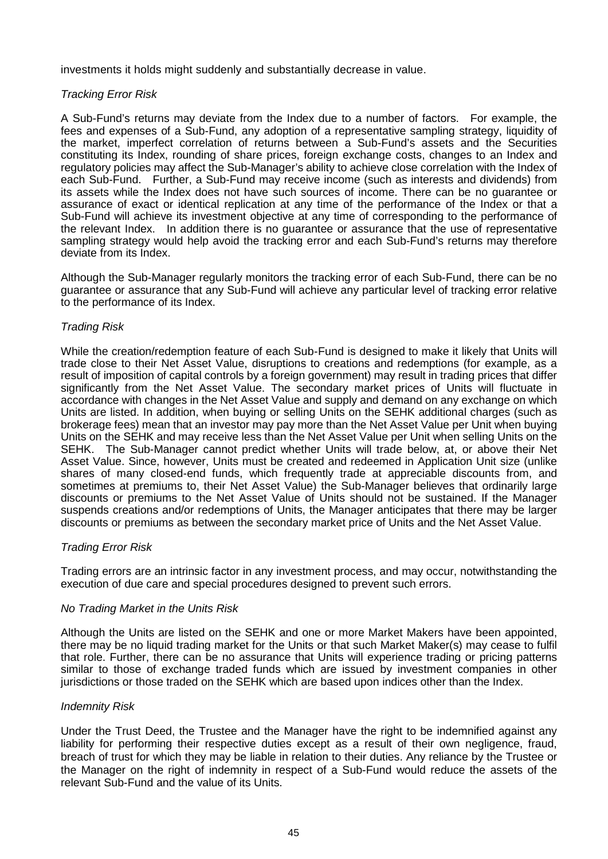investments it holds might suddenly and substantially decrease in value.

## *Tracking Error Risk*

A Sub-Fund's returns may deviate from the Index due to a number of factors. For example, the fees and expenses of a Sub-Fund, any adoption of a representative sampling strategy, liquidity of the market, imperfect correlation of returns between a Sub-Fund's assets and the Securities constituting its Index, rounding of share prices, foreign exchange costs, changes to an Index and regulatory policies may affect the Sub-Manager's ability to achieve close correlation with the Index of each Sub-Fund. Further, a Sub-Fund may receive income (such as interests and dividends) from its assets while the Index does not have such sources of income. There can be no guarantee or assurance of exact or identical replication at any time of the performance of the Index or that a Sub-Fund will achieve its investment objective at any time of corresponding to the performance of the relevant Index. In addition there is no guarantee or assurance that the use of representative sampling strategy would help avoid the tracking error and each Sub-Fund's returns may therefore deviate from its Index.

Although the Sub-Manager regularly monitors the tracking error of each Sub-Fund, there can be no guarantee or assurance that any Sub-Fund will achieve any particular level of tracking error relative to the performance of its Index.

### *Trading Risk*

While the creation/redemption feature of each Sub-Fund is designed to make it likely that Units will trade close to their Net Asset Value, disruptions to creations and redemptions (for example, as a result of imposition of capital controls by a foreign government) may result in trading prices that differ significantly from the Net Asset Value. The secondary market prices of Units will fluctuate in accordance with changes in the Net Asset Value and supply and demand on any exchange on which Units are listed. In addition, when buying or selling Units on the SEHK additional charges (such as brokerage fees) mean that an investor may pay more than the Net Asset Value per Unit when buying Units on the SEHK and may receive less than the Net Asset Value per Unit when selling Units on the SEHK. The Sub-Manager cannot predict whether Units will trade below, at, or above their Net Asset Value. Since, however, Units must be created and redeemed in Application Unit size (unlike shares of many closed-end funds, which frequently trade at appreciable discounts from, and sometimes at premiums to, their Net Asset Value) the Sub-Manager believes that ordinarily large discounts or premiums to the Net Asset Value of Units should not be sustained. If the Manager suspends creations and/or redemptions of Units, the Manager anticipates that there may be larger discounts or premiums as between the secondary market price of Units and the Net Asset Value.

### *Trading Error Risk*

Trading errors are an intrinsic factor in any investment process, and may occur, notwithstanding the execution of due care and special procedures designed to prevent such errors.

### *No Trading Market in the Units Risk*

Although the Units are listed on the SEHK and one or more Market Makers have been appointed, there may be no liquid trading market for the Units or that such Market Maker(s) may cease to fulfil that role. Further, there can be no assurance that Units will experience trading or pricing patterns similar to those of exchange traded funds which are issued by investment companies in other jurisdictions or those traded on the SEHK which are based upon indices other than the Index.

### *Indemnity Risk*

Under the Trust Deed, the Trustee and the Manager have the right to be indemnified against any liability for performing their respective duties except as a result of their own negligence, fraud, breach of trust for which they may be liable in relation to their duties. Any reliance by the Trustee or the Manager on the right of indemnity in respect of a Sub-Fund would reduce the assets of the relevant Sub-Fund and the value of its Units.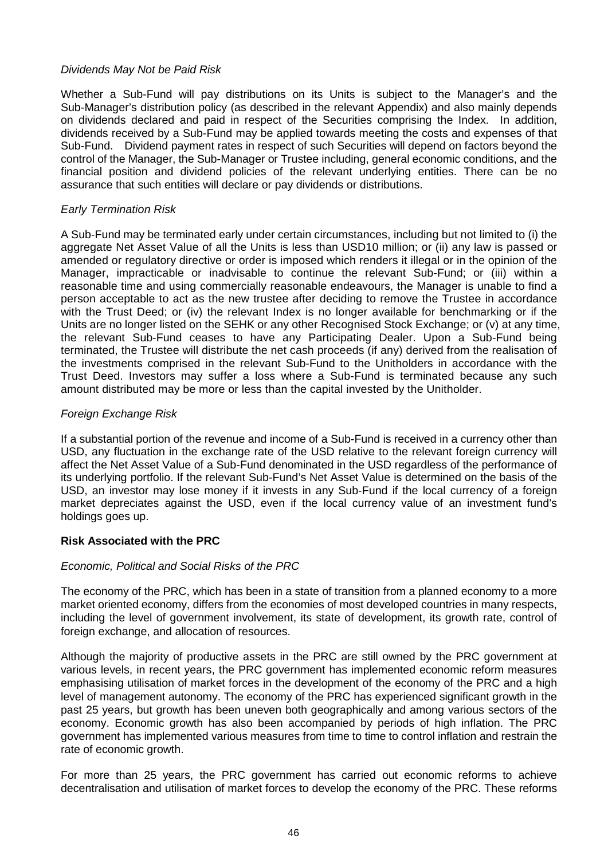# *Dividends May Not be Paid Risk*

Whether a Sub-Fund will pay distributions on its Units is subject to the Manager's and the Sub-Manager's distribution policy (as described in the relevant Appendix) and also mainly depends on dividends declared and paid in respect of the Securities comprising the Index. In addition, dividends received by a Sub-Fund may be applied towards meeting the costs and expenses of that Sub-Fund. Dividend payment rates in respect of such Securities will depend on factors beyond the control of the Manager, the Sub-Manager or Trustee including, general economic conditions, and the financial position and dividend policies of the relevant underlying entities. There can be no assurance that such entities will declare or pay dividends or distributions.

# *Early Termination Risk*

A Sub-Fund may be terminated early under certain circumstances, including but not limited to (i) the aggregate Net Asset Value of all the Units is less than USD10 million; or (ii) any law is passed or amended or regulatory directive or order is imposed which renders it illegal or in the opinion of the Manager, impracticable or inadvisable to continue the relevant Sub-Fund; or (iii) within a reasonable time and using commercially reasonable endeavours, the Manager is unable to find a person acceptable to act as the new trustee after deciding to remove the Trustee in accordance with the Trust Deed; or (iv) the relevant Index is no longer available for benchmarking or if the Units are no longer listed on the SEHK or any other Recognised Stock Exchange; or (v) at any time, the relevant Sub-Fund ceases to have any Participating Dealer. Upon a Sub-Fund being terminated, the Trustee will distribute the net cash proceeds (if any) derived from the realisation of the investments comprised in the relevant Sub-Fund to the Unitholders in accordance with the Trust Deed. Investors may suffer a loss where a Sub-Fund is terminated because any such amount distributed may be more or less than the capital invested by the Unitholder.

### *Foreign Exchange Risk*

If a substantial portion of the revenue and income of a Sub-Fund is received in a currency other than USD, any fluctuation in the exchange rate of the USD relative to the relevant foreign currency will affect the Net Asset Value of a Sub-Fund denominated in the USD regardless of the performance of its underlying portfolio. If the relevant Sub-Fund's Net Asset Value is determined on the basis of the USD, an investor may lose money if it invests in any Sub-Fund if the local currency of a foreign market depreciates against the USD, even if the local currency value of an investment fund's holdings goes up.

# **Risk Associated with the PRC**

### *Economic, Political and Social Risks of the PRC*

The economy of the PRC, which has been in a state of transition from a planned economy to a more market oriented economy, differs from the economies of most developed countries in many respects, including the level of government involvement, its state of development, its growth rate, control of foreign exchange, and allocation of resources.

Although the majority of productive assets in the PRC are still owned by the PRC government at various levels, in recent years, the PRC government has implemented economic reform measures emphasising utilisation of market forces in the development of the economy of the PRC and a high level of management autonomy. The economy of the PRC has experienced significant growth in the past 25 years, but growth has been uneven both geographically and among various sectors of the economy. Economic growth has also been accompanied by periods of high inflation. The PRC government has implemented various measures from time to time to control inflation and restrain the rate of economic growth.

For more than 25 years, the PRC government has carried out economic reforms to achieve decentralisation and utilisation of market forces to develop the economy of the PRC. These reforms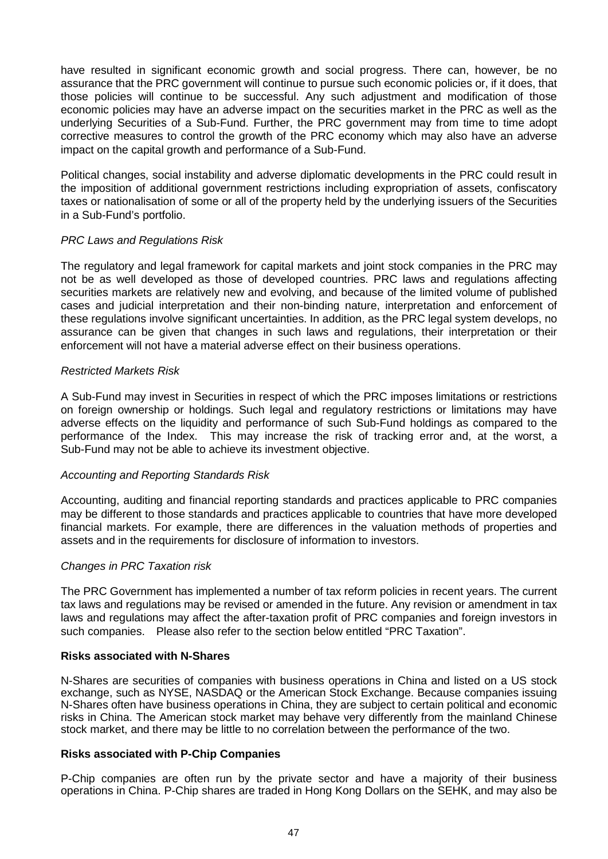have resulted in significant economic growth and social progress. There can, however, be no assurance that the PRC government will continue to pursue such economic policies or, if it does, that those policies will continue to be successful. Any such adjustment and modification of those economic policies may have an adverse impact on the securities market in the PRC as well as the underlying Securities of a Sub-Fund. Further, the PRC government may from time to time adopt corrective measures to control the growth of the PRC economy which may also have an adverse impact on the capital growth and performance of a Sub-Fund.

Political changes, social instability and adverse diplomatic developments in the PRC could result in the imposition of additional government restrictions including expropriation of assets, confiscatory taxes or nationalisation of some or all of the property held by the underlying issuers of the Securities in a Sub-Fund's portfolio.

# *PRC Laws and Regulations Risk*

The regulatory and legal framework for capital markets and joint stock companies in the PRC may not be as well developed as those of developed countries. PRC laws and regulations affecting securities markets are relatively new and evolving, and because of the limited volume of published cases and judicial interpretation and their non-binding nature, interpretation and enforcement of these regulations involve significant uncertainties. In addition, as the PRC legal system develops, no assurance can be given that changes in such laws and regulations, their interpretation or their enforcement will not have a material adverse effect on their business operations.

### *Restricted Markets Risk*

A Sub-Fund may invest in Securities in respect of which the PRC imposes limitations or restrictions on foreign ownership or holdings. Such legal and regulatory restrictions or limitations may have adverse effects on the liquidity and performance of such Sub-Fund holdings as compared to the performance of the Index. This may increase the risk of tracking error and, at the worst, a Sub-Fund may not be able to achieve its investment objective.

### *Accounting and Reporting Standards Risk*

Accounting, auditing and financial reporting standards and practices applicable to PRC companies may be different to those standards and practices applicable to countries that have more developed financial markets. For example, there are differences in the valuation methods of properties and assets and in the requirements for disclosure of information to investors.

# *Changes in PRC Taxation risk*

The PRC Government has implemented a number of tax reform policies in recent years. The current tax laws and regulations may be revised or amended in the future. Any revision or amendment in tax laws and regulations may affect the after-taxation profit of PRC companies and foreign investors in such companies. Please also refer to the section below entitled "PRC Taxation".

### **Risks associated with N-Shares**

N-Shares are securities of companies with business operations in China and listed on a US stock exchange, such as NYSE, NASDAQ or the American Stock Exchange. Because companies issuing N-Shares often have business operations in China, they are subject to certain political and economic risks in China. The American stock market may behave very differently from the mainland Chinese stock market, and there may be little to no correlation between the performance of the two.

### **Risks associated with P-Chip Companies**

P-Chip companies are often run by the private sector and have a majority of their business operations in China. P-Chip shares are traded in Hong Kong Dollars on the SEHK, and may also be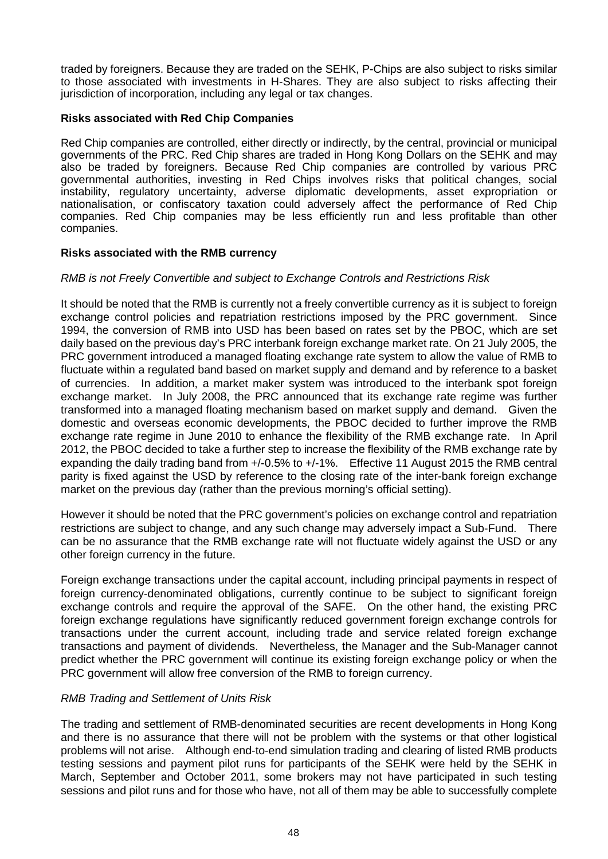traded by foreigners. Because they are traded on the SEHK, P-Chips are also subject to risks similar to those associated with investments in H-Shares. They are also subject to risks affecting their jurisdiction of incorporation, including any legal or tax changes.

## **Risks associated with Red Chip Companies**

Red Chip companies are controlled, either directly or indirectly, by the central, provincial or municipal governments of the PRC. Red Chip shares are traded in Hong Kong Dollars on the SEHK and may also be traded by foreigners. Because Red Chip companies are controlled by various PRC governmental authorities, investing in Red Chips involves risks that political changes, social instability, regulatory uncertainty, adverse diplomatic developments, asset expropriation or nationalisation, or confiscatory taxation could adversely affect the performance of Red Chip companies. Red Chip companies may be less efficiently run and less profitable than other companies.

### **Risks associated with the RMB currency**

## *RMB is not Freely Convertible and subject to Exchange Controls and Restrictions Risk*

It should be noted that the RMB is currently not a freely convertible currency as it is subject to foreign exchange control policies and repatriation restrictions imposed by the PRC government. Since 1994, the conversion of RMB into USD has been based on rates set by the PBOC, which are set daily based on the previous day's PRC interbank foreign exchange market rate. On 21 July 2005, the PRC government introduced a managed floating exchange rate system to allow the value of RMB to fluctuate within a regulated band based on market supply and demand and by reference to a basket of currencies. In addition, a market maker system was introduced to the interbank spot foreign exchange market. In July 2008, the PRC announced that its exchange rate regime was further transformed into a managed floating mechanism based on market supply and demand. Given the domestic and overseas economic developments, the PBOC decided to further improve the RMB exchange rate regime in June 2010 to enhance the flexibility of the RMB exchange rate. In April 2012, the PBOC decided to take a further step to increase the flexibility of the RMB exchange rate by expanding the daily trading band from +/-0.5% to +/-1%. Effective 11 August 2015 the RMB central parity is fixed against the USD by reference to the closing rate of the inter-bank foreign exchange market on the previous day (rather than the previous morning's official setting).

However it should be noted that the PRC government's policies on exchange control and repatriation restrictions are subject to change, and any such change may adversely impact a Sub-Fund. There can be no assurance that the RMB exchange rate will not fluctuate widely against the USD or any other foreign currency in the future.

Foreign exchange transactions under the capital account, including principal payments in respect of foreign currency-denominated obligations, currently continue to be subject to significant foreign exchange controls and require the approval of the SAFE. On the other hand, the existing PRC foreign exchange regulations have significantly reduced government foreign exchange controls for transactions under the current account, including trade and service related foreign exchange transactions and payment of dividends. Nevertheless, the Manager and the Sub-Manager cannot predict whether the PRC government will continue its existing foreign exchange policy or when the PRC government will allow free conversion of the RMB to foreign currency.

# *RMB Trading and Settlement of Units Risk*

The trading and settlement of RMB-denominated securities are recent developments in Hong Kong and there is no assurance that there will not be problem with the systems or that other logistical problems will not arise. Although end-to-end simulation trading and clearing of listed RMB products testing sessions and payment pilot runs for participants of the SEHK were held by the SEHK in March, September and October 2011, some brokers may not have participated in such testing sessions and pilot runs and for those who have, not all of them may be able to successfully complete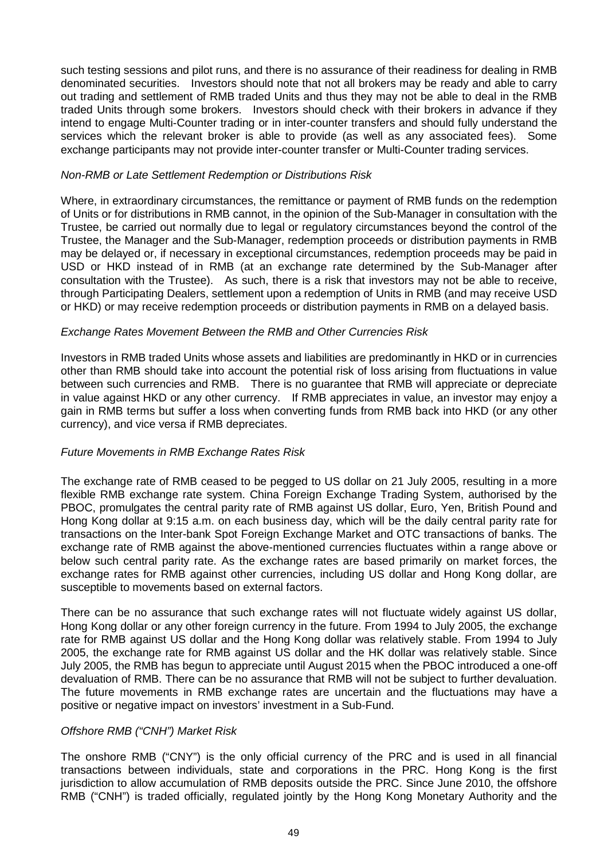such testing sessions and pilot runs, and there is no assurance of their readiness for dealing in RMB denominated securities. Investors should note that not all brokers may be ready and able to carry out trading and settlement of RMB traded Units and thus they may not be able to deal in the RMB traded Units through some brokers. Investors should check with their brokers in advance if they intend to engage Multi-Counter trading or in inter-counter transfers and should fully understand the services which the relevant broker is able to provide (as well as any associated fees). Some exchange participants may not provide inter-counter transfer or Multi-Counter trading services.

### *Non-RMB or Late Settlement Redemption or Distributions Risk*

Where, in extraordinary circumstances, the remittance or payment of RMB funds on the redemption of Units or for distributions in RMB cannot, in the opinion of the Sub-Manager in consultation with the Trustee, be carried out normally due to legal or regulatory circumstances beyond the control of the Trustee, the Manager and the Sub-Manager, redemption proceeds or distribution payments in RMB may be delayed or, if necessary in exceptional circumstances, redemption proceeds may be paid in USD or HKD instead of in RMB (at an exchange rate determined by the Sub-Manager after consultation with the Trustee). As such, there is a risk that investors may not be able to receive, through Participating Dealers, settlement upon a redemption of Units in RMB (and may receive USD or HKD) or may receive redemption proceeds or distribution payments in RMB on a delayed basis.

### *Exchange Rates Movement Between the RMB and Other Currencies Risk*

Investors in RMB traded Units whose assets and liabilities are predominantly in HKD or in currencies other than RMB should take into account the potential risk of loss arising from fluctuations in value between such currencies and RMB. There is no guarantee that RMB will appreciate or depreciate in value against HKD or any other currency. If RMB appreciates in value, an investor may enjoy a gain in RMB terms but suffer a loss when converting funds from RMB back into HKD (or any other currency), and vice versa if RMB depreciates.

# *Future Movements in RMB Exchange Rates Risk*

The exchange rate of RMB ceased to be pegged to US dollar on 21 July 2005, resulting in a more flexible RMB exchange rate system. China Foreign Exchange Trading System, authorised by the PBOC, promulgates the central parity rate of RMB against US dollar, Euro, Yen, British Pound and Hong Kong dollar at 9:15 a.m. on each business day, which will be the daily central parity rate for transactions on the Inter-bank Spot Foreign Exchange Market and OTC transactions of banks. The exchange rate of RMB against the above-mentioned currencies fluctuates within a range above or below such central parity rate. As the exchange rates are based primarily on market forces, the exchange rates for RMB against other currencies, including US dollar and Hong Kong dollar, are susceptible to movements based on external factors.

There can be no assurance that such exchange rates will not fluctuate widely against US dollar, Hong Kong dollar or any other foreign currency in the future. From 1994 to July 2005, the exchange rate for RMB against US dollar and the Hong Kong dollar was relatively stable. From 1994 to July 2005, the exchange rate for RMB against US dollar and the HK dollar was relatively stable. Since July 2005, the RMB has begun to appreciate until August 2015 when the PBOC introduced a one-off devaluation of RMB. There can be no assurance that RMB will not be subject to further devaluation. The future movements in RMB exchange rates are uncertain and the fluctuations may have a positive or negative impact on investors' investment in a Sub-Fund.

# *Offshore RMB ("CNH") Market Risk*

The onshore RMB ("CNY") is the only official currency of the PRC and is used in all financial transactions between individuals, state and corporations in the PRC. Hong Kong is the first jurisdiction to allow accumulation of RMB deposits outside the PRC. Since June 2010, the offshore RMB ("CNH") is traded officially, regulated jointly by the Hong Kong Monetary Authority and the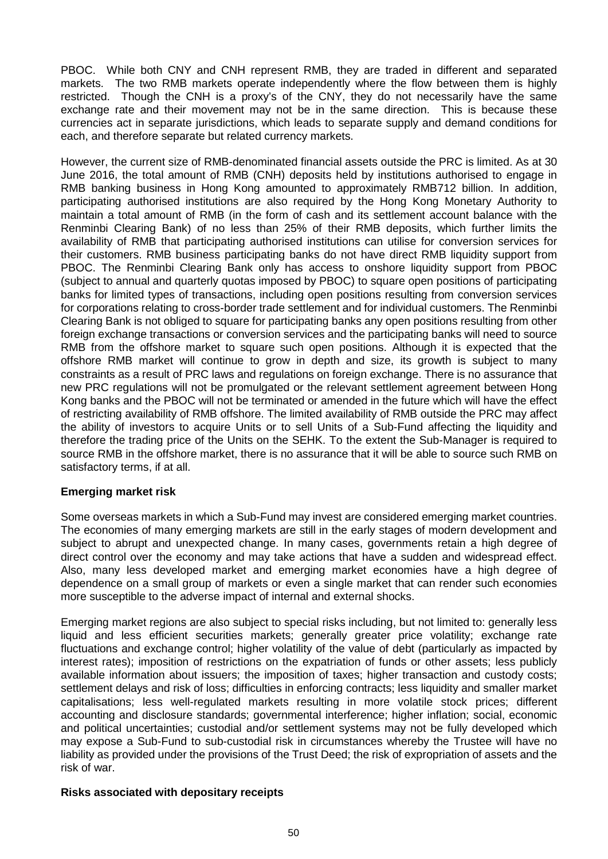PBOC. While both CNY and CNH represent RMB, they are traded in different and separated markets. The two RMB markets operate independently where the flow between them is highly restricted. Though the CNH is a proxy's of the CNY, they do not necessarily have the same exchange rate and their movement may not be in the same direction. This is because these currencies act in separate jurisdictions, which leads to separate supply and demand conditions for each, and therefore separate but related currency markets.

However, the current size of RMB-denominated financial assets outside the PRC is limited. As at 30 June 2016, the total amount of RMB (CNH) deposits held by institutions authorised to engage in RMB banking business in Hong Kong amounted to approximately RMB712 billion. In addition, participating authorised institutions are also required by the Hong Kong Monetary Authority to maintain a total amount of RMB (in the form of cash and its settlement account balance with the Renminbi Clearing Bank) of no less than 25% of their RMB deposits, which further limits the availability of RMB that participating authorised institutions can utilise for conversion services for their customers. RMB business participating banks do not have direct RMB liquidity support from PBOC. The Renminbi Clearing Bank only has access to onshore liquidity support from PBOC (subject to annual and quarterly quotas imposed by PBOC) to square open positions of participating banks for limited types of transactions, including open positions resulting from conversion services for corporations relating to cross-border trade settlement and for individual customers. The Renminbi Clearing Bank is not obliged to square for participating banks any open positions resulting from other foreign exchange transactions or conversion services and the participating banks will need to source RMB from the offshore market to square such open positions. Although it is expected that the offshore RMB market will continue to grow in depth and size, its growth is subject to many constraints as a result of PRC laws and regulations on foreign exchange. There is no assurance that new PRC regulations will not be promulgated or the relevant settlement agreement between Hong Kong banks and the PBOC will not be terminated or amended in the future which will have the effect of restricting availability of RMB offshore. The limited availability of RMB outside the PRC may affect the ability of investors to acquire Units or to sell Units of a Sub-Fund affecting the liquidity and therefore the trading price of the Units on the SEHK. To the extent the Sub-Manager is required to source RMB in the offshore market, there is no assurance that it will be able to source such RMB on satisfactory terms, if at all.

# **Emerging market risk**

Some overseas markets in which a Sub-Fund may invest are considered emerging market countries. The economies of many emerging markets are still in the early stages of modern development and subject to abrupt and unexpected change. In many cases, governments retain a high degree of direct control over the economy and may take actions that have a sudden and widespread effect. Also, many less developed market and emerging market economies have a high degree of dependence on a small group of markets or even a single market that can render such economies more susceptible to the adverse impact of internal and external shocks.

Emerging market regions are also subject to special risks including, but not limited to: generally less liquid and less efficient securities markets; generally greater price volatility; exchange rate fluctuations and exchange control; higher volatility of the value of debt (particularly as impacted by interest rates); imposition of restrictions on the expatriation of funds or other assets; less publicly available information about issuers; the imposition of taxes; higher transaction and custody costs; settlement delays and risk of loss; difficulties in enforcing contracts; less liquidity and smaller market capitalisations; less well-regulated markets resulting in more volatile stock prices; different accounting and disclosure standards; governmental interference; higher inflation; social, economic and political uncertainties; custodial and/or settlement systems may not be fully developed which may expose a Sub-Fund to sub-custodial risk in circumstances whereby the Trustee will have no liability as provided under the provisions of the Trust Deed; the risk of expropriation of assets and the risk of war.

### **Risks associated with depositary receipts**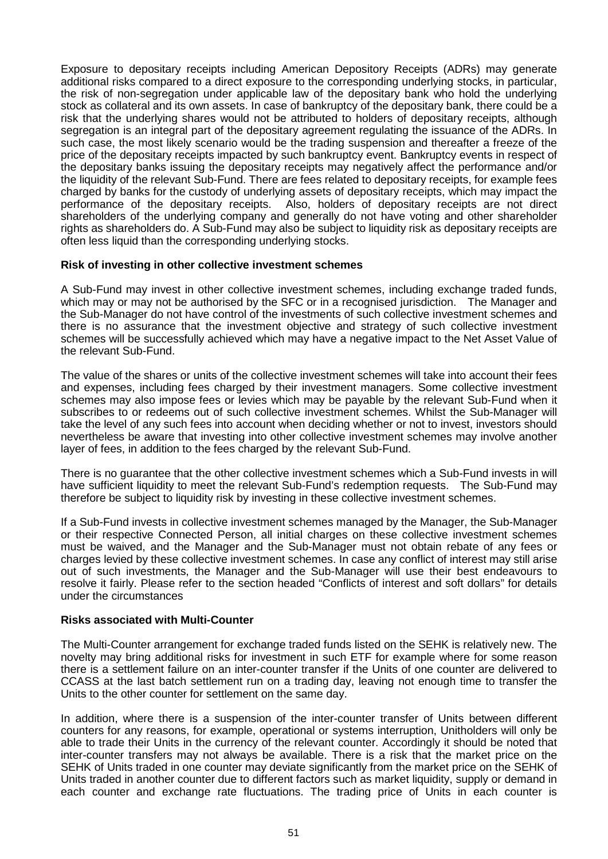Exposure to depositary receipts including American Depository Receipts (ADRs) may generate additional risks compared to a direct exposure to the corresponding underlying stocks, in particular, the risk of non-segregation under applicable law of the depositary bank who hold the underlying stock as collateral and its own assets. In case of bankruptcy of the depositary bank, there could be a risk that the underlying shares would not be attributed to holders of depositary receipts, although segregation is an integral part of the depositary agreement regulating the issuance of the ADRs. In such case, the most likely scenario would be the trading suspension and thereafter a freeze of the price of the depositary receipts impacted by such bankruptcy event. Bankruptcy events in respect of the depositary banks issuing the depositary receipts may negatively affect the performance and/or the liquidity of the relevant Sub-Fund. There are fees related to depositary receipts, for example fees charged by banks for the custody of underlying assets of depositary receipts, which may impact the performance of the depositary receipts. Also, holders of depositary receipts are not direct shareholders of the underlying company and generally do not have voting and other shareholder rights as shareholders do. A Sub-Fund may also be subject to liquidity risk as depositary receipts are often less liquid than the corresponding underlying stocks.

### **Risk of investing in other collective investment schemes**

A Sub-Fund may invest in other collective investment schemes, including exchange traded funds, which may or may not be authorised by the SFC or in a recognised jurisdiction. The Manager and the Sub-Manager do not have control of the investments of such collective investment schemes and there is no assurance that the investment objective and strategy of such collective investment schemes will be successfully achieved which may have a negative impact to the Net Asset Value of the relevant Sub-Fund.

The value of the shares or units of the collective investment schemes will take into account their fees and expenses, including fees charged by their investment managers. Some collective investment schemes may also impose fees or levies which may be payable by the relevant Sub-Fund when it subscribes to or redeems out of such collective investment schemes. Whilst the Sub-Manager will take the level of any such fees into account when deciding whether or not to invest, investors should nevertheless be aware that investing into other collective investment schemes may involve another layer of fees, in addition to the fees charged by the relevant Sub-Fund.

There is no guarantee that the other collective investment schemes which a Sub-Fund invests in will have sufficient liquidity to meet the relevant Sub-Fund's redemption requests. The Sub-Fund may therefore be subject to liquidity risk by investing in these collective investment schemes.

If a Sub-Fund invests in collective investment schemes managed by the Manager, the Sub-Manager or their respective Connected Person, all initial charges on these collective investment schemes must be waived, and the Manager and the Sub-Manager must not obtain rebate of any fees or charges levied by these collective investment schemes. In case any conflict of interest may still arise out of such investments, the Manager and the Sub-Manager will use their best endeavours to resolve it fairly. Please refer to the section headed "Conflicts of interest and soft dollars" for details under the circumstances

### **Risks associated with Multi-Counter**

The Multi-Counter arrangement for exchange traded funds listed on the SEHK is relatively new. The novelty may bring additional risks for investment in such ETF for example where for some reason there is a settlement failure on an inter-counter transfer if the Units of one counter are delivered to CCASS at the last batch settlement run on a trading day, leaving not enough time to transfer the Units to the other counter for settlement on the same day.

In addition, where there is a suspension of the inter-counter transfer of Units between different counters for any reasons, for example, operational or systems interruption, Unitholders will only be able to trade their Units in the currency of the relevant counter. Accordingly it should be noted that inter-counter transfers may not always be available. There is a risk that the market price on the SEHK of Units traded in one counter may deviate significantly from the market price on the SEHK of Units traded in another counter due to different factors such as market liquidity, supply or demand in each counter and exchange rate fluctuations. The trading price of Units in each counter is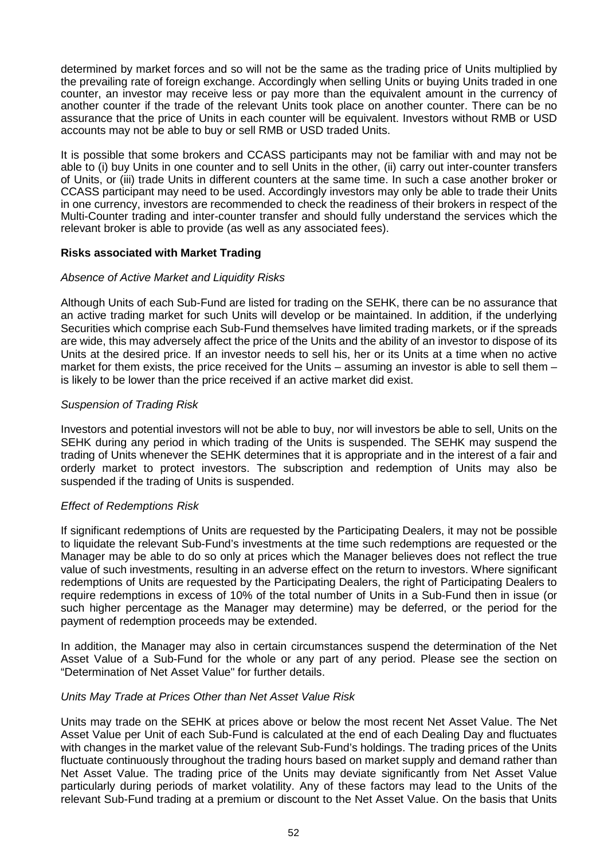determined by market forces and so will not be the same as the trading price of Units multiplied by the prevailing rate of foreign exchange. Accordingly when selling Units or buying Units traded in one counter, an investor may receive less or pay more than the equivalent amount in the currency of another counter if the trade of the relevant Units took place on another counter. There can be no assurance that the price of Units in each counter will be equivalent. Investors without RMB or USD accounts may not be able to buy or sell RMB or USD traded Units.

It is possible that some brokers and CCASS participants may not be familiar with and may not be able to (i) buy Units in one counter and to sell Units in the other, (ii) carry out inter-counter transfers of Units, or (iii) trade Units in different counters at the same time. In such a case another broker or CCASS participant may need to be used. Accordingly investors may only be able to trade their Units in one currency, investors are recommended to check the readiness of their brokers in respect of the Multi-Counter trading and inter-counter transfer and should fully understand the services which the relevant broker is able to provide (as well as any associated fees).

### **Risks associated with Market Trading**

### *Absence of Active Market and Liquidity Risks*

Although Units of each Sub-Fund are listed for trading on the SEHK, there can be no assurance that an active trading market for such Units will develop or be maintained. In addition, if the underlying Securities which comprise each Sub-Fund themselves have limited trading markets, or if the spreads are wide, this may adversely affect the price of the Units and the ability of an investor to dispose of its Units at the desired price. If an investor needs to sell his, her or its Units at a time when no active market for them exists, the price received for the Units – assuming an investor is able to sell them – is likely to be lower than the price received if an active market did exist.

### *Suspension of Trading Risk*

Investors and potential investors will not be able to buy, nor will investors be able to sell, Units on the SEHK during any period in which trading of the Units is suspended. The SEHK may suspend the trading of Units whenever the SEHK determines that it is appropriate and in the interest of a fair and orderly market to protect investors. The subscription and redemption of Units may also be suspended if the trading of Units is suspended.

### *Effect of Redemptions Risk*

If significant redemptions of Units are requested by the Participating Dealers, it may not be possible to liquidate the relevant Sub-Fund's investments at the time such redemptions are requested or the Manager may be able to do so only at prices which the Manager believes does not reflect the true value of such investments, resulting in an adverse effect on the return to investors. Where significant redemptions of Units are requested by the Participating Dealers, the right of Participating Dealers to require redemptions in excess of 10% of the total number of Units in a Sub-Fund then in issue (or such higher percentage as the Manager may determine) may be deferred, or the period for the payment of redemption proceeds may be extended.

In addition, the Manager may also in certain circumstances suspend the determination of the Net Asset Value of a Sub-Fund for the whole or any part of any period. Please see the section on "Determination of Net Asset Value" for further details.

### *Units May Trade at Prices Other than Net Asset Value Risk*

Units may trade on the SEHK at prices above or below the most recent Net Asset Value. The Net Asset Value per Unit of each Sub-Fund is calculated at the end of each Dealing Day and fluctuates with changes in the market value of the relevant Sub-Fund's holdings. The trading prices of the Units fluctuate continuously throughout the trading hours based on market supply and demand rather than Net Asset Value. The trading price of the Units may deviate significantly from Net Asset Value particularly during periods of market volatility. Any of these factors may lead to the Units of the relevant Sub-Fund trading at a premium or discount to the Net Asset Value. On the basis that Units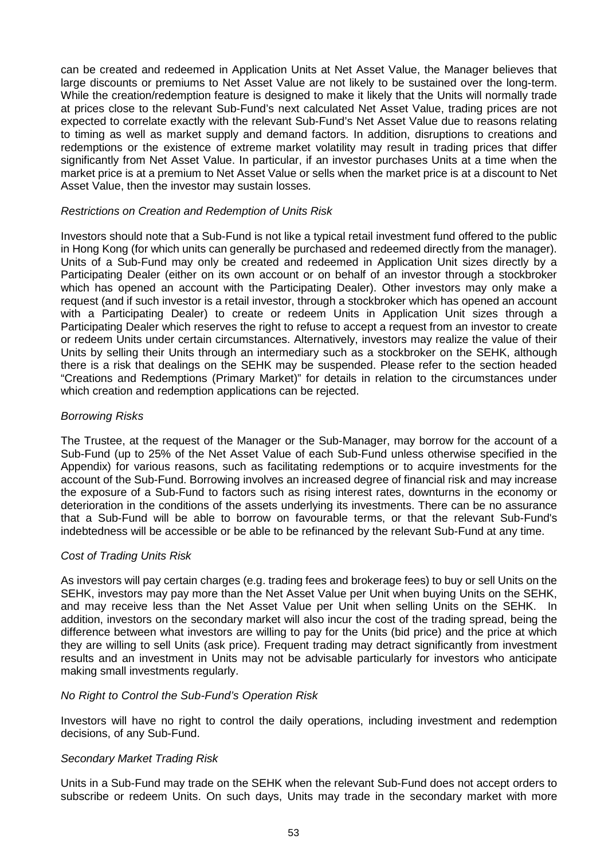can be created and redeemed in Application Units at Net Asset Value, the Manager believes that large discounts or premiums to Net Asset Value are not likely to be sustained over the long-term. While the creation/redemption feature is designed to make it likely that the Units will normally trade at prices close to the relevant Sub-Fund's next calculated Net Asset Value, trading prices are not expected to correlate exactly with the relevant Sub-Fund's Net Asset Value due to reasons relating to timing as well as market supply and demand factors. In addition, disruptions to creations and redemptions or the existence of extreme market volatility may result in trading prices that differ significantly from Net Asset Value. In particular, if an investor purchases Units at a time when the market price is at a premium to Net Asset Value or sells when the market price is at a discount to Net Asset Value, then the investor may sustain losses.

### *Restrictions on Creation and Redemption of Units Risk*

Investors should note that a Sub-Fund is not like a typical retail investment fund offered to the public in Hong Kong (for which units can generally be purchased and redeemed directly from the manager). Units of a Sub-Fund may only be created and redeemed in Application Unit sizes directly by a Participating Dealer (either on its own account or on behalf of an investor through a stockbroker which has opened an account with the Participating Dealer). Other investors may only make a request (and if such investor is a retail investor, through a stockbroker which has opened an account with a Participating Dealer) to create or redeem Units in Application Unit sizes through a Participating Dealer which reserves the right to refuse to accept a request from an investor to create or redeem Units under certain circumstances. Alternatively, investors may realize the value of their Units by selling their Units through an intermediary such as a stockbroker on the SEHK, although there is a risk that dealings on the SEHK may be suspended. Please refer to the section headed "Creations and Redemptions (Primary Market)" for details in relation to the circumstances under which creation and redemption applications can be rejected.

# *Borrowing Risks*

The Trustee, at the request of the Manager or the Sub-Manager, may borrow for the account of a Sub-Fund (up to 25% of the Net Asset Value of each Sub-Fund unless otherwise specified in the Appendix) for various reasons, such as facilitating redemptions or to acquire investments for the account of the Sub-Fund. Borrowing involves an increased degree of financial risk and may increase the exposure of a Sub-Fund to factors such as rising interest rates, downturns in the economy or deterioration in the conditions of the assets underlying its investments. There can be no assurance that a Sub-Fund will be able to borrow on favourable terms, or that the relevant Sub-Fund's indebtedness will be accessible or be able to be refinanced by the relevant Sub-Fund at any time.

### *Cost of Trading Units Risk*

As investors will pay certain charges (e.g. trading fees and brokerage fees) to buy or sell Units on the SEHK, investors may pay more than the Net Asset Value per Unit when buying Units on the SEHK, and may receive less than the Net Asset Value per Unit when selling Units on the SEHK. In addition, investors on the secondary market will also incur the cost of the trading spread, being the difference between what investors are willing to pay for the Units (bid price) and the price at which they are willing to sell Units (ask price). Frequent trading may detract significantly from investment results and an investment in Units may not be advisable particularly for investors who anticipate making small investments regularly.

# *No Right to Control the Sub-Fund's Operation Risk*

Investors will have no right to control the daily operations, including investment and redemption decisions, of any Sub-Fund.

# *Secondary Market Trading Risk*

Units in a Sub-Fund may trade on the SEHK when the relevant Sub-Fund does not accept orders to subscribe or redeem Units. On such days, Units may trade in the secondary market with more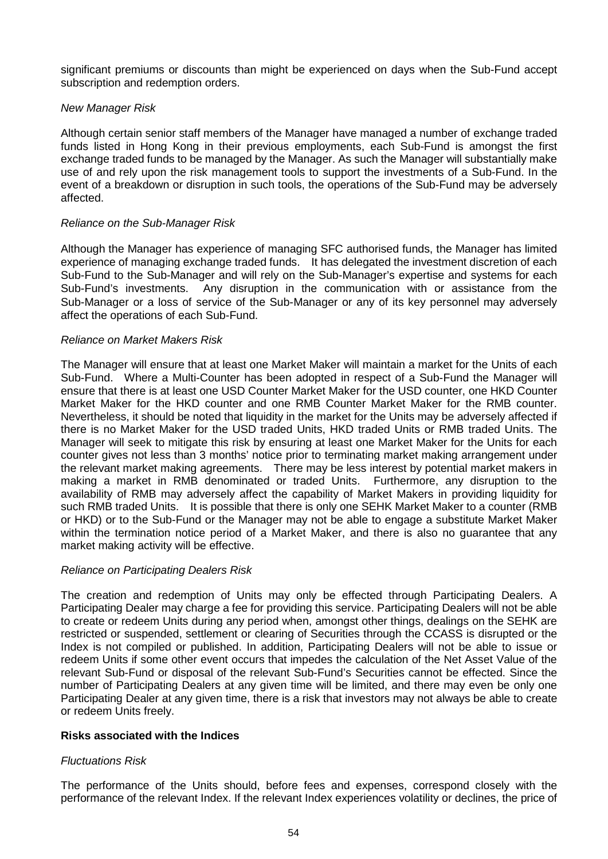significant premiums or discounts than might be experienced on days when the Sub-Fund accept subscription and redemption orders.

# *New Manager Risk*

Although certain senior staff members of the Manager have managed a number of exchange traded funds listed in Hong Kong in their previous employments, each Sub-Fund is amongst the first exchange traded funds to be managed by the Manager. As such the Manager will substantially make use of and rely upon the risk management tools to support the investments of a Sub-Fund. In the event of a breakdown or disruption in such tools, the operations of the Sub-Fund may be adversely affected.

### *Reliance on the Sub-Manager Risk*

Although the Manager has experience of managing SFC authorised funds, the Manager has limited experience of managing exchange traded funds. It has delegated the investment discretion of each Sub-Fund to the Sub-Manager and will rely on the Sub-Manager's expertise and systems for each Sub-Fund's investments. Any disruption in the communication with or assistance from the Sub-Manager or a loss of service of the Sub-Manager or any of its key personnel may adversely affect the operations of each Sub-Fund.

### *Reliance on Market Makers Risk*

The Manager will ensure that at least one Market Maker will maintain a market for the Units of each Sub-Fund. Where a Multi-Counter has been adopted in respect of a Sub-Fund the Manager will ensure that there is at least one USD Counter Market Maker for the USD counter, one HKD Counter Market Maker for the HKD counter and one RMB Counter Market Maker for the RMB counter. Nevertheless, it should be noted that liquidity in the market for the Units may be adversely affected if there is no Market Maker for the USD traded Units, HKD traded Units or RMB traded Units. The Manager will seek to mitigate this risk by ensuring at least one Market Maker for the Units for each counter gives not less than 3 months' notice prior to terminating market making arrangement under the relevant market making agreements. There may be less interest by potential market makers in making a market in RMB denominated or traded Units. Furthermore, any disruption to the availability of RMB may adversely affect the capability of Market Makers in providing liquidity for such RMB traded Units. It is possible that there is only one SEHK Market Maker to a counter (RMB or HKD) or to the Sub-Fund or the Manager may not be able to engage a substitute Market Maker within the termination notice period of a Market Maker, and there is also no guarantee that any market making activity will be effective.

# *Reliance on Participating Dealers Risk*

The creation and redemption of Units may only be effected through Participating Dealers. A Participating Dealer may charge a fee for providing this service. Participating Dealers will not be able to create or redeem Units during any period when, amongst other things, dealings on the SEHK are restricted or suspended, settlement or clearing of Securities through the CCASS is disrupted or the Index is not compiled or published. In addition, Participating Dealers will not be able to issue or redeem Units if some other event occurs that impedes the calculation of the Net Asset Value of the relevant Sub-Fund or disposal of the relevant Sub-Fund's Securities cannot be effected. Since the number of Participating Dealers at any given time will be limited, and there may even be only one Participating Dealer at any given time, there is a risk that investors may not always be able to create or redeem Units freely.

### **Risks associated with the Indices**

# *Fluctuations Risk*

The performance of the Units should, before fees and expenses, correspond closely with the performance of the relevant Index. If the relevant Index experiences volatility or declines, the price of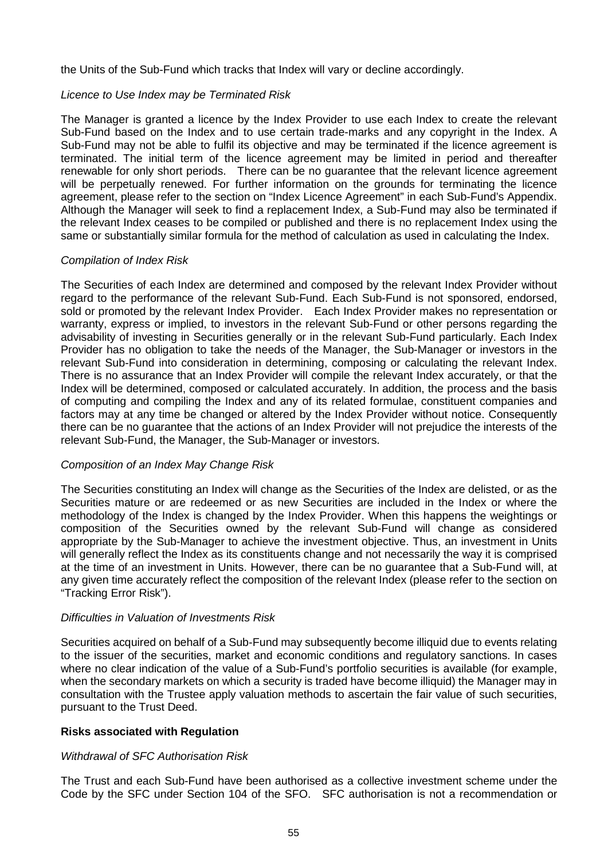the Units of the Sub-Fund which tracks that Index will vary or decline accordingly.

## *Licence to Use Index may be Terminated Risk*

The Manager is granted a licence by the Index Provider to use each Index to create the relevant Sub-Fund based on the Index and to use certain trade-marks and any copyright in the Index. A Sub-Fund may not be able to fulfil its objective and may be terminated if the licence agreement is terminated. The initial term of the licence agreement may be limited in period and thereafter renewable for only short periods. There can be no guarantee that the relevant licence agreement will be perpetually renewed. For further information on the grounds for terminating the licence agreement, please refer to the section on "Index Licence Agreement" in each Sub-Fund's Appendix. Although the Manager will seek to find a replacement Index, a Sub-Fund may also be terminated if the relevant Index ceases to be compiled or published and there is no replacement Index using the same or substantially similar formula for the method of calculation as used in calculating the Index.

### *Compilation of Index Risk*

The Securities of each Index are determined and composed by the relevant Index Provider without regard to the performance of the relevant Sub-Fund. Each Sub-Fund is not sponsored, endorsed, sold or promoted by the relevant Index Provider. Each Index Provider makes no representation or warranty, express or implied, to investors in the relevant Sub-Fund or other persons regarding the advisability of investing in Securities generally or in the relevant Sub-Fund particularly. Each Index Provider has no obligation to take the needs of the Manager, the Sub-Manager or investors in the relevant Sub-Fund into consideration in determining, composing or calculating the relevant Index. There is no assurance that an Index Provider will compile the relevant Index accurately, or that the Index will be determined, composed or calculated accurately. In addition, the process and the basis of computing and compiling the Index and any of its related formulae, constituent companies and factors may at any time be changed or altered by the Index Provider without notice. Consequently there can be no guarantee that the actions of an Index Provider will not prejudice the interests of the relevant Sub-Fund, the Manager, the Sub-Manager or investors.

# *Composition of an Index May Change Risk*

The Securities constituting an Index will change as the Securities of the Index are delisted, or as the Securities mature or are redeemed or as new Securities are included in the Index or where the methodology of the Index is changed by the Index Provider. When this happens the weightings or composition of the Securities owned by the relevant Sub-Fund will change as considered appropriate by the Sub-Manager to achieve the investment objective. Thus, an investment in Units will generally reflect the Index as its constituents change and not necessarily the way it is comprised at the time of an investment in Units. However, there can be no guarantee that a Sub-Fund will, at any given time accurately reflect the composition of the relevant Index (please refer to the section on "Tracking Error Risk").

# *Difficulties in Valuation of Investments Risk*

Securities acquired on behalf of a Sub-Fund may subsequently become illiquid due to events relating to the issuer of the securities, market and economic conditions and regulatory sanctions. In cases where no clear indication of the value of a Sub-Fund's portfolio securities is available (for example, when the secondary markets on which a security is traded have become illiquid) the Manager may in consultation with the Trustee apply valuation methods to ascertain the fair value of such securities, pursuant to the Trust Deed.

# **Risks associated with Regulation**

# *Withdrawal of SFC Authorisation Risk*

The Trust and each Sub-Fund have been authorised as a collective investment scheme under the Code by the SFC under Section 104 of the SFO. SFC authorisation is not a recommendation or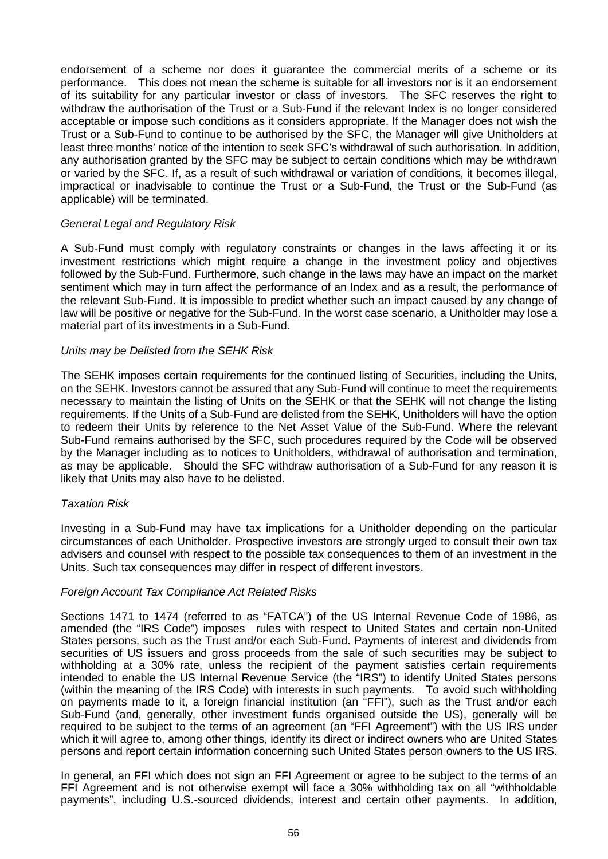endorsement of a scheme nor does it guarantee the commercial merits of a scheme or its performance. This does not mean the scheme is suitable for all investors nor is it an endorsement of its suitability for any particular investor or class of investors. The SFC reserves the right to withdraw the authorisation of the Trust or a Sub-Fund if the relevant Index is no longer considered acceptable or impose such conditions as it considers appropriate. If the Manager does not wish the Trust or a Sub-Fund to continue to be authorised by the SFC, the Manager will give Unitholders at least three months' notice of the intention to seek SFC's withdrawal of such authorisation. In addition, any authorisation granted by the SFC may be subject to certain conditions which may be withdrawn or varied by the SFC. If, as a result of such withdrawal or variation of conditions, it becomes illegal, impractical or inadvisable to continue the Trust or a Sub-Fund, the Trust or the Sub-Fund (as applicable) will be terminated.

### *General Legal and Regulatory Risk*

A Sub-Fund must comply with regulatory constraints or changes in the laws affecting it or its investment restrictions which might require a change in the investment policy and objectives followed by the Sub-Fund. Furthermore, such change in the laws may have an impact on the market sentiment which may in turn affect the performance of an Index and as a result, the performance of the relevant Sub-Fund. It is impossible to predict whether such an impact caused by any change of law will be positive or negative for the Sub-Fund. In the worst case scenario, a Unitholder may lose a material part of its investments in a Sub-Fund.

### *Units may be Delisted from the SEHK Risk*

The SEHK imposes certain requirements for the continued listing of Securities, including the Units, on the SEHK. Investors cannot be assured that any Sub-Fund will continue to meet the requirements necessary to maintain the listing of Units on the SEHK or that the SEHK will not change the listing requirements. If the Units of a Sub-Fund are delisted from the SEHK, Unitholders will have the option to redeem their Units by reference to the Net Asset Value of the Sub-Fund. Where the relevant Sub-Fund remains authorised by the SFC, such procedures required by the Code will be observed by the Manager including as to notices to Unitholders, withdrawal of authorisation and termination, as may be applicable. Should the SFC withdraw authorisation of a Sub-Fund for any reason it is likely that Units may also have to be delisted.

### *Taxation Risk*

Investing in a Sub-Fund may have tax implications for a Unitholder depending on the particular circumstances of each Unitholder. Prospective investors are strongly urged to consult their own tax advisers and counsel with respect to the possible tax consequences to them of an investment in the Units. Such tax consequences may differ in respect of different investors.

# *Foreign Account Tax Compliance Act Related Risks*

Sections 1471 to 1474 (referred to as "FATCA") of the US Internal Revenue Code of 1986, as amended (the "IRS Code") imposes rules with respect to United States and certain non-United States persons, such as the Trust and/or each Sub-Fund. Payments of interest and dividends from securities of US issuers and gross proceeds from the sale of such securities may be subject to withholding at a 30% rate, unless the recipient of the payment satisfies certain requirements intended to enable the US Internal Revenue Service (the "IRS") to identify United States persons (within the meaning of the IRS Code) with interests in such payments. To avoid such withholding on payments made to it, a foreign financial institution (an "FFI"), such as the Trust and/or each Sub-Fund (and, generally, other investment funds organised outside the US), generally will be required to be subject to the terms of an agreement (an "FFI Agreement") with the US IRS under which it will agree to, among other things, identify its direct or indirect owners who are United States persons and report certain information concerning such United States person owners to the US IRS.

In general, an FFI which does not sign an FFI Agreement or agree to be subject to the terms of an FFI Agreement and is not otherwise exempt will face a 30% withholding tax on all "withholdable payments", including U.S.-sourced dividends, interest and certain other payments. In addition,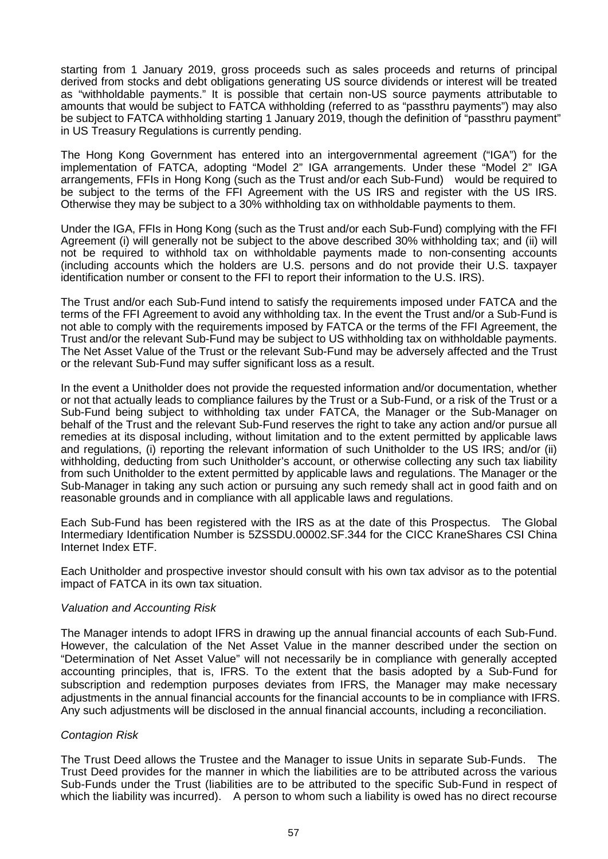starting from 1 January 2019, gross proceeds such as sales proceeds and returns of principal derived from stocks and debt obligations generating US source dividends or interest will be treated as "withholdable payments." It is possible that certain non-US source payments attributable to amounts that would be subject to FATCA withholding (referred to as "passthru payments") may also be subject to FATCA withholding starting 1 January 2019, though the definition of "passthru payment" in US Treasury Regulations is currently pending.

The Hong Kong Government has entered into an intergovernmental agreement ("IGA") for the implementation of FATCA, adopting "Model 2" IGA arrangements. Under these "Model 2" IGA arrangements, FFIs in Hong Kong (such as the Trust and/or each Sub-Fund) would be required to be subject to the terms of the FFI Agreement with the US IRS and register with the US IRS. Otherwise they may be subject to a 30% withholding tax on withholdable payments to them.

Under the IGA, FFIs in Hong Kong (such as the Trust and/or each Sub-Fund) complying with the FFI Agreement (i) will generally not be subject to the above described 30% withholding tax; and (ii) will not be required to withhold tax on withholdable payments made to non-consenting accounts (including accounts which the holders are U.S. persons and do not provide their U.S. taxpayer identification number or consent to the FFI to report their information to the U.S. IRS).

The Trust and/or each Sub-Fund intend to satisfy the requirements imposed under FATCA and the terms of the FFI Agreement to avoid any withholding tax. In the event the Trust and/or a Sub-Fund is not able to comply with the requirements imposed by FATCA or the terms of the FFI Agreement, the Trust and/or the relevant Sub-Fund may be subject to US withholding tax on withholdable payments. The Net Asset Value of the Trust or the relevant Sub-Fund may be adversely affected and the Trust or the relevant Sub-Fund may suffer significant loss as a result.

In the event a Unitholder does not provide the requested information and/or documentation, whether or not that actually leads to compliance failures by the Trust or a Sub-Fund, or a risk of the Trust or a Sub-Fund being subject to withholding tax under FATCA, the Manager or the Sub-Manager on behalf of the Trust and the relevant Sub-Fund reserves the right to take any action and/or pursue all remedies at its disposal including, without limitation and to the extent permitted by applicable laws and regulations, (i) reporting the relevant information of such Unitholder to the US IRS; and/or (ii) withholding, deducting from such Unitholder's account, or otherwise collecting any such tax liability from such Unitholder to the extent permitted by applicable laws and regulations. The Manager or the Sub-Manager in taking any such action or pursuing any such remedy shall act in good faith and on reasonable grounds and in compliance with all applicable laws and regulations.

Each Sub-Fund has been registered with the IRS as at the date of this Prospectus. The Global Intermediary Identification Number is 5ZSSDU.00002.SF.344 for the CICC KraneShares CSI China Internet Index ETF.

Each Unitholder and prospective investor should consult with his own tax advisor as to the potential impact of FATCA in its own tax situation.

### *Valuation and Accounting Risk*

The Manager intends to adopt IFRS in drawing up the annual financial accounts of each Sub-Fund. However, the calculation of the Net Asset Value in the manner described under the section on "Determination of Net Asset Value" will not necessarily be in compliance with generally accepted accounting principles, that is, IFRS. To the extent that the basis adopted by a Sub-Fund for subscription and redemption purposes deviates from IFRS, the Manager may make necessary adjustments in the annual financial accounts for the financial accounts to be in compliance with IFRS. Any such adjustments will be disclosed in the annual financial accounts, including a reconciliation.

### *Contagion Risk*

The Trust Deed allows the Trustee and the Manager to issue Units in separate Sub-Funds. The Trust Deed provides for the manner in which the liabilities are to be attributed across the various Sub-Funds under the Trust (liabilities are to be attributed to the specific Sub-Fund in respect of which the liability was incurred). A person to whom such a liability is owed has no direct recourse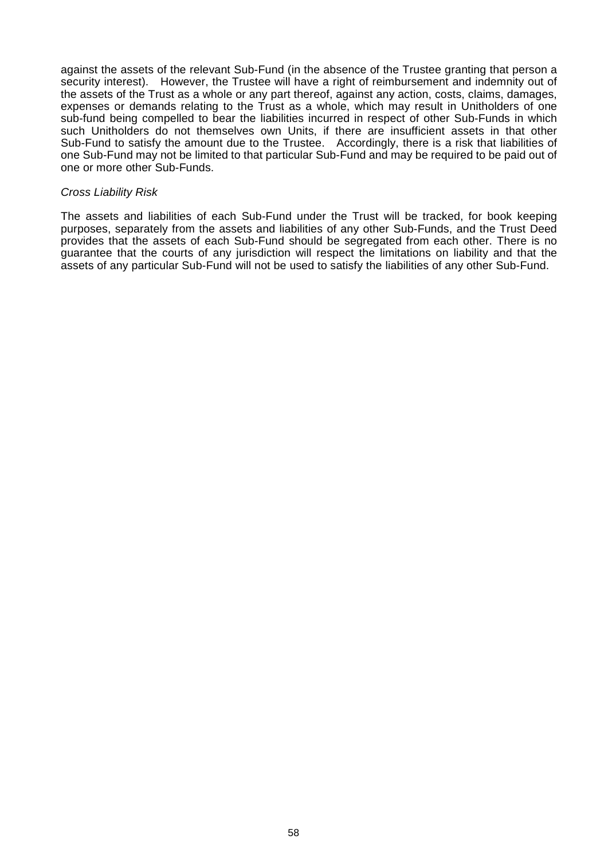against the assets of the relevant Sub-Fund (in the absence of the Trustee granting that person a security interest). However, the Trustee will have a right of reimbursement and indemnity out of the assets of the Trust as a whole or any part thereof, against any action, costs, claims, damages, expenses or demands relating to the Trust as a whole, which may result in Unitholders of one sub-fund being compelled to bear the liabilities incurred in respect of other Sub-Funds in which such Unitholders do not themselves own Units, if there are insufficient assets in that other Sub-Fund to satisfy the amount due to the Trustee. Accordingly, there is a risk that liabilities of one Sub-Fund may not be limited to that particular Sub-Fund and may be required to be paid out of one or more other Sub-Funds.

#### *Cross Liability Risk*

The assets and liabilities of each Sub-Fund under the Trust will be tracked, for book keeping purposes, separately from the assets and liabilities of any other Sub-Funds, and the Trust Deed provides that the assets of each Sub-Fund should be segregated from each other. There is no guarantee that the courts of any jurisdiction will respect the limitations on liability and that the assets of any particular Sub-Fund will not be used to satisfy the liabilities of any other Sub-Fund.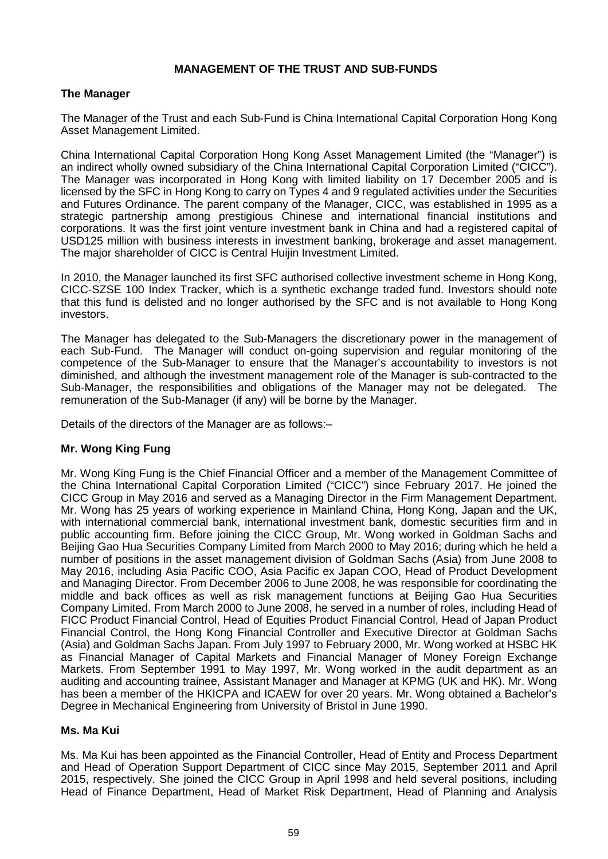## **MANAGEMENT OF THE TRUST AND SUB-FUNDS**

### **The Manager**

The Manager of the Trust and each Sub-Fund is China International Capital Corporation Hong Kong Asset Management Limited.

China International Capital Corporation Hong Kong Asset Management Limited (the "Manager") is an indirect wholly owned subsidiary of the China International Capital Corporation Limited ("CICC"). The Manager was incorporated in Hong Kong with limited liability on 17 December 2005 and is licensed by the SFC in Hong Kong to carry on Types 4 and 9 regulated activities under the Securities and Futures Ordinance. The parent company of the Manager, CICC, was established in 1995 as a strategic partnership among prestigious Chinese and international financial institutions and corporations. It was the first joint venture investment bank in China and had a registered capital of USD125 million with business interests in investment banking, brokerage and asset management. The major shareholder of CICC is Central Huijin Investment Limited.

In 2010, the Manager launched its first SFC authorised collective investment scheme in Hong Kong, CICC-SZSE 100 Index Tracker, which is a synthetic exchange traded fund. Investors should note that this fund is delisted and no longer authorised by the SFC and is not available to Hong Kong investors.

The Manager has delegated to the Sub-Managers the discretionary power in the management of each Sub-Fund. The Manager will conduct on-going supervision and regular monitoring of the competence of the Sub-Manager to ensure that the Manager's accountability to investors is not diminished, and although the investment management role of the Manager is sub-contracted to the Sub-Manager, the responsibilities and obligations of the Manager may not be delegated. The remuneration of the Sub-Manager (if any) will be borne by the Manager.

Details of the directors of the Manager are as follows:–

# **Mr. Wong King Fung**

Mr. Wong King Fung is the Chief Financial Officer and a member of the Management Committee of the China International Capital Corporation Limited ("CICC") since February 2017. He joined the CICC Group in May 2016 and served as a Managing Director in the Firm Management Department. Mr. Wong has 25 years of working experience in Mainland China, Hong Kong, Japan and the UK, with international commercial bank, international investment bank, domestic securities firm and in public accounting firm. Before joining the CICC Group, Mr. Wong worked in Goldman Sachs and Beijing Gao Hua Securities Company Limited from March 2000 to May 2016; during which he held a number of positions in the asset management division of Goldman Sachs (Asia) from June 2008 to May 2016, including Asia Pacific COO, Asia Pacific ex Japan COO, Head of Product Development and Managing Director. From December 2006 to June 2008, he was responsible for coordinating the middle and back offices as well as risk management functions at Beijing Gao Hua Securities Company Limited. From March 2000 to June 2008, he served in a number of roles, including Head of FICC Product Financial Control, Head of Equities Product Financial Control, Head of Japan Product Financial Control, the Hong Kong Financial Controller and Executive Director at Goldman Sachs (Asia) and Goldman Sachs Japan. From July 1997 to February 2000, Mr. Wong worked at HSBC HK as Financial Manager of Capital Markets and Financial Manager of Money Foreign Exchange Markets. From September 1991 to May 1997, Mr. Wong worked in the audit department as an auditing and accounting trainee, Assistant Manager and Manager at KPMG (UK and HK). Mr. Wong has been a member of the HKICPA and ICAEW for over 20 years. Mr. Wong obtained a Bachelor's Degree in Mechanical Engineering from University of Bristol in June 1990.

### **Ms. Ma Kui**

Ms. Ma Kui has been appointed as the Financial Controller, Head of Entity and Process Department and Head of Operation Support Department of CICC since May 2015, September 2011 and April 2015, respectively. She joined the CICC Group in April 1998 and held several positions, including Head of Finance Department, Head of Market Risk Department, Head of Planning and Analysis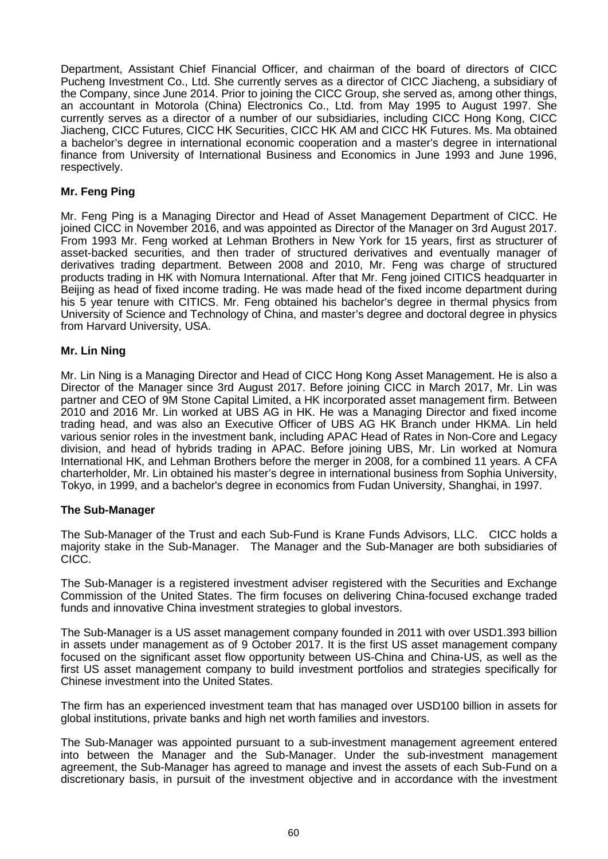Department, Assistant Chief Financial Officer, and chairman of the board of directors of CICC Pucheng Investment Co., Ltd. She currently serves as a director of CICC Jiacheng, a subsidiary of the Company, since June 2014. Prior to joining the CICC Group, she served as, among other things, an accountant in Motorola (China) Electronics Co., Ltd. from May 1995 to August 1997. She currently serves as a director of a number of our subsidiaries, including CICC Hong Kong, CICC Jiacheng, CICC Futures, CICC HK Securities, CICC HK AM and CICC HK Futures. Ms. Ma obtained a bachelor's degree in international economic cooperation and a master's degree in international finance from University of International Business and Economics in June 1993 and June 1996, respectively.

# **Mr. Feng Ping**

Mr. Feng Ping is a Managing Director and Head of Asset Management Department of CICC. He joined CICC in November 2016, and was appointed as Director of the Manager on 3rd August 2017. From 1993 Mr. Feng worked at Lehman Brothers in New York for 15 years, first as structurer of asset-backed securities, and then trader of structured derivatives and eventually manager of derivatives trading department. Between 2008 and 2010, Mr. Feng was charge of structured products trading in HK with Nomura International. After that Mr. Feng joined CITICS headquarter in Beijing as head of fixed income trading. He was made head of the fixed income department during his 5 year tenure with CITICS. Mr. Feng obtained his bachelor's degree in thermal physics from University of Science and Technology of China, and master's degree and doctoral degree in physics from Harvard University, USA.

### **Mr. Lin Ning**

Mr. Lin Ning is a Managing Director and Head of CICC Hong Kong Asset Management. He is also a Director of the Manager since 3rd August 2017. Before joining CICC in March 2017, Mr. Lin was partner and CEO of 9M Stone Capital Limited, a HK incorporated asset management firm. Between 2010 and 2016 Mr. Lin worked at UBS AG in HK. He was a Managing Director and fixed income trading head, and was also an Executive Officer of UBS AG HK Branch under HKMA. Lin held various senior roles in the investment bank, including APAC Head of Rates in Non-Core and Legacy division, and head of hybrids trading in APAC. Before joining UBS, Mr. Lin worked at Nomura International HK, and Lehman Brothers before the merger in 2008, for a combined 11 years. A CFA charterholder, Mr. Lin obtained his master's degree in international business from Sophia University, Tokyo, in 1999, and a bachelor's degree in economics from Fudan University, Shanghai, in 1997.

### **The Sub-Manager**

The Sub-Manager of the Trust and each Sub-Fund is Krane Funds Advisors, LLC. CICC holds a majority stake in the Sub-Manager. The Manager and the Sub-Manager are both subsidiaries of CICC.

The Sub-Manager is a registered investment adviser registered with the Securities and Exchange Commission of the United States. The firm focuses on delivering China-focused exchange traded funds and innovative China investment strategies to global investors.

The Sub-Manager is a US asset management company founded in 2011 with over USD1.393 billion in assets under management as of 9 October 2017. It is the first US asset management company focused on the significant asset flow opportunity between US-China and China-US, as well as the first US asset management company to build investment portfolios and strategies specifically for Chinese investment into the United States.

The firm has an experienced investment team that has managed over USD100 billion in assets for global institutions, private banks and high net worth families and investors.

The Sub-Manager was appointed pursuant to a sub-investment management agreement entered into between the Manager and the Sub-Manager. Under the sub-investment management agreement, the Sub-Manager has agreed to manage and invest the assets of each Sub-Fund on a discretionary basis, in pursuit of the investment objective and in accordance with the investment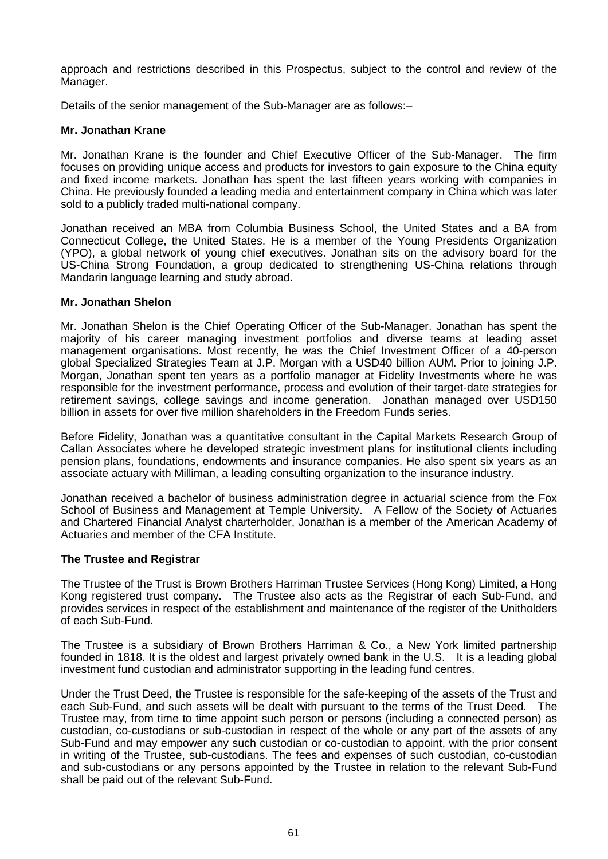approach and restrictions described in this Prospectus, subject to the control and review of the Manager.

Details of the senior management of the Sub-Manager are as follows:–

### **Mr. Jonathan Krane**

Mr. Jonathan Krane is the founder and Chief Executive Officer of the Sub-Manager. The firm focuses on providing unique access and products for investors to gain exposure to the China equity and fixed income markets. Jonathan has spent the last fifteen years working with companies in China. He previously founded a leading media and entertainment company in China which was later sold to a publicly traded multi-national company.

Jonathan received an MBA from Columbia Business School, the United States and a BA from Connecticut College, the United States. He is a member of the Young Presidents Organization (YPO), a global network of young chief executives. Jonathan sits on the advisory board for the US-China Strong Foundation, a group dedicated to strengthening US-China relations through Mandarin language learning and study abroad.

### **Mr. Jonathan Shelon**

Mr. Jonathan Shelon is the Chief Operating Officer of the Sub-Manager. Jonathan has spent the majority of his career managing investment portfolios and diverse teams at leading asset management organisations. Most recently, he was the Chief Investment Officer of a 40-person global Specialized Strategies Team at J.P. Morgan with a USD40 billion AUM. Prior to joining J.P. Morgan, Jonathan spent ten years as a portfolio manager at Fidelity Investments where he was responsible for the investment performance, process and evolution of their target-date strategies for retirement savings, college savings and income generation. Jonathan managed over USD150 billion in assets for over five million shareholders in the Freedom Funds series.

Before Fidelity, Jonathan was a quantitative consultant in the Capital Markets Research Group of Callan Associates where he developed strategic investment plans for institutional clients including pension plans, foundations, endowments and insurance companies. He also spent six years as an associate actuary with Milliman, a leading consulting organization to the insurance industry.

Jonathan received a bachelor of business administration degree in actuarial science from the Fox School of Business and Management at Temple University. A Fellow of the Society of Actuaries and Chartered Financial Analyst charterholder, Jonathan is a member of the American Academy of Actuaries and member of the CFA Institute.

### **The Trustee and Registrar**

The Trustee of the Trust is Brown Brothers Harriman Trustee Services (Hong Kong) Limited, a Hong Kong registered trust company. The Trustee also acts as the Registrar of each Sub-Fund, and provides services in respect of the establishment and maintenance of the register of the Unitholders of each Sub-Fund.

The Trustee is a subsidiary of Brown Brothers Harriman & Co., a New York limited partnership founded in 1818. It is the oldest and largest privately owned bank in the U.S. It is a leading global investment fund custodian and administrator supporting in the leading fund centres.

Under the Trust Deed, the Trustee is responsible for the safe-keeping of the assets of the Trust and each Sub-Fund, and such assets will be dealt with pursuant to the terms of the Trust Deed. The Trustee may, from time to time appoint such person or persons (including a connected person) as custodian, co-custodians or sub-custodian in respect of the whole or any part of the assets of any Sub-Fund and may empower any such custodian or co-custodian to appoint, with the prior consent in writing of the Trustee, sub-custodians. The fees and expenses of such custodian, co-custodian and sub-custodians or any persons appointed by the Trustee in relation to the relevant Sub-Fund shall be paid out of the relevant Sub-Fund.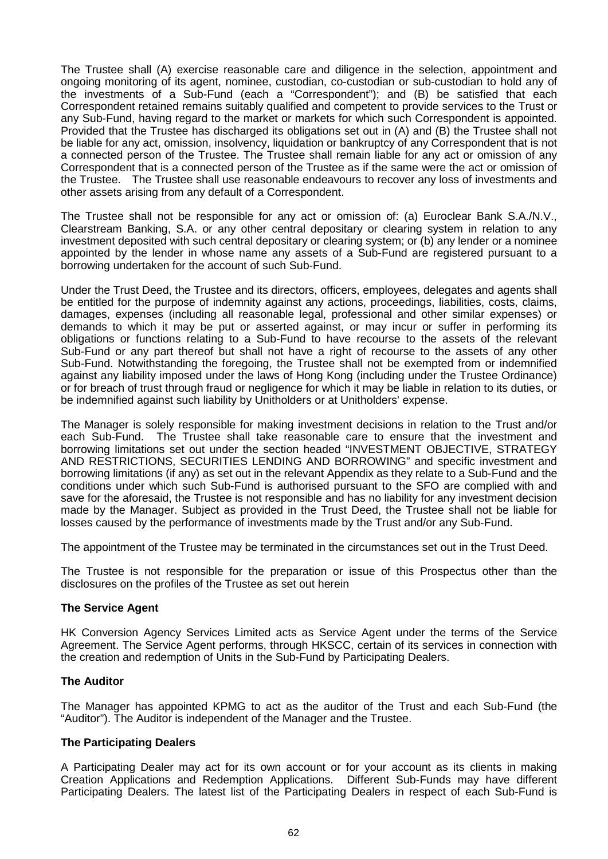The Trustee shall (A) exercise reasonable care and diligence in the selection, appointment and ongoing monitoring of its agent, nominee, custodian, co-custodian or sub-custodian to hold any of the investments of a Sub-Fund (each a "Correspondent"); and (B) be satisfied that each Correspondent retained remains suitably qualified and competent to provide services to the Trust or any Sub-Fund, having regard to the market or markets for which such Correspondent is appointed. Provided that the Trustee has discharged its obligations set out in (A) and (B) the Trustee shall not be liable for any act, omission, insolvency, liquidation or bankruptcy of any Correspondent that is not a connected person of the Trustee. The Trustee shall remain liable for any act or omission of any Correspondent that is a connected person of the Trustee as if the same were the act or omission of the Trustee. The Trustee shall use reasonable endeavours to recover any loss of investments and other assets arising from any default of a Correspondent.

The Trustee shall not be responsible for any act or omission of: (a) Euroclear Bank S.A./N.V., Clearstream Banking, S.A. or any other central depositary or clearing system in relation to any investment deposited with such central depositary or clearing system; or (b) any lender or a nominee appointed by the lender in whose name any assets of a Sub-Fund are registered pursuant to a borrowing undertaken for the account of such Sub-Fund.

Under the Trust Deed, the Trustee and its directors, officers, employees, delegates and agents shall be entitled for the purpose of indemnity against any actions, proceedings, liabilities, costs, claims, damages, expenses (including all reasonable legal, professional and other similar expenses) or demands to which it may be put or asserted against, or may incur or suffer in performing its obligations or functions relating to a Sub-Fund to have recourse to the assets of the relevant Sub-Fund or any part thereof but shall not have a right of recourse to the assets of any other Sub-Fund. Notwithstanding the foregoing, the Trustee shall not be exempted from or indemnified against any liability imposed under the laws of Hong Kong (including under the Trustee Ordinance) or for breach of trust through fraud or negligence for which it may be liable in relation to its duties, or be indemnified against such liability by Unitholders or at Unitholders' expense.

The Manager is solely responsible for making investment decisions in relation to the Trust and/or each Sub-Fund. The Trustee shall take reasonable care to ensure that the investment and borrowing limitations set out under the section headed "INVESTMENT OBJECTIVE, STRATEGY AND RESTRICTIONS, SECURITIES LENDING AND BORROWING" and specific investment and borrowing limitations (if any) as set out in the relevant Appendix as they relate to a Sub-Fund and the conditions under which such Sub-Fund is authorised pursuant to the SFO are complied with and save for the aforesaid, the Trustee is not responsible and has no liability for any investment decision made by the Manager. Subject as provided in the Trust Deed, the Trustee shall not be liable for losses caused by the performance of investments made by the Trust and/or any Sub-Fund.

The appointment of the Trustee may be terminated in the circumstances set out in the Trust Deed.

The Trustee is not responsible for the preparation or issue of this Prospectus other than the disclosures on the profiles of the Trustee as set out herein

### **The Service Agent**

HK Conversion Agency Services Limited acts as Service Agent under the terms of the Service Agreement. The Service Agent performs, through HKSCC, certain of its services in connection with the creation and redemption of Units in the Sub-Fund by Participating Dealers.

### **The Auditor**

The Manager has appointed KPMG to act as the auditor of the Trust and each Sub-Fund (the "Auditor"). The Auditor is independent of the Manager and the Trustee.

### **The Participating Dealers**

A Participating Dealer may act for its own account or for your account as its clients in making Creation Applications and Redemption Applications. Different Sub-Funds may have different Participating Dealers. The latest list of the Participating Dealers in respect of each Sub-Fund is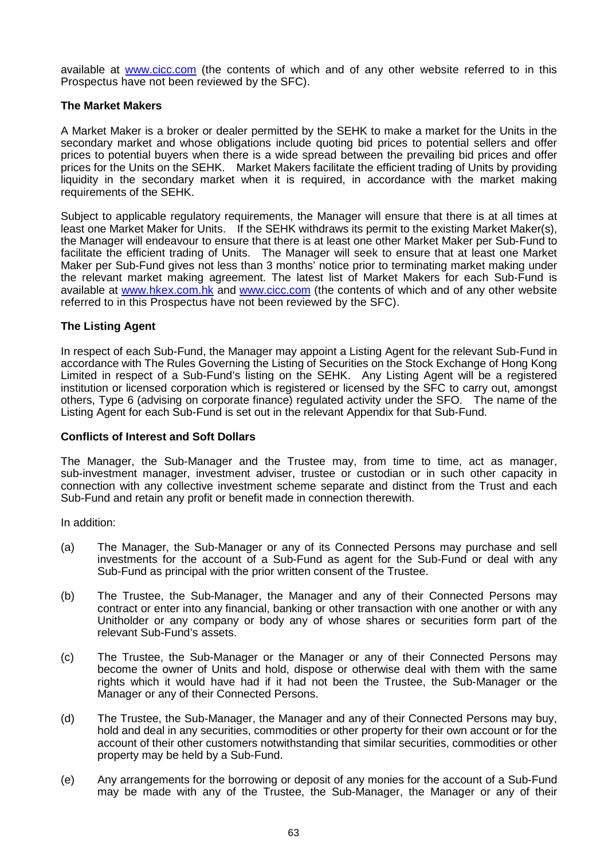available at www.cicc.com (the contents of which and of any other website referred to in this Prospectus have not been reviewed by the SFC).

### **The Market Makers**

A Market Maker is a broker or dealer permitted by the SEHK to make a market for the Units in the secondary market and whose obligations include quoting bid prices to potential sellers and offer prices to potential buyers when there is a wide spread between the prevailing bid prices and offer prices for the Units on the SEHK. Market Makers facilitate the efficient trading of Units by providing liquidity in the secondary market when it is required, in accordance with the market making requirements of the SEHK.

Subject to applicable regulatory requirements, the Manager will ensure that there is at all times at least one Market Maker for Units. If the SEHK withdraws its permit to the existing Market Maker(s), the Manager will endeavour to ensure that there is at least one other Market Maker per Sub-Fund to facilitate the efficient trading of Units. The Manager will seek to ensure that at least one Market Maker per Sub-Fund gives not less than 3 months' notice prior to terminating market making under the relevant market making agreement. The latest list of Market Makers for each Sub-Fund is available at www.hkex.com.hk and www.cicc.com (the contents of which and of any other website referred to in this Prospectus have not been reviewed by the SFC).

# **The Listing Agent**

In respect of each Sub-Fund, the Manager may appoint a Listing Agent for the relevant Sub-Fund in accordance with The Rules Governing the Listing of Securities on the Stock Exchange of Hong Kong Limited in respect of a Sub-Fund's listing on the SEHK. Any Listing Agent will be a registered institution or licensed corporation which is registered or licensed by the SFC to carry out, amongst others, Type 6 (advising on corporate finance) regulated activity under the SFO. The name of the Listing Agent for each Sub-Fund is set out in the relevant Appendix for that Sub-Fund.

### **Conflicts of Interest and Soft Dollars**

The Manager, the Sub-Manager and the Trustee may, from time to time, act as manager, sub-investment manager, investment adviser, trustee or custodian or in such other capacity in connection with any collective investment scheme separate and distinct from the Trust and each Sub-Fund and retain any profit or benefit made in connection therewith.

In addition:

- (a) The Manager, the Sub-Manager or any of its Connected Persons may purchase and sell investments for the account of a Sub-Fund as agent for the Sub-Fund or deal with any Sub-Fund as principal with the prior written consent of the Trustee.
- (b) The Trustee, the Sub-Manager, the Manager and any of their Connected Persons may contract or enter into any financial, banking or other transaction with one another or with any Unitholder or any company or body any of whose shares or securities form part of the relevant Sub-Fund's assets.
- (c) The Trustee, the Sub-Manager or the Manager or any of their Connected Persons may become the owner of Units and hold, dispose or otherwise deal with them with the same rights which it would have had if it had not been the Trustee, the Sub-Manager or the Manager or any of their Connected Persons.
- (d) The Trustee, the Sub-Manager, the Manager and any of their Connected Persons may buy, hold and deal in any securities, commodities or other property for their own account or for the account of their other customers notwithstanding that similar securities, commodities or other property may be held by a Sub-Fund.
- (e) Any arrangements for the borrowing or deposit of any monies for the account of a Sub-Fund may be made with any of the Trustee, the Sub-Manager, the Manager or any of their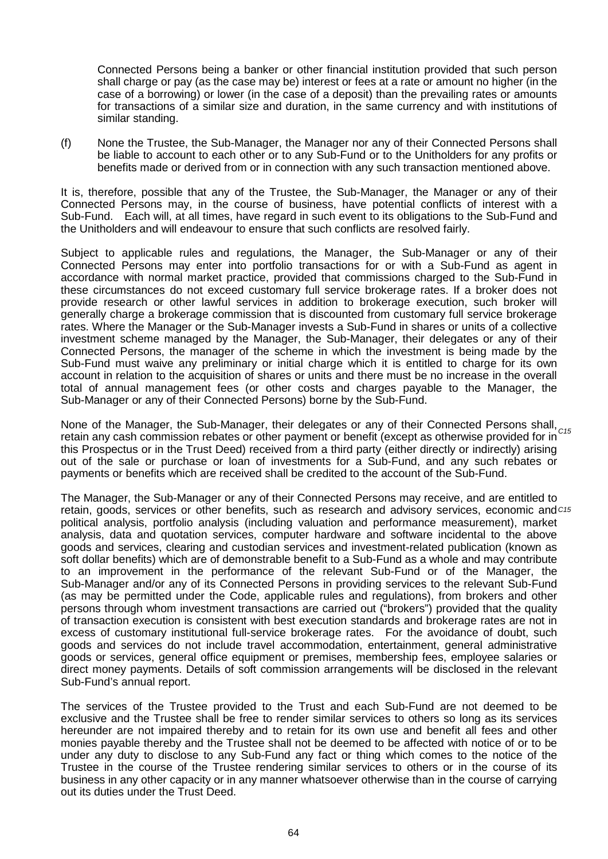Connected Persons being a banker or other financial institution provided that such person shall charge or pay (as the case may be) interest or fees at a rate or amount no higher (in the case of a borrowing) or lower (in the case of a deposit) than the prevailing rates or amounts for transactions of a similar size and duration, in the same currency and with institutions of similar standing.

(f) None the Trustee, the Sub-Manager, the Manager nor any of their Connected Persons shall be liable to account to each other or to any Sub-Fund or to the Unitholders for any profits or benefits made or derived from or in connection with any such transaction mentioned above.

It is, therefore, possible that any of the Trustee, the Sub-Manager, the Manager or any of their Connected Persons may, in the course of business, have potential conflicts of interest with a Sub-Fund. Each will, at all times, have regard in such event to its obligations to the Sub-Fund and the Unitholders and will endeavour to ensure that such conflicts are resolved fairly.

Subject to applicable rules and regulations, the Manager, the Sub-Manager or any of their Connected Persons may enter into portfolio transactions for or with a Sub-Fund as agent in accordance with normal market practice, provided that commissions charged to the Sub-Fund in these circumstances do not exceed customary full service brokerage rates. If a broker does not provide research or other lawful services in addition to brokerage execution, such broker will generally charge a brokerage commission that is discounted from customary full service brokerage rates. Where the Manager or the Sub-Manager invests a Sub-Fund in shares or units of a collective investment scheme managed by the Manager, the Sub-Manager, their delegates or any of their Connected Persons, the manager of the scheme in which the investment is being made by the Sub-Fund must waive any preliminary or initial charge which it is entitled to charge for its own account in relation to the acquisition of shares or units and there must be no increase in the overall total of annual management fees (or other costs and charges payable to the Manager, the Sub-Manager or any of their Connected Persons) borne by the Sub-Fund.

None of the Manager, the Sub-Manager, their delegates or any of their Connected Persons shall, <sub>C15</sub><br>retain any seak commission relation at the narrows of an handfit (avecant as athorwise provided for in C15 retain any cash commission rebates or other payment or benefit (except as otherwise provided for in this Prospectus or in the Trust Deed) received from a third party (either directly or indirectly) arising out of the sale or purchase or loan of investments for a Sub-Fund, and any such rebates or payments or benefits which are received shall be credited to the account of the Sub-Fund.

The Manager, the Sub-Manager or any of their Connected Persons may receive, and are entitled to retain, goods, services or other benefits, such as research and advisory services, economic and *C15*political analysis, portfolio analysis (including valuation and performance measurement), market analysis, data and quotation services, computer hardware and software incidental to the above goods and services, clearing and custodian services and investment-related publication (known as soft dollar benefits) which are of demonstrable benefit to a Sub-Fund as a whole and may contribute to an improvement in the performance of the relevant Sub-Fund or of the Manager, the Sub-Manager and/or any of its Connected Persons in providing services to the relevant Sub-Fund (as may be permitted under the Code, applicable rules and regulations), from brokers and other persons through whom investment transactions are carried out ("brokers") provided that the quality of transaction execution is consistent with best execution standards and brokerage rates are not in excess of customary institutional full-service brokerage rates. For the avoidance of doubt, such goods and services do not include travel accommodation, entertainment, general administrative goods or services, general office equipment or premises, membership fees, employee salaries or direct money payments. Details of soft commission arrangements will be disclosed in the relevant Sub-Fund's annual report.

The services of the Trustee provided to the Trust and each Sub-Fund are not deemed to be exclusive and the Trustee shall be free to render similar services to others so long as its services hereunder are not impaired thereby and to retain for its own use and benefit all fees and other monies payable thereby and the Trustee shall not be deemed to be affected with notice of or to be under any duty to disclose to any Sub-Fund any fact or thing which comes to the notice of the Trustee in the course of the Trustee rendering similar services to others or in the course of its business in any other capacity or in any manner whatsoever otherwise than in the course of carrying out its duties under the Trust Deed.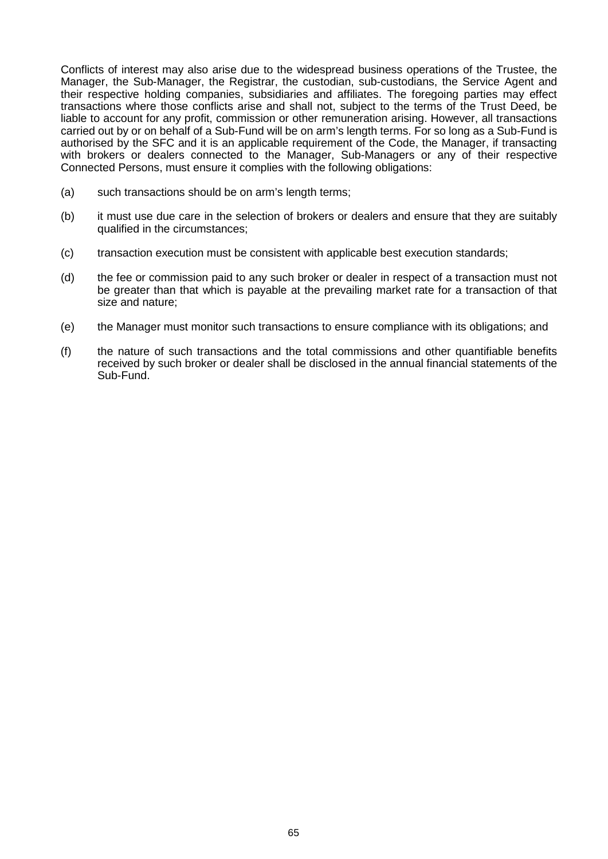Conflicts of interest may also arise due to the widespread business operations of the Trustee, the Manager, the Sub-Manager, the Registrar, the custodian, sub-custodians, the Service Agent and their respective holding companies, subsidiaries and affiliates. The foregoing parties may effect transactions where those conflicts arise and shall not, subject to the terms of the Trust Deed, be liable to account for any profit, commission or other remuneration arising. However, all transactions carried out by or on behalf of a Sub-Fund will be on arm's length terms. For so long as a Sub-Fund is authorised by the SFC and it is an applicable requirement of the Code, the Manager, if transacting with brokers or dealers connected to the Manager, Sub-Managers or any of their respective Connected Persons, must ensure it complies with the following obligations:

- (a) such transactions should be on arm's length terms;
- (b) it must use due care in the selection of brokers or dealers and ensure that they are suitably qualified in the circumstances;
- (c) transaction execution must be consistent with applicable best execution standards;
- (d) the fee or commission paid to any such broker or dealer in respect of a transaction must not be greater than that which is payable at the prevailing market rate for a transaction of that size and nature;
- (e) the Manager must monitor such transactions to ensure compliance with its obligations; and
- (f) the nature of such transactions and the total commissions and other quantifiable benefits received by such broker or dealer shall be disclosed in the annual financial statements of the Sub-Fund.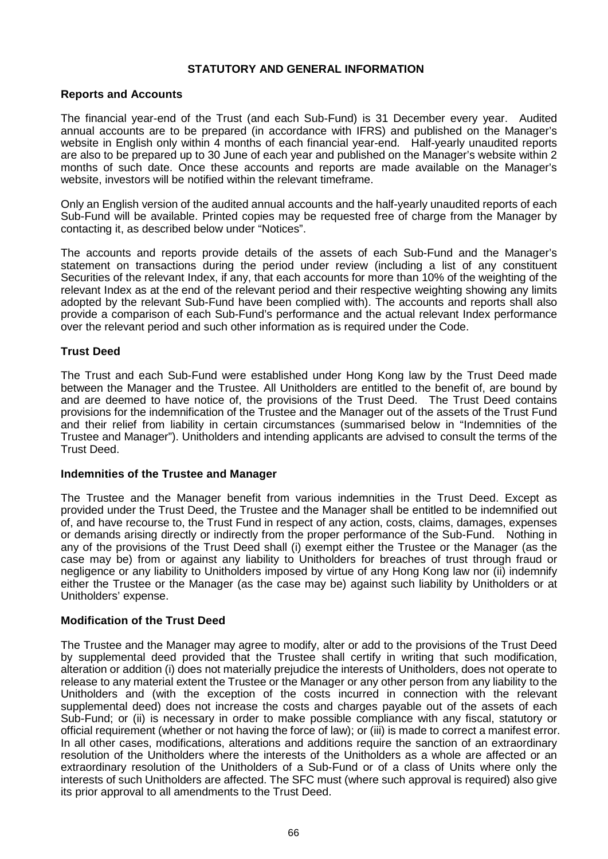## **STATUTORY AND GENERAL INFORMATION**

### **Reports and Accounts**

The financial year-end of the Trust (and each Sub-Fund) is 31 December every year. Audited annual accounts are to be prepared (in accordance with IFRS) and published on the Manager's website in English only within 4 months of each financial year-end. Half-yearly unaudited reports are also to be prepared up to 30 June of each year and published on the Manager's website within 2 months of such date. Once these accounts and reports are made available on the Manager's website, investors will be notified within the relevant timeframe.

Only an English version of the audited annual accounts and the half-yearly unaudited reports of each Sub-Fund will be available. Printed copies may be requested free of charge from the Manager by contacting it, as described below under "Notices".

The accounts and reports provide details of the assets of each Sub-Fund and the Manager's statement on transactions during the period under review (including a list of any constituent Securities of the relevant Index, if any, that each accounts for more than 10% of the weighting of the relevant Index as at the end of the relevant period and their respective weighting showing any limits adopted by the relevant Sub-Fund have been complied with). The accounts and reports shall also provide a comparison of each Sub-Fund's performance and the actual relevant Index performance over the relevant period and such other information as is required under the Code.

# **Trust Deed**

The Trust and each Sub-Fund were established under Hong Kong law by the Trust Deed made between the Manager and the Trustee. All Unitholders are entitled to the benefit of, are bound by and are deemed to have notice of, the provisions of the Trust Deed. The Trust Deed contains provisions for the indemnification of the Trustee and the Manager out of the assets of the Trust Fund and their relief from liability in certain circumstances (summarised below in "Indemnities of the Trustee and Manager"). Unitholders and intending applicants are advised to consult the terms of the Trust Deed.

### **Indemnities of the Trustee and Manager**

The Trustee and the Manager benefit from various indemnities in the Trust Deed. Except as provided under the Trust Deed, the Trustee and the Manager shall be entitled to be indemnified out of, and have recourse to, the Trust Fund in respect of any action, costs, claims, damages, expenses or demands arising directly or indirectly from the proper performance of the Sub-Fund. Nothing in any of the provisions of the Trust Deed shall (i) exempt either the Trustee or the Manager (as the case may be) from or against any liability to Unitholders for breaches of trust through fraud or negligence or any liability to Unitholders imposed by virtue of any Hong Kong law nor (ii) indemnify either the Trustee or the Manager (as the case may be) against such liability by Unitholders or at Unitholders' expense.

# **Modification of the Trust Deed**

The Trustee and the Manager may agree to modify, alter or add to the provisions of the Trust Deed by supplemental deed provided that the Trustee shall certify in writing that such modification, alteration or addition (i) does not materially prejudice the interests of Unitholders, does not operate to release to any material extent the Trustee or the Manager or any other person from any liability to the Unitholders and (with the exception of the costs incurred in connection with the relevant supplemental deed) does not increase the costs and charges payable out of the assets of each Sub-Fund; or (ii) is necessary in order to make possible compliance with any fiscal, statutory or official requirement (whether or not having the force of law); or (iii) is made to correct a manifest error. In all other cases, modifications, alterations and additions require the sanction of an extraordinary resolution of the Unitholders where the interests of the Unitholders as a whole are affected or an extraordinary resolution of the Unitholders of a Sub-Fund or of a class of Units where only the interests of such Unitholders are affected. The SFC must (where such approval is required) also give its prior approval to all amendments to the Trust Deed.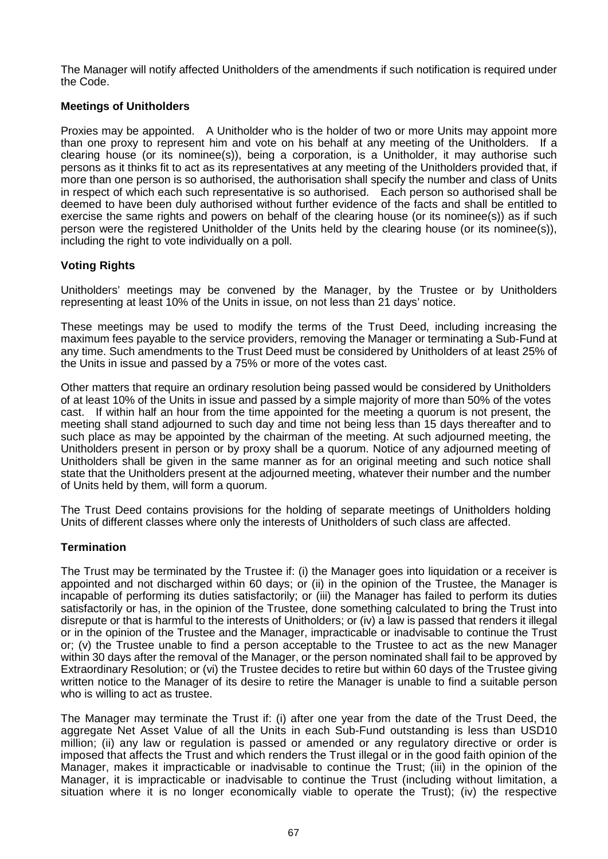The Manager will notify affected Unitholders of the amendments if such notification is required under the Code.

# **Meetings of Unitholders**

Proxies may be appointed. A Unitholder who is the holder of two or more Units may appoint more than one proxy to represent him and vote on his behalf at any meeting of the Unitholders. If a clearing house (or its nominee(s)), being a corporation, is a Unitholder, it may authorise such persons as it thinks fit to act as its representatives at any meeting of the Unitholders provided that, if more than one person is so authorised, the authorisation shall specify the number and class of Units in respect of which each such representative is so authorised. Each person so authorised shall be deemed to have been duly authorised without further evidence of the facts and shall be entitled to exercise the same rights and powers on behalf of the clearing house (or its nominee(s)) as if such person were the registered Unitholder of the Units held by the clearing house (or its nominee(s)), including the right to vote individually on a poll.

# **Voting Rights**

Unitholders' meetings may be convened by the Manager, by the Trustee or by Unitholders representing at least 10% of the Units in issue, on not less than 21 days' notice.

These meetings may be used to modify the terms of the Trust Deed, including increasing the maximum fees payable to the service providers, removing the Manager or terminating a Sub-Fund at any time. Such amendments to the Trust Deed must be considered by Unitholders of at least 25% of the Units in issue and passed by a 75% or more of the votes cast.

Other matters that require an ordinary resolution being passed would be considered by Unitholders of at least 10% of the Units in issue and passed by a simple majority of more than 50% of the votes cast. If within half an hour from the time appointed for the meeting a quorum is not present, the meeting shall stand adjourned to such day and time not being less than 15 days thereafter and to such place as may be appointed by the chairman of the meeting. At such adjourned meeting, the Unitholders present in person or by proxy shall be a quorum. Notice of any adjourned meeting of Unitholders shall be given in the same manner as for an original meeting and such notice shall state that the Unitholders present at the adjourned meeting, whatever their number and the number of Units held by them, will form a quorum.

The Trust Deed contains provisions for the holding of separate meetings of Unitholders holding Units of different classes where only the interests of Unitholders of such class are affected.

# **Termination**

The Trust may be terminated by the Trustee if: (i) the Manager goes into liquidation or a receiver is appointed and not discharged within 60 days; or (ii) in the opinion of the Trustee, the Manager is incapable of performing its duties satisfactorily; or (iii) the Manager has failed to perform its duties satisfactorily or has, in the opinion of the Trustee, done something calculated to bring the Trust into disrepute or that is harmful to the interests of Unitholders; or (iv) a law is passed that renders it illegal or in the opinion of the Trustee and the Manager, impracticable or inadvisable to continue the Trust or; (v) the Trustee unable to find a person acceptable to the Trustee to act as the new Manager within 30 days after the removal of the Manager, or the person nominated shall fail to be approved by Extraordinary Resolution; or (vi) the Trustee decides to retire but within 60 days of the Trustee giving written notice to the Manager of its desire to retire the Manager is unable to find a suitable person who is willing to act as trustee.

The Manager may terminate the Trust if: (i) after one year from the date of the Trust Deed, the aggregate Net Asset Value of all the Units in each Sub-Fund outstanding is less than USD10 million; (ii) any law or regulation is passed or amended or any regulatory directive or order is imposed that affects the Trust and which renders the Trust illegal or in the good faith opinion of the Manager, makes it impracticable or inadvisable to continue the Trust; (iii) in the opinion of the Manager, it is impracticable or inadvisable to continue the Trust (including without limitation, a situation where it is no longer economically viable to operate the Trust); (iv) the respective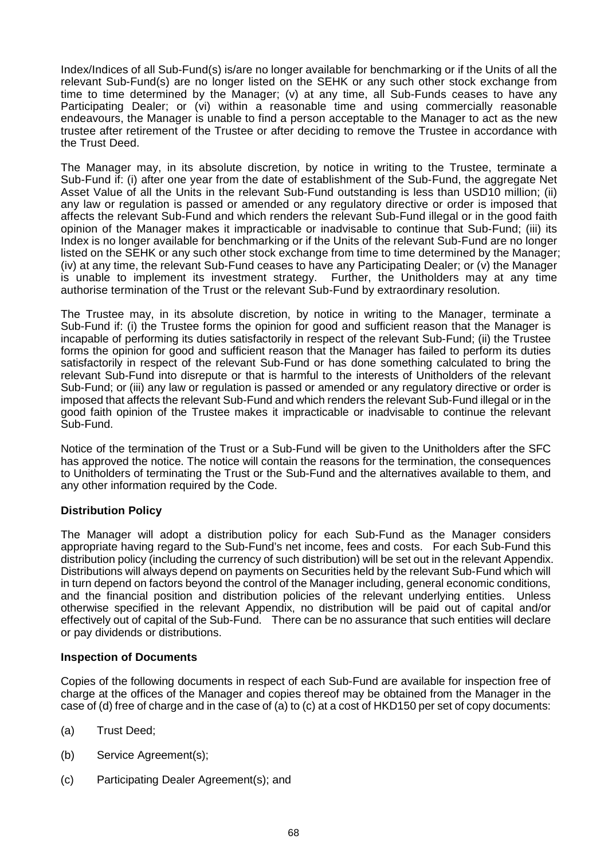Index/Indices of all Sub-Fund(s) is/are no longer available for benchmarking or if the Units of all the relevant Sub-Fund(s) are no longer listed on the SEHK or any such other stock exchange from time to time determined by the Manager; (v) at any time, all Sub-Funds ceases to have any Participating Dealer; or (vi) within a reasonable time and using commercially reasonable endeavours, the Manager is unable to find a person acceptable to the Manager to act as the new trustee after retirement of the Trustee or after deciding to remove the Trustee in accordance with the Trust Deed.

The Manager may, in its absolute discretion, by notice in writing to the Trustee, terminate a Sub-Fund if: (i) after one year from the date of establishment of the Sub-Fund, the aggregate Net Asset Value of all the Units in the relevant Sub-Fund outstanding is less than USD10 million; (ii) any law or regulation is passed or amended or any regulatory directive or order is imposed that affects the relevant Sub-Fund and which renders the relevant Sub-Fund illegal or in the good faith opinion of the Manager makes it impracticable or inadvisable to continue that Sub-Fund; (iii) its Index is no longer available for benchmarking or if the Units of the relevant Sub-Fund are no longer listed on the SEHK or any such other stock exchange from time to time determined by the Manager; (iv) at any time, the relevant Sub-Fund ceases to have any Participating Dealer; or (v) the Manager is unable to implement its investment strategy. Further, the Unitholders may at any time authorise termination of the Trust or the relevant Sub-Fund by extraordinary resolution.

The Trustee may, in its absolute discretion, by notice in writing to the Manager, terminate a Sub-Fund if: (i) the Trustee forms the opinion for good and sufficient reason that the Manager is incapable of performing its duties satisfactorily in respect of the relevant Sub-Fund; (ii) the Trustee forms the opinion for good and sufficient reason that the Manager has failed to perform its duties satisfactorily in respect of the relevant Sub-Fund or has done something calculated to bring the relevant Sub-Fund into disrepute or that is harmful to the interests of Unitholders of the relevant Sub-Fund; or (iii) any law or regulation is passed or amended or any regulatory directive or order is imposed that affects the relevant Sub-Fund and which renders the relevant Sub-Fund illegal or in the good faith opinion of the Trustee makes it impracticable or inadvisable to continue the relevant Sub-Fund.

Notice of the termination of the Trust or a Sub-Fund will be given to the Unitholders after the SFC has approved the notice. The notice will contain the reasons for the termination, the consequences to Unitholders of terminating the Trust or the Sub-Fund and the alternatives available to them, and any other information required by the Code.

# **Distribution Policy**

The Manager will adopt a distribution policy for each Sub-Fund as the Manager considers appropriate having regard to the Sub-Fund's net income, fees and costs. For each Sub-Fund this distribution policy (including the currency of such distribution) will be set out in the relevant Appendix. Distributions will always depend on payments on Securities held by the relevant Sub-Fund which will in turn depend on factors beyond the control of the Manager including, general economic conditions, and the financial position and distribution policies of the relevant underlying entities. Unless otherwise specified in the relevant Appendix, no distribution will be paid out of capital and/or effectively out of capital of the Sub-Fund. There can be no assurance that such entities will declare or pay dividends or distributions.

#### **Inspection of Documents**

Copies of the following documents in respect of each Sub-Fund are available for inspection free of charge at the offices of the Manager and copies thereof may be obtained from the Manager in the case of (d) free of charge and in the case of (a) to (c) at a cost of HKD150 per set of copy documents:

- (a) Trust Deed;
- (b) Service Agreement(s);
- (c) Participating Dealer Agreement(s); and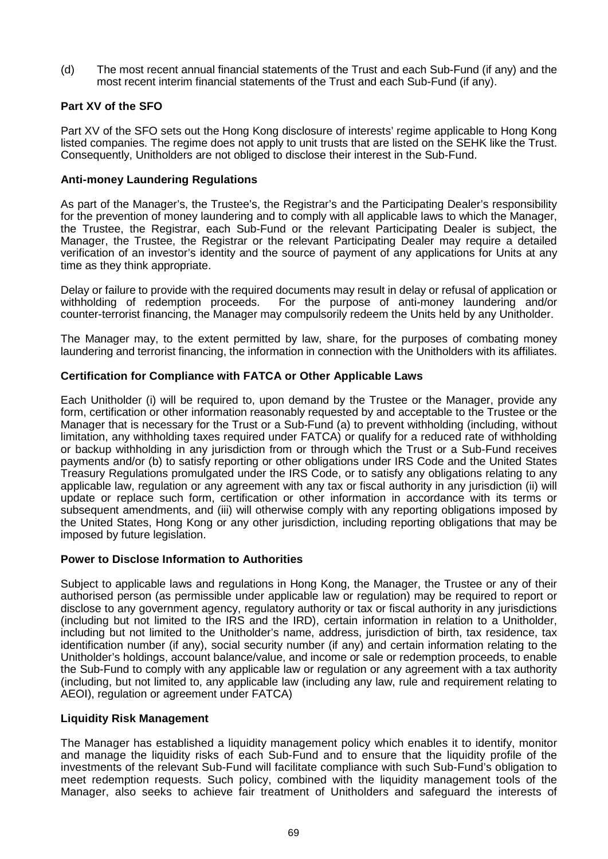(d) The most recent annual financial statements of the Trust and each Sub-Fund (if any) and the most recent interim financial statements of the Trust and each Sub-Fund (if any).

# **Part XV of the SFO**

Part XV of the SFO sets out the Hong Kong disclosure of interests' regime applicable to Hong Kong listed companies. The regime does not apply to unit trusts that are listed on the SEHK like the Trust. Consequently, Unitholders are not obliged to disclose their interest in the Sub-Fund.

# **Anti-money Laundering Regulations**

As part of the Manager's, the Trustee's, the Registrar's and the Participating Dealer's responsibility for the prevention of money laundering and to comply with all applicable laws to which the Manager, the Trustee, the Registrar, each Sub-Fund or the relevant Participating Dealer is subject, the Manager, the Trustee, the Registrar or the relevant Participating Dealer may require a detailed verification of an investor's identity and the source of payment of any applications for Units at any time as they think appropriate.

Delay or failure to provide with the required documents may result in delay or refusal of application or withholding of redemption proceeds. For the purpose of anti-money laundering and/or counter-terrorist financing, the Manager may compulsorily redeem the Units held by any Unitholder.

The Manager may, to the extent permitted by law, share, for the purposes of combating money laundering and terrorist financing, the information in connection with the Unitholders with its affiliates.

# **Certification for Compliance with FATCA or Other Applicable Laws**

Each Unitholder (i) will be required to, upon demand by the Trustee or the Manager, provide any form, certification or other information reasonably requested by and acceptable to the Trustee or the Manager that is necessary for the Trust or a Sub-Fund (a) to prevent withholding (including, without limitation, any withholding taxes required under FATCA) or qualify for a reduced rate of withholding or backup withholding in any jurisdiction from or through which the Trust or a Sub-Fund receives payments and/or (b) to satisfy reporting or other obligations under IRS Code and the United States Treasury Regulations promulgated under the IRS Code, or to satisfy any obligations relating to any applicable law, regulation or any agreement with any tax or fiscal authority in any jurisdiction (ii) will update or replace such form, certification or other information in accordance with its terms or subsequent amendments, and (iii) will otherwise comply with any reporting obligations imposed by the United States, Hong Kong or any other jurisdiction, including reporting obligations that may be imposed by future legislation.

# **Power to Disclose Information to Authorities**

Subject to applicable laws and regulations in Hong Kong, the Manager, the Trustee or any of their authorised person (as permissible under applicable law or regulation) may be required to report or disclose to any government agency, regulatory authority or tax or fiscal authority in any jurisdictions (including but not limited to the IRS and the IRD), certain information in relation to a Unitholder, including but not limited to the Unitholder's name, address, jurisdiction of birth, tax residence, tax identification number (if any), social security number (if any) and certain information relating to the Unitholder's holdings, account balance/value, and income or sale or redemption proceeds, to enable the Sub-Fund to comply with any applicable law or regulation or any agreement with a tax authority (including, but not limited to, any applicable law (including any law, rule and requirement relating to AEOI), regulation or agreement under FATCA)

# **Liquidity Risk Management**

The Manager has established a liquidity management policy which enables it to identify, monitor and manage the liquidity risks of each Sub-Fund and to ensure that the liquidity profile of the investments of the relevant Sub-Fund will facilitate compliance with such Sub-Fund's obligation to meet redemption requests. Such policy, combined with the liquidity management tools of the Manager, also seeks to achieve fair treatment of Unitholders and safeguard the interests of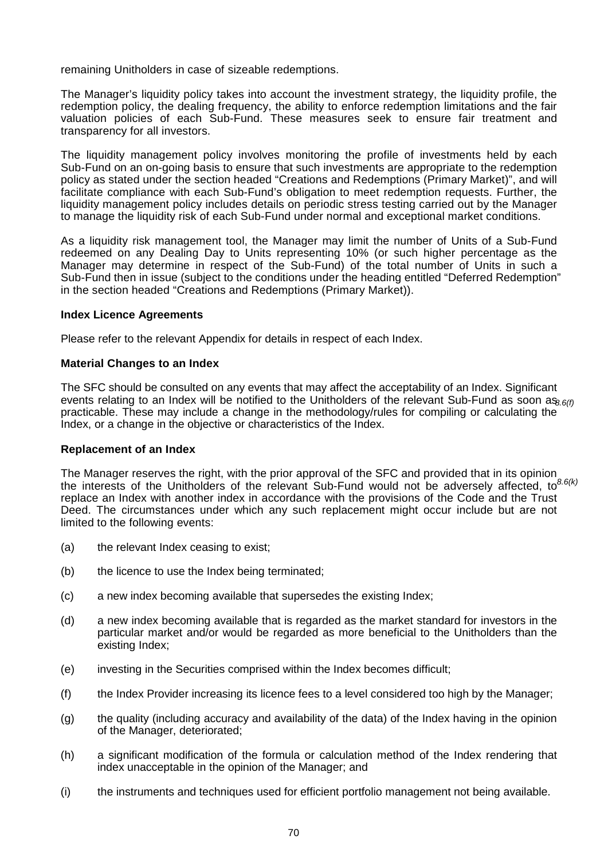remaining Unitholders in case of sizeable redemptions.

The Manager's liquidity policy takes into account the investment strategy, the liquidity profile, the redemption policy, the dealing frequency, the ability to enforce redemption limitations and the fair valuation policies of each Sub-Fund. These measures seek to ensure fair treatment and transparency for all investors.

The liquidity management policy involves monitoring the profile of investments held by each Sub-Fund on an on-going basis to ensure that such investments are appropriate to the redemption policy as stated under the section headed "Creations and Redemptions (Primary Market)", and will facilitate compliance with each Sub-Fund's obligation to meet redemption requests. Further, the liquidity management policy includes details on periodic stress testing carried out by the Manager to manage the liquidity risk of each Sub-Fund under normal and exceptional market conditions.

As a liquidity risk management tool, the Manager may limit the number of Units of a Sub-Fund redeemed on any Dealing Day to Units representing 10% (or such higher percentage as the Manager may determine in respect of the Sub-Fund) of the total number of Units in such a Sub-Fund then in issue (subject to the conditions under the heading entitled "Deferred Redemption" in the section headed "Creations and Redemptions (Primary Market)).

#### **Index Licence Agreements**

Please refer to the relevant Appendix for details in respect of each Index.

### **Material Changes to an Index**

The SFC should be consulted on any events that may affect the acceptability of an Index. Significant events relating to an Index will be notified to the Unitholders of the relevant Sub-Fund as soon as $_{8.6(f)}$ practicable. These may include a change in the methodology/rules for compiling or calculating the Index, or a change in the objective or characteristics of the Index.

#### **Replacement of an Index**

The Manager reserves the right, with the prior approval of the SFC and provided that in its opinion the interests of the Unitholders of the relevant Sub-Fund would not be adversely affected, to *8.6(k)*replace an Index with another index in accordance with the provisions of the Code and the Trust Deed. The circumstances under which any such replacement might occur include but are not limited to the following events:

- (a) the relevant Index ceasing to exist;
- (b) the licence to use the Index being terminated;
- (c) a new index becoming available that supersedes the existing Index;
- (d) a new index becoming available that is regarded as the market standard for investors in the particular market and/or would be regarded as more beneficial to the Unitholders than the existing Index;
- (e) investing in the Securities comprised within the Index becomes difficult;
- (f) the Index Provider increasing its licence fees to a level considered too high by the Manager;
- (g) the quality (including accuracy and availability of the data) of the Index having in the opinion of the Manager, deteriorated;
- (h) a significant modification of the formula or calculation method of the Index rendering that index unacceptable in the opinion of the Manager; and
- (i) the instruments and techniques used for efficient portfolio management not being available.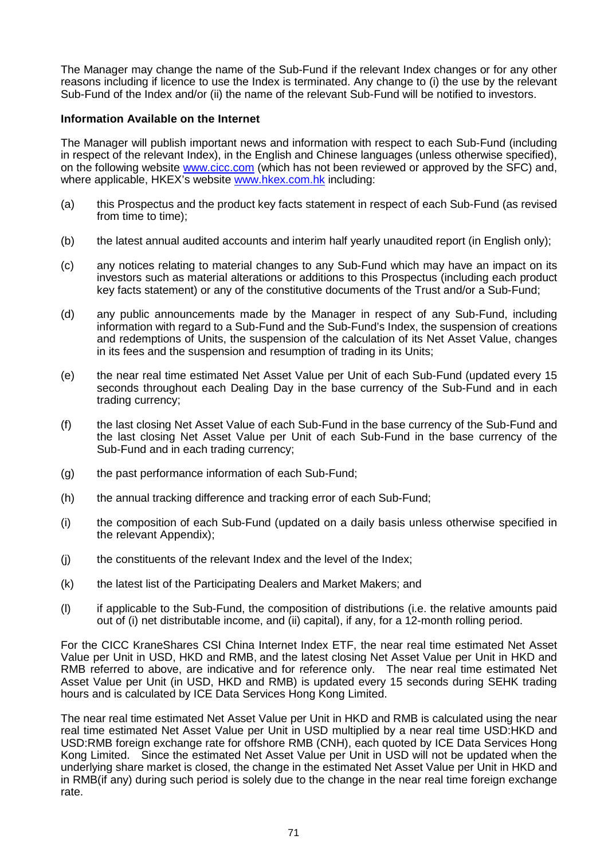The Manager may change the name of the Sub-Fund if the relevant Index changes or for any other reasons including if licence to use the Index is terminated. Any change to (i) the use by the relevant Sub-Fund of the Index and/or (ii) the name of the relevant Sub-Fund will be notified to investors.

### **Information Available on the Internet**

The Manager will publish important news and information with respect to each Sub-Fund (including in respect of the relevant Index), in the English and Chinese languages (unless otherwise specified), on the following website www.cicc.com (which has not been reviewed or approved by the SFC) and, where applicable, HKEX's website www.hkex.com.hk including:

- (a) this Prospectus and the product key facts statement in respect of each Sub-Fund (as revised from time to time);
- (b) the latest annual audited accounts and interim half yearly unaudited report (in English only);
- (c) any notices relating to material changes to any Sub-Fund which may have an impact on its investors such as material alterations or additions to this Prospectus (including each product key facts statement) or any of the constitutive documents of the Trust and/or a Sub-Fund;
- (d) any public announcements made by the Manager in respect of any Sub-Fund, including information with regard to a Sub-Fund and the Sub-Fund's Index, the suspension of creations and redemptions of Units, the suspension of the calculation of its Net Asset Value, changes in its fees and the suspension and resumption of trading in its Units;
- (e) the near real time estimated Net Asset Value per Unit of each Sub-Fund (updated every 15 seconds throughout each Dealing Day in the base currency of the Sub-Fund and in each trading currency;
- (f) the last closing Net Asset Value of each Sub-Fund in the base currency of the Sub-Fund and the last closing Net Asset Value per Unit of each Sub-Fund in the base currency of the Sub-Fund and in each trading currency;
- (g) the past performance information of each Sub-Fund;
- (h) the annual tracking difference and tracking error of each Sub-Fund;
- (i) the composition of each Sub-Fund (updated on a daily basis unless otherwise specified in the relevant Appendix);
- (j) the constituents of the relevant Index and the level of the Index;
- (k) the latest list of the Participating Dealers and Market Makers; and
- (l) if applicable to the Sub-Fund, the composition of distributions (i.e. the relative amounts paid out of (i) net distributable income, and (ii) capital), if any, for a 12-month rolling period.

For the CICC KraneShares CSI China Internet Index ETF, the near real time estimated Net Asset Value per Unit in USD, HKD and RMB, and the latest closing Net Asset Value per Unit in HKD and RMB referred to above, are indicative and for reference only. The near real time estimated Net Asset Value per Unit (in USD, HKD and RMB) is updated every 15 seconds during SEHK trading hours and is calculated by ICE Data Services Hong Kong Limited.

The near real time estimated Net Asset Value per Unit in HKD and RMB is calculated using the near real time estimated Net Asset Value per Unit in USD multiplied by a near real time USD:HKD and USD:RMB foreign exchange rate for offshore RMB (CNH), each quoted by ICE Data Services Hong Kong Limited. Since the estimated Net Asset Value per Unit in USD will not be updated when the underlying share market is closed, the change in the estimated Net Asset Value per Unit in HKD and in RMB(if any) during such period is solely due to the change in the near real time foreign exchange rate.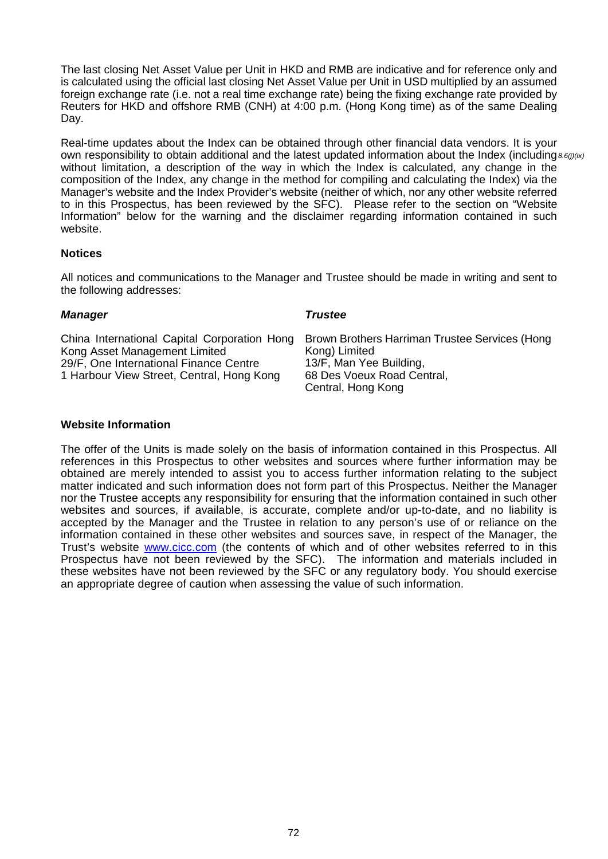The last closing Net Asset Value per Unit in HKD and RMB are indicative and for reference only and is calculated using the official last closing Net Asset Value per Unit in USD multiplied by an assumed foreign exchange rate (i.e. not a real time exchange rate) being the fixing exchange rate provided by Reuters for HKD and offshore RMB (CNH) at 4:00 p.m. (Hong Kong time) as of the same Dealing Day.

Real-time updates about the Index can be obtained through other financial data vendors. It is your own responsibility to obtain additional and the latest updated information about the Index (including 8.6(j)(ix, without limitation, a description of the way in which the Index is calculated, any change in the composition of the Index, any change in the method for compiling and calculating the Index) via the Manager's website and the Index Provider's website (neither of which, nor any other website referred to in this Prospectus, has been reviewed by the SFC). Please refer to the section on "Website Information" below for the warning and the disclaimer regarding information contained in such website.

### **Notices**

All notices and communications to the Manager and Trustee should be made in writing and sent to the following addresses:

### *Manager*

*Trustee*

China International Capital Corporation Hong Kong Asset Management Limited 29/F, One International Finance Centre 1 Harbour View Street, Central, Hong Kong

Brown Brothers Harriman Trustee Services (Hong Kong) Limited 13/F, Man Yee Building, 68 Des Voeux Road Central, Central, Hong Kong

# **Website Information**

The offer of the Units is made solely on the basis of information contained in this Prospectus. All references in this Prospectus to other websites and sources where further information may be obtained are merely intended to assist you to access further information relating to the subject matter indicated and such information does not form part of this Prospectus. Neither the Manager nor the Trustee accepts any responsibility for ensuring that the information contained in such other websites and sources, if available, is accurate, complete and/or up-to-date, and no liability is accepted by the Manager and the Trustee in relation to any person's use of or reliance on the information contained in these other websites and sources save, in respect of the Manager, the Trust's website www.cicc.com (the contents of which and of other websites referred to in this Prospectus have not been reviewed by the SFC). The information and materials included in these websites have not been reviewed by the SFC or any regulatory body. You should exercise an appropriate degree of caution when assessing the value of such information.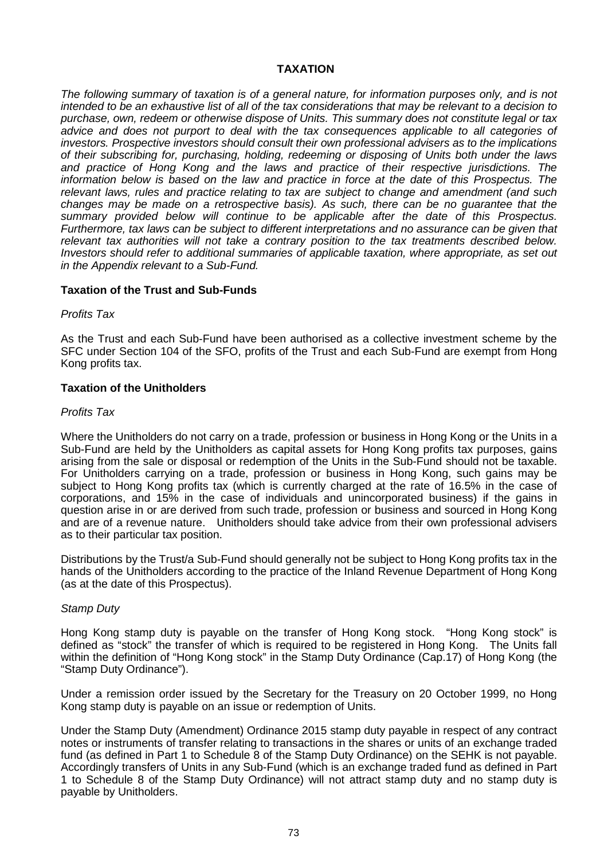### **TAXATION**

*The following summary of taxation is of a general nature, for information purposes only, and is not intended to be an exhaustive list of all of the tax considerations that may be relevant to a decision to purchase, own, redeem or otherwise dispose of Units. This summary does not constitute legal or tax advice and does not purport to deal with the tax consequences applicable to all categories of investors. Prospective investors should consult their own professional advisers as to the implications of their subscribing for, purchasing, holding, redeeming or disposing of Units both under the laws and practice of Hong Kong and the laws and practice of their respective jurisdictions. The information below is based on the law and practice in force at the date of this Prospectus. The relevant laws, rules and practice relating to tax are subject to change and amendment (and such changes may be made on a retrospective basis). As such, there can be no guarantee that the summary provided below will continue to be applicable after the date of this Prospectus. Furthermore, tax laws can be subject to different interpretations and no assurance can be given that relevant tax authorities will not take a contrary position to the tax treatments described below. Investors should refer to additional summaries of applicable taxation, where appropriate, as set out in the Appendix relevant to a Sub-Fund.*

### **Taxation of the Trust and Sub-Funds**

*Profits Tax*

As the Trust and each Sub-Fund have been authorised as a collective investment scheme by the SFC under Section 104 of the SFO, profits of the Trust and each Sub-Fund are exempt from Hong Kong profits tax.

#### **Taxation of the Unitholders**

#### *Profits Tax*

Where the Unitholders do not carry on a trade, profession or business in Hong Kong or the Units in a Sub-Fund are held by the Unitholders as capital assets for Hong Kong profits tax purposes, gains arising from the sale or disposal or redemption of the Units in the Sub-Fund should not be taxable. For Unitholders carrying on a trade, profession or business in Hong Kong, such gains may be subject to Hong Kong profits tax (which is currently charged at the rate of 16.5% in the case of corporations, and 15% in the case of individuals and unincorporated business) if the gains in question arise in or are derived from such trade, profession or business and sourced in Hong Kong and are of a revenue nature. Unitholders should take advice from their own professional advisers as to their particular tax position.

Distributions by the Trust/a Sub-Fund should generally not be subject to Hong Kong profits tax in the hands of the Unitholders according to the practice of the Inland Revenue Department of Hong Kong (as at the date of this Prospectus).

#### *Stamp Duty*

Hong Kong stamp duty is payable on the transfer of Hong Kong stock. "Hong Kong stock" is defined as "stock" the transfer of which is required to be registered in Hong Kong. The Units fall within the definition of "Hong Kong stock" in the Stamp Duty Ordinance (Cap.17) of Hong Kong (the "Stamp Duty Ordinance").

Under a remission order issued by the Secretary for the Treasury on 20 October 1999, no Hong Kong stamp duty is payable on an issue or redemption of Units.

Under the Stamp Duty (Amendment) Ordinance 2015 stamp duty payable in respect of any contract notes or instruments of transfer relating to transactions in the shares or units of an exchange traded fund (as defined in Part 1 to Schedule 8 of the Stamp Duty Ordinance) on the SEHK is not payable. Accordingly transfers of Units in any Sub-Fund (which is an exchange traded fund as defined in Part 1 to Schedule 8 of the Stamp Duty Ordinance) will not attract stamp duty and no stamp duty is payable by Unitholders.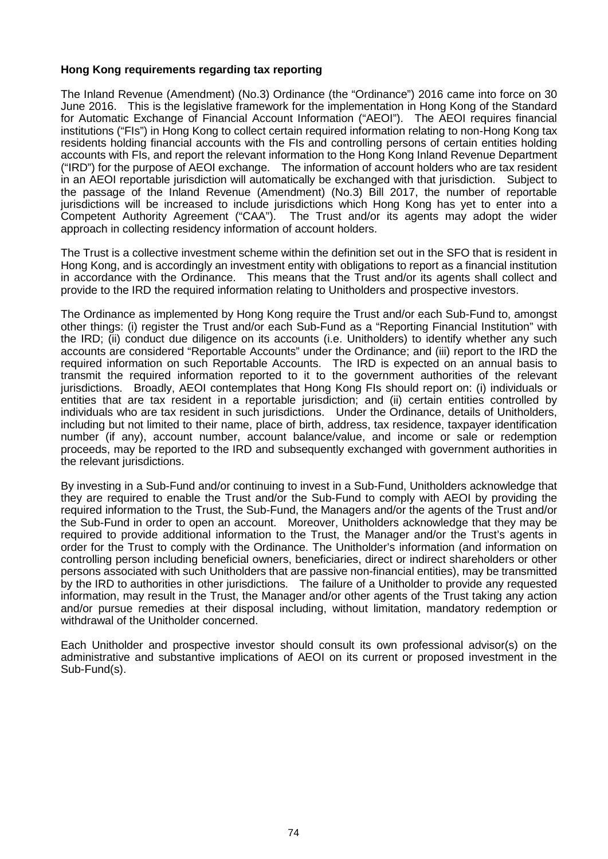### **Hong Kong requirements regarding tax reporting**

The Inland Revenue (Amendment) (No.3) Ordinance (the "Ordinance") 2016 came into force on 30 June 2016. This is the legislative framework for the implementation in Hong Kong of the Standard for Automatic Exchange of Financial Account Information ("AEOI"). The AEOI requires financial institutions ("FIs") in Hong Kong to collect certain required information relating to non-Hong Kong tax residents holding financial accounts with the FIs and controlling persons of certain entities holding accounts with FIs, and report the relevant information to the Hong Kong Inland Revenue Department ("IRD") for the purpose of AEOI exchange. The information of account holders who are tax resident in an AEOI reportable jurisdiction will automatically be exchanged with that jurisdiction. Subject to the passage of the Inland Revenue (Amendment) (No.3) Bill 2017, the number of reportable jurisdictions will be increased to include jurisdictions which Hong Kong has yet to enter into a Competent Authority Agreement ("CAA"). The Trust and/or its agents may adopt the wider approach in collecting residency information of account holders.

The Trust is a collective investment scheme within the definition set out in the SFO that is resident in Hong Kong, and is accordingly an investment entity with obligations to report as a financial institution in accordance with the Ordinance. This means that the Trust and/or its agents shall collect and provide to the IRD the required information relating to Unitholders and prospective investors.

The Ordinance as implemented by Hong Kong require the Trust and/or each Sub-Fund to, amongst other things: (i) register the Trust and/or each Sub-Fund as a "Reporting Financial Institution" with the IRD; (ii) conduct due diligence on its accounts (i.e. Unitholders) to identify whether any such accounts are considered "Reportable Accounts" under the Ordinance; and (iii) report to the IRD the required information on such Reportable Accounts. The IRD is expected on an annual basis to transmit the required information reported to it to the government authorities of the relevant jurisdictions. Broadly, AEOI contemplates that Hong Kong FIs should report on: (i) individuals or entities that are tax resident in a reportable jurisdiction; and (ii) certain entities controlled by individuals who are tax resident in such jurisdictions. Under the Ordinance, details of Unitholders, including but not limited to their name, place of birth, address, tax residence, taxpayer identification number (if any), account number, account balance/value, and income or sale or redemption proceeds, may be reported to the IRD and subsequently exchanged with government authorities in the relevant jurisdictions.

By investing in a Sub-Fund and/or continuing to invest in a Sub-Fund, Unitholders acknowledge that they are required to enable the Trust and/or the Sub-Fund to comply with AEOI by providing the required information to the Trust, the Sub-Fund, the Managers and/or the agents of the Trust and/or the Sub-Fund in order to open an account. Moreover, Unitholders acknowledge that they may be required to provide additional information to the Trust, the Manager and/or the Trust's agents in order for the Trust to comply with the Ordinance. The Unitholder's information (and information on controlling person including beneficial owners, beneficiaries, direct or indirect shareholders or other persons associated with such Unitholders that are passive non-financial entities), may be transmitted by the IRD to authorities in other jurisdictions. The failure of a Unitholder to provide any requested information, may result in the Trust, the Manager and/or other agents of the Trust taking any action and/or pursue remedies at their disposal including, without limitation, mandatory redemption or withdrawal of the Unitholder concerned.

Each Unitholder and prospective investor should consult its own professional advisor(s) on the administrative and substantive implications of AEOI on its current or proposed investment in the Sub-Fund(s).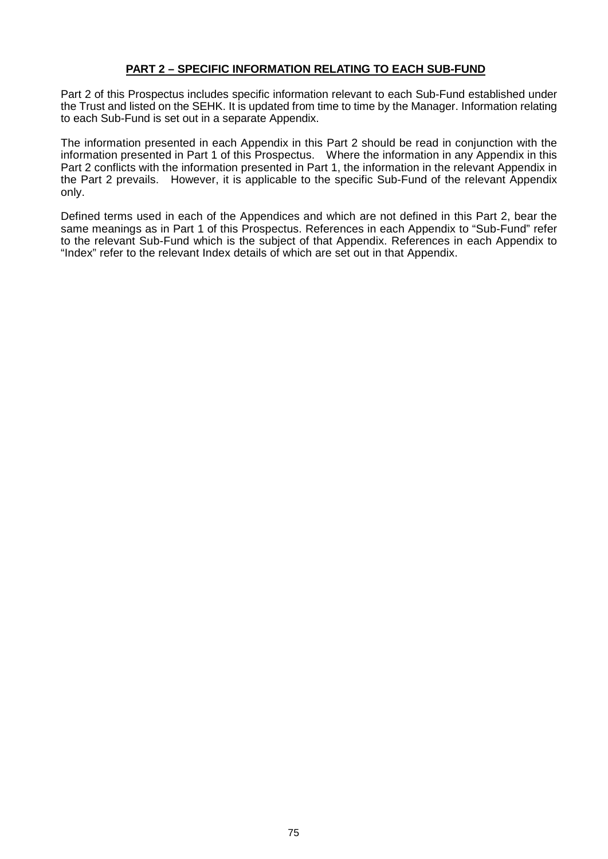# **PART 2 – SPECIFIC INFORMATION RELATING TO EACH SUB-FUND**

Part 2 of this Prospectus includes specific information relevant to each Sub-Fund established under the Trust and listed on the SEHK. It is updated from time to time by the Manager. Information relating to each Sub-Fund is set out in a separate Appendix.

The information presented in each Appendix in this Part 2 should be read in conjunction with the information presented in Part 1 of this Prospectus. Where the information in any Appendix in this Part 2 conflicts with the information presented in Part 1, the information in the relevant Appendix in the Part 2 prevails. However, it is applicable to the specific Sub-Fund of the relevant Appendix only.

Defined terms used in each of the Appendices and which are not defined in this Part 2, bear the same meanings as in Part 1 of this Prospectus. References in each Appendix to "Sub-Fund" refer to the relevant Sub-Fund which is the subject of that Appendix. References in each Appendix to "Index" refer to the relevant Index details of which are set out in that Appendix.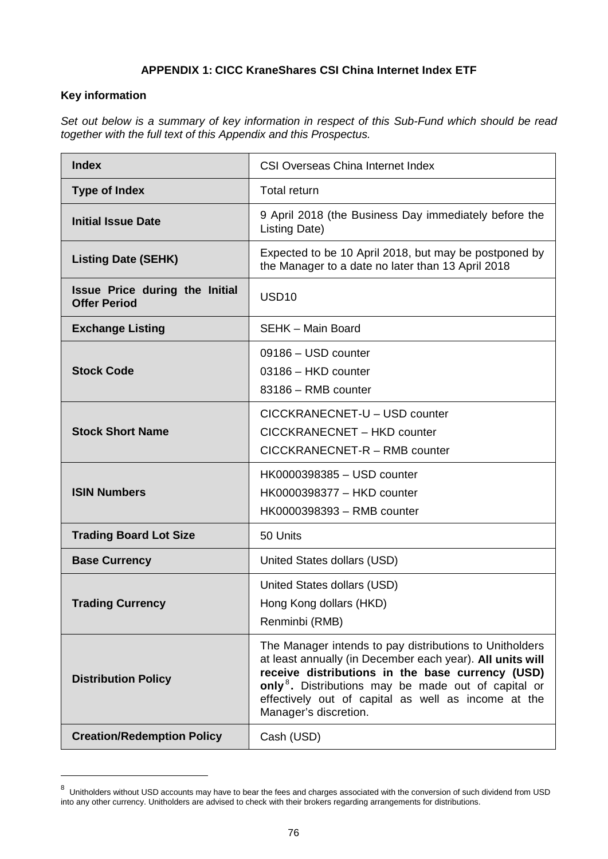# **APPENDIX 1: CICC KraneShares CSI China Internet Index ETF**

# **Key information**

 $\overline{a}$ 

*Set out below is a summary of key information in respect of this Sub-Fund which should be read together with the full text of this Appendix and this Prospectus.*

| <b>Index</b>                                          | <b>CSI Overseas China Internet Index</b>                                                                                                                                                                                                                                                                                    |  |
|-------------------------------------------------------|-----------------------------------------------------------------------------------------------------------------------------------------------------------------------------------------------------------------------------------------------------------------------------------------------------------------------------|--|
| <b>Type of Index</b>                                  | <b>Total return</b>                                                                                                                                                                                                                                                                                                         |  |
| <b>Initial Issue Date</b>                             | 9 April 2018 (the Business Day immediately before the<br>Listing Date)                                                                                                                                                                                                                                                      |  |
| <b>Listing Date (SEHK)</b>                            | Expected to be 10 April 2018, but may be postponed by<br>the Manager to a date no later than 13 April 2018                                                                                                                                                                                                                  |  |
| Issue Price during the Initial<br><b>Offer Period</b> | USD <sub>10</sub>                                                                                                                                                                                                                                                                                                           |  |
| <b>Exchange Listing</b>                               | SEHK - Main Board                                                                                                                                                                                                                                                                                                           |  |
| <b>Stock Code</b>                                     | 09186 - USD counter<br>03186 - HKD counter<br>83186 - RMB counter                                                                                                                                                                                                                                                           |  |
| <b>Stock Short Name</b>                               | CICCKRANECNET-U - USD counter<br>CICCKRANECNET - HKD counter<br>CICCKRANECNET-R - RMB counter                                                                                                                                                                                                                               |  |
| <b>ISIN Numbers</b>                                   | HK0000398385 - USD counter<br>HK0000398377 - HKD counter<br>HK0000398393 - RMB counter                                                                                                                                                                                                                                      |  |
| <b>Trading Board Lot Size</b>                         | 50 Units                                                                                                                                                                                                                                                                                                                    |  |
| <b>Base Currency</b>                                  | United States dollars (USD)                                                                                                                                                                                                                                                                                                 |  |
| <b>Trading Currency</b>                               | United States dollars (USD)<br>Hong Kong dollars (HKD)<br>Renminbi (RMB)                                                                                                                                                                                                                                                    |  |
| <b>Distribution Policy</b>                            | The Manager intends to pay distributions to Unitholders<br>at least annually (in December each year). All units will<br>receive distributions in the base currency (USD)<br>only <sup>8</sup> . Distributions may be made out of capital or<br>effectively out of capital as well as income at the<br>Manager's discretion. |  |
| <b>Creation/Redemption Policy</b>                     | Cash (USD)                                                                                                                                                                                                                                                                                                                  |  |

<sup>&</sup>lt;sup>8</sup> Unitholders without USD accounts may have to bear the fees and charges associated with the conversion of such dividend from USD into any other currency. Unitholders are advised to check with their brokers regarding arrangements for distributions.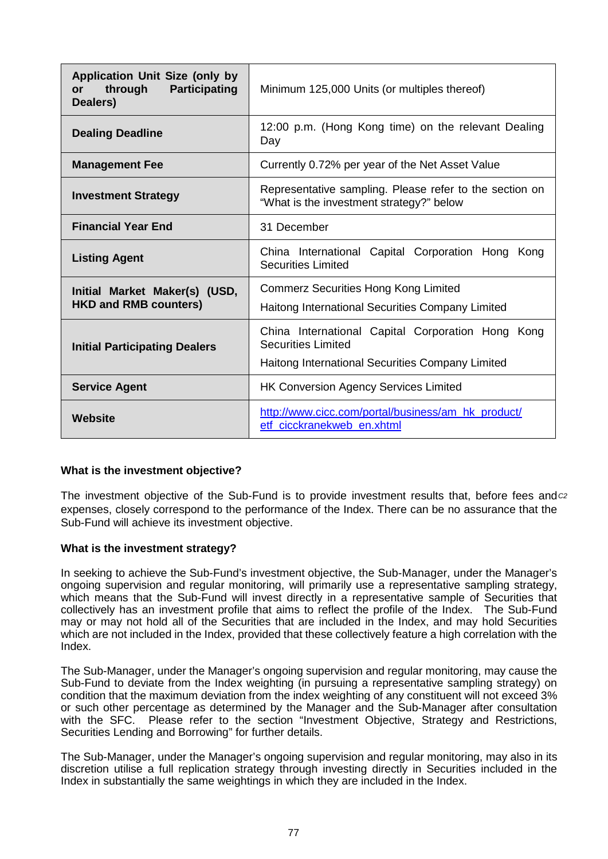| <b>Application Unit Size (only by</b><br>through<br><b>Participating</b><br>or<br>Dealers) | Minimum 125,000 Units (or multiples thereof)                                                                                       |  |
|--------------------------------------------------------------------------------------------|------------------------------------------------------------------------------------------------------------------------------------|--|
| <b>Dealing Deadline</b>                                                                    | 12:00 p.m. (Hong Kong time) on the relevant Dealing<br>Day                                                                         |  |
| <b>Management Fee</b>                                                                      | Currently 0.72% per year of the Net Asset Value                                                                                    |  |
| <b>Investment Strategy</b>                                                                 | Representative sampling. Please refer to the section on<br>"What is the investment strategy?" below                                |  |
| <b>Financial Year End</b>                                                                  | 31 December                                                                                                                        |  |
| <b>Listing Agent</b>                                                                       | China International Capital Corporation Hong Kong<br><b>Securities Limited</b>                                                     |  |
| Initial Market Maker(s) (USD,<br><b>HKD and RMB counters)</b>                              | <b>Commerz Securities Hong Kong Limited</b><br>Haitong International Securities Company Limited                                    |  |
| <b>Initial Participating Dealers</b>                                                       | China International Capital Corporation Hong Kong<br><b>Securities Limited</b><br>Haitong International Securities Company Limited |  |
| <b>Service Agent</b>                                                                       | <b>HK Conversion Agency Services Limited</b>                                                                                       |  |
| Website                                                                                    | http://www.cicc.com/portal/business/am_hk_product/<br>etf_cicckranekweb_en.xhtml                                                   |  |

# **What is the investment objective?**

The investment objective of the Sub-Fund is to provide investment results that, before fees and *C2*expenses, closely correspond to the performance of the Index. There can be no assurance that the Sub-Fund will achieve its investment objective.

#### **What is the investment strategy?**

In seeking to achieve the Sub-Fund's investment objective, the Sub-Manager, under the Manager's ongoing supervision and regular monitoring, will primarily use a representative sampling strategy, which means that the Sub-Fund will invest directly in a representative sample of Securities that collectively has an investment profile that aims to reflect the profile of the Index. The Sub-Fund may or may not hold all of the Securities that are included in the Index, and may hold Securities which are not included in the Index, provided that these collectively feature a high correlation with the Index.

The Sub-Manager, under the Manager's ongoing supervision and regular monitoring, may cause the Sub-Fund to deviate from the Index weighting (in pursuing a representative sampling strategy) on condition that the maximum deviation from the index weighting of any constituent will not exceed 3% or such other percentage as determined by the Manager and the Sub-Manager after consultation with the SFC. Please refer to the section "Investment Objective, Strategy and Restrictions, Securities Lending and Borrowing" for further details.

The Sub-Manager, under the Manager's ongoing supervision and regular monitoring, may also in its discretion utilise a full replication strategy through investing directly in Securities included in the Index in substantially the same weightings in which they are included in the Index.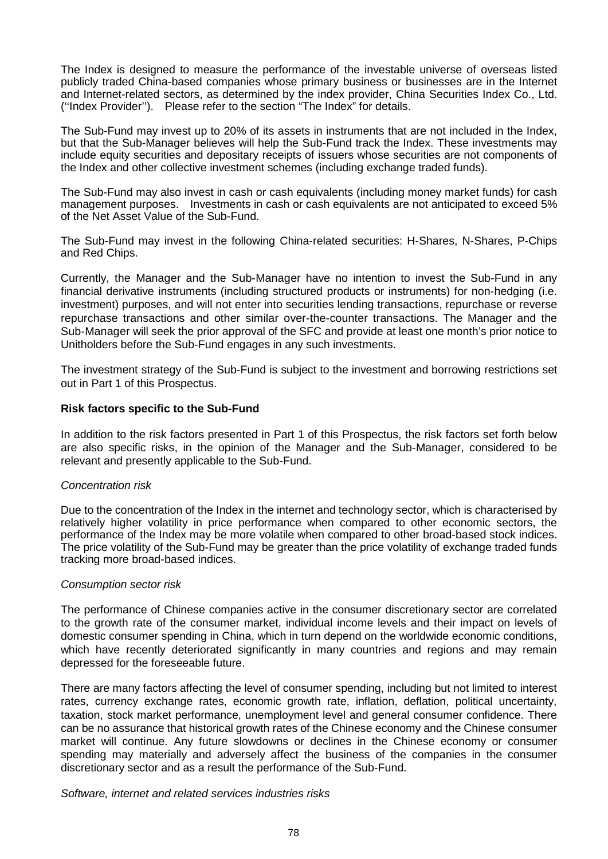The Index is designed to measure the performance of the investable universe of overseas listed publicly traded China-based companies whose primary business or businesses are in the Internet and Internet-related sectors, as determined by the index provider, China Securities Index Co., Ltd. (''Index Provider''). Please refer to the section "The Index" for details.

The Sub-Fund may invest up to 20% of its assets in instruments that are not included in the Index, but that the Sub-Manager believes will help the Sub-Fund track the Index. These investments may include equity securities and depositary receipts of issuers whose securities are not components of the Index and other collective investment schemes (including exchange traded funds).

The Sub-Fund may also invest in cash or cash equivalents (including money market funds) for cash management purposes. Investments in cash or cash equivalents are not anticipated to exceed 5% of the Net Asset Value of the Sub-Fund.

The Sub-Fund may invest in the following China-related securities: H-Shares, N-Shares, P-Chips and Red Chips.

Currently, the Manager and the Sub-Manager have no intention to invest the Sub-Fund in any financial derivative instruments (including structured products or instruments) for non-hedging (i.e. investment) purposes, and will not enter into securities lending transactions, repurchase or reverse repurchase transactions and other similar over-the-counter transactions. The Manager and the Sub-Manager will seek the prior approval of the SFC and provide at least one month's prior notice to Unitholders before the Sub-Fund engages in any such investments.

The investment strategy of the Sub-Fund is subject to the investment and borrowing restrictions set out in Part 1 of this Prospectus.

### **Risk factors specific to the Sub-Fund**

In addition to the risk factors presented in Part 1 of this Prospectus, the risk factors set forth below are also specific risks, in the opinion of the Manager and the Sub-Manager, considered to be relevant and presently applicable to the Sub-Fund.

# *Concentration risk*

Due to the concentration of the Index in the internet and technology sector, which is characterised by relatively higher volatility in price performance when compared to other economic sectors, the performance of the Index may be more volatile when compared to other broad-based stock indices. The price volatility of the Sub-Fund may be greater than the price volatility of exchange traded funds tracking more broad-based indices.

#### *Consumption sector risk*

The performance of Chinese companies active in the consumer discretionary sector are correlated to the growth rate of the consumer market, individual income levels and their impact on levels of domestic consumer spending in China, which in turn depend on the worldwide economic conditions, which have recently deteriorated significantly in many countries and regions and may remain depressed for the foreseeable future.

There are many factors affecting the level of consumer spending, including but not limited to interest rates, currency exchange rates, economic growth rate, inflation, deflation, political uncertainty, taxation, stock market performance, unemployment level and general consumer confidence. There can be no assurance that historical growth rates of the Chinese economy and the Chinese consumer market will continue. Any future slowdowns or declines in the Chinese economy or consumer spending may materially and adversely affect the business of the companies in the consumer discretionary sector and as a result the performance of the Sub-Fund.

*Software, internet and related services industries risks*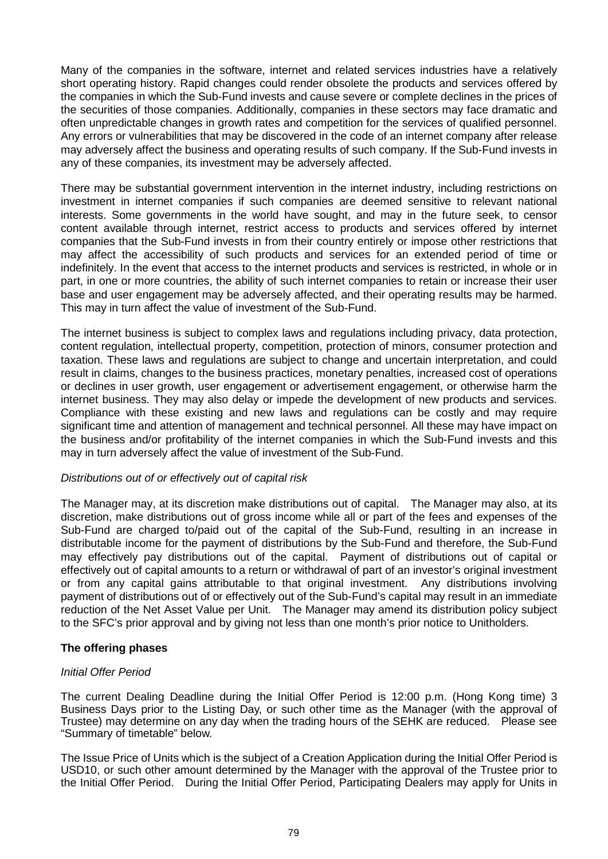Many of the companies in the software, internet and related services industries have a relatively short operating history. Rapid changes could render obsolete the products and services offered by the companies in which the Sub-Fund invests and cause severe or complete declines in the prices of the securities of those companies. Additionally, companies in these sectors may face dramatic and often unpredictable changes in growth rates and competition for the services of qualified personnel. Any errors or vulnerabilities that may be discovered in the code of an internet company after release may adversely affect the business and operating results of such company. If the Sub-Fund invests in any of these companies, its investment may be adversely affected.

There may be substantial government intervention in the internet industry, including restrictions on investment in internet companies if such companies are deemed sensitive to relevant national interests. Some governments in the world have sought, and may in the future seek, to censor content available through internet, restrict access to products and services offered by internet companies that the Sub-Fund invests in from their country entirely or impose other restrictions that may affect the accessibility of such products and services for an extended period of time or indefinitely. In the event that access to the internet products and services is restricted, in whole or in part, in one or more countries, the ability of such internet companies to retain or increase their user base and user engagement may be adversely affected, and their operating results may be harmed. This may in turn affect the value of investment of the Sub-Fund.

The internet business is subject to complex laws and regulations including privacy, data protection, content regulation, intellectual property, competition, protection of minors, consumer protection and taxation. These laws and regulations are subject to change and uncertain interpretation, and could result in claims, changes to the business practices, monetary penalties, increased cost of operations or declines in user growth, user engagement or advertisement engagement, or otherwise harm the internet business. They may also delay or impede the development of new products and services. Compliance with these existing and new laws and regulations can be costly and may require significant time and attention of management and technical personnel. All these may have impact on the business and/or profitability of the internet companies in which the Sub-Fund invests and this may in turn adversely affect the value of investment of the Sub-Fund.

# *Distributions out of or effectively out of capital risk*

The Manager may, at its discretion make distributions out of capital. The Manager may also, at its discretion, make distributions out of gross income while all or part of the fees and expenses of the Sub-Fund are charged to/paid out of the capital of the Sub-Fund, resulting in an increase in distributable income for the payment of distributions by the Sub-Fund and therefore, the Sub-Fund may effectively pay distributions out of the capital. Payment of distributions out of capital or effectively out of capital amounts to a return or withdrawal of part of an investor's original investment or from any capital gains attributable to that original investment. Any distributions involving payment of distributions out of or effectively out of the Sub-Fund's capital may result in an immediate reduction of the Net Asset Value per Unit. The Manager may amend its distribution policy subject to the SFC's prior approval and by giving not less than one month's prior notice to Unitholders.

# **The offering phases**

#### *Initial Offer Period*

The current Dealing Deadline during the Initial Offer Period is 12:00 p.m. (Hong Kong time) 3 Business Days prior to the Listing Day, or such other time as the Manager (with the approval of Trustee) may determine on any day when the trading hours of the SEHK are reduced. Please see "Summary of timetable" below.

The Issue Price of Units which is the subject of a Creation Application during the Initial Offer Period is USD10, or such other amount determined by the Manager with the approval of the Trustee prior to the Initial Offer Period. During the Initial Offer Period, Participating Dealers may apply for Units in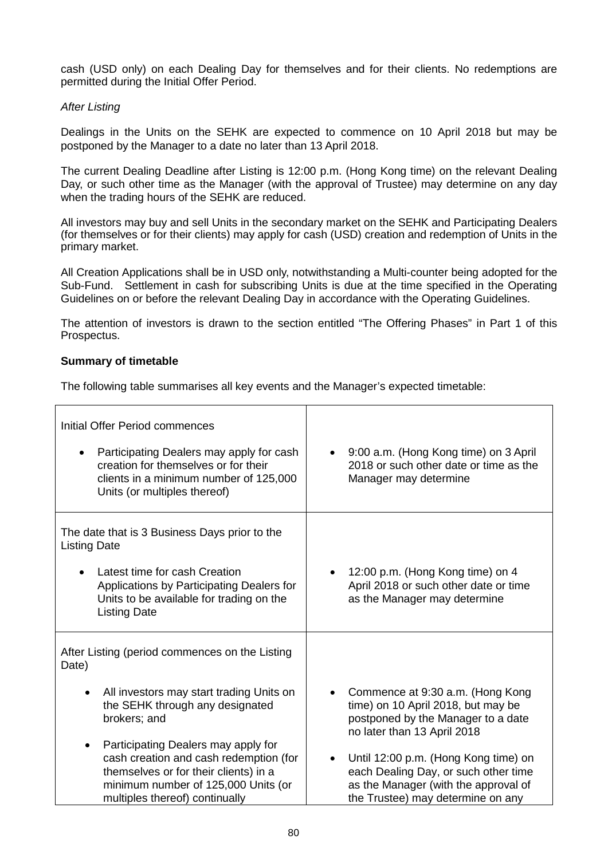cash (USD only) on each Dealing Day for themselves and for their clients. No redemptions are permitted during the Initial Offer Period.

### *After Listing*

Dealings in the Units on the SEHK are expected to commence on 10 April 2018 but may be postponed by the Manager to a date no later than 13 April 2018.

The current Dealing Deadline after Listing is 12:00 p.m. (Hong Kong time) on the relevant Dealing Day, or such other time as the Manager (with the approval of Trustee) may determine on any day when the trading hours of the SEHK are reduced.

All investors may buy and sell Units in the secondary market on the SEHK and Participating Dealers (for themselves or for their clients) may apply for cash (USD) creation and redemption of Units in the primary market.

All Creation Applications shall be in USD only, notwithstanding a Multi-counter being adopted for the Sub-Fund. Settlement in cash for subscribing Units is due at the time specified in the Operating Guidelines on or before the relevant Dealing Day in accordance with the Operating Guidelines.

The attention of investors is drawn to the section entitled "The Offering Phases" in Part 1 of this Prospectus.

### **Summary of timetable**

The following table summarises all key events and the Manager's expected timetable:

| Initial Offer Period commences<br>Participating Dealers may apply for cash<br>$\bullet$<br>creation for themselves or for their<br>clients in a minimum number of 125,000<br>Units (or multiples thereof)                                                                                                                                                                           | 9:00 a.m. (Hong Kong time) on 3 April<br>$\bullet$<br>2018 or such other date or time as the<br>Manager may determine                                                                                                                                                                                    |  |  |
|-------------------------------------------------------------------------------------------------------------------------------------------------------------------------------------------------------------------------------------------------------------------------------------------------------------------------------------------------------------------------------------|----------------------------------------------------------------------------------------------------------------------------------------------------------------------------------------------------------------------------------------------------------------------------------------------------------|--|--|
| The date that is 3 Business Days prior to the<br><b>Listing Date</b><br>Latest time for cash Creation<br>Applications by Participating Dealers for<br>Units to be available for trading on the<br><b>Listing Date</b>                                                                                                                                                               | 12:00 p.m. (Hong Kong time) on 4<br>April 2018 or such other date or time<br>as the Manager may determine                                                                                                                                                                                                |  |  |
| After Listing (period commences on the Listing<br>Date)<br>All investors may start trading Units on<br>$\bullet$<br>the SEHK through any designated<br>brokers; and<br>Participating Dealers may apply for<br>$\bullet$<br>cash creation and cash redemption (for<br>themselves or for their clients) in a<br>minimum number of 125,000 Units (or<br>multiples thereof) continually | Commence at 9:30 a.m. (Hong Kong<br>time) on 10 April 2018, but may be<br>postponed by the Manager to a date<br>no later than 13 April 2018<br>Until 12:00 p.m. (Hong Kong time) on<br>each Dealing Day, or such other time<br>as the Manager (with the approval of<br>the Trustee) may determine on any |  |  |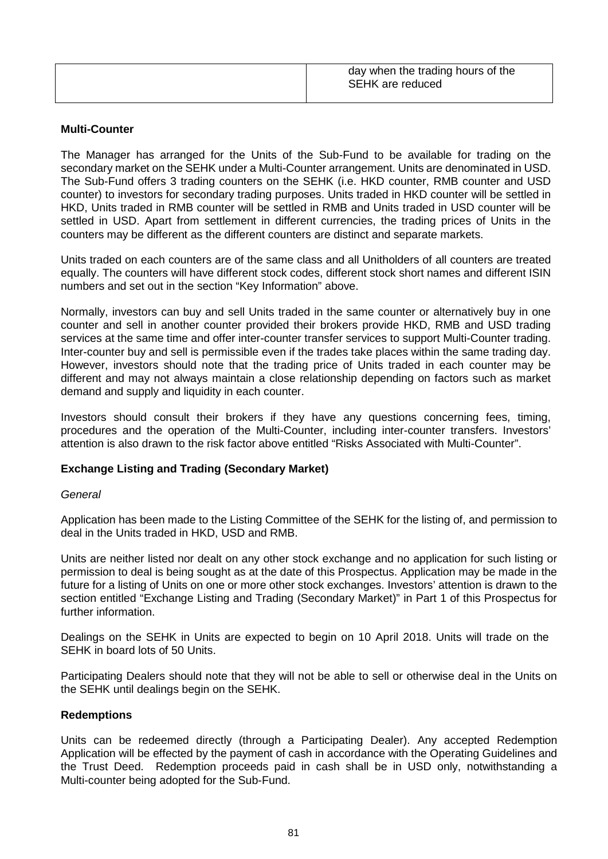| day when the trading hours of the<br><b>SEHK</b> are reduced |
|--------------------------------------------------------------|
|                                                              |

# **Multi-Counter**

The Manager has arranged for the Units of the Sub-Fund to be available for trading on the secondary market on the SEHK under a Multi-Counter arrangement. Units are denominated in USD. The Sub-Fund offers 3 trading counters on the SEHK (i.e. HKD counter, RMB counter and USD counter) to investors for secondary trading purposes. Units traded in HKD counter will be settled in HKD, Units traded in RMB counter will be settled in RMB and Units traded in USD counter will be settled in USD. Apart from settlement in different currencies, the trading prices of Units in the counters may be different as the different counters are distinct and separate markets.

Units traded on each counters are of the same class and all Unitholders of all counters are treated equally. The counters will have different stock codes, different stock short names and different ISIN numbers and set out in the section "Key Information" above.

Normally, investors can buy and sell Units traded in the same counter or alternatively buy in one counter and sell in another counter provided their brokers provide HKD, RMB and USD trading services at the same time and offer inter-counter transfer services to support Multi-Counter trading. Inter-counter buy and sell is permissible even if the trades take places within the same trading day. However, investors should note that the trading price of Units traded in each counter may be different and may not always maintain a close relationship depending on factors such as market demand and supply and liquidity in each counter.

Investors should consult their brokers if they have any questions concerning fees, timing, procedures and the operation of the Multi-Counter, including inter-counter transfers. Investors' attention is also drawn to the risk factor above entitled "Risks Associated with Multi-Counter".

# **Exchange Listing and Trading (Secondary Market)**

# *General*

Application has been made to the Listing Committee of the SEHK for the listing of, and permission to deal in the Units traded in HKD, USD and RMB.

Units are neither listed nor dealt on any other stock exchange and no application for such listing or permission to deal is being sought as at the date of this Prospectus. Application may be made in the future for a listing of Units on one or more other stock exchanges. Investors' attention is drawn to the section entitled "Exchange Listing and Trading (Secondary Market)" in Part 1 of this Prospectus for further information.

Dealings on the SEHK in Units are expected to begin on 10 April 2018. Units will trade on the SEHK in board lots of 50 Units.

Participating Dealers should note that they will not be able to sell or otherwise deal in the Units on the SEHK until dealings begin on the SEHK.

# **Redemptions**

Units can be redeemed directly (through a Participating Dealer). Any accepted Redemption Application will be effected by the payment of cash in accordance with the Operating Guidelines and the Trust Deed. Redemption proceeds paid in cash shall be in USD only, notwithstanding a Multi-counter being adopted for the Sub-Fund.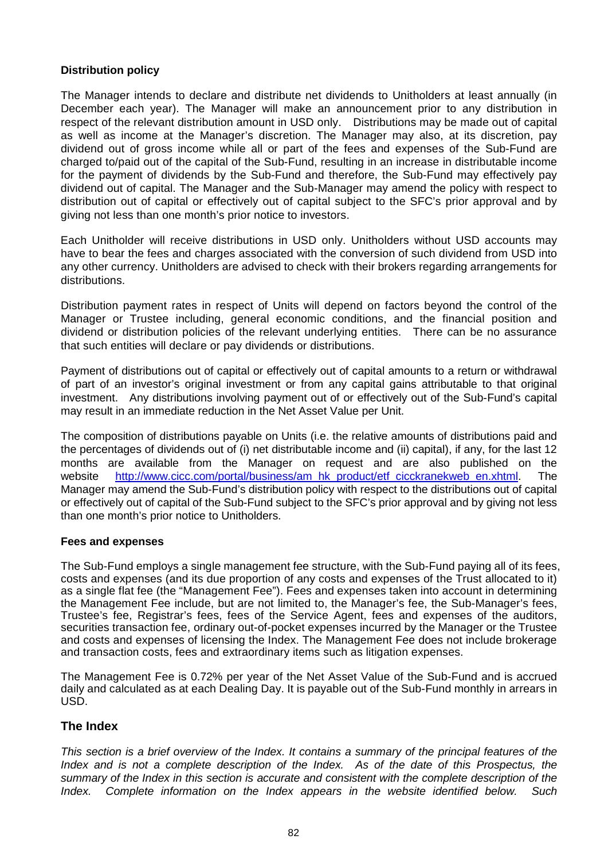# **Distribution policy**

The Manager intends to declare and distribute net dividends to Unitholders at least annually (in December each year). The Manager will make an announcement prior to any distribution in respect of the relevant distribution amount in USD only. Distributions may be made out of capital as well as income at the Manager's discretion. The Manager may also, at its discretion, pay dividend out of gross income while all or part of the fees and expenses of the Sub-Fund are charged to/paid out of the capital of the Sub-Fund, resulting in an increase in distributable income for the payment of dividends by the Sub-Fund and therefore, the Sub-Fund may effectively pay dividend out of capital. The Manager and the Sub-Manager may amend the policy with respect to distribution out of capital or effectively out of capital subject to the SFC's prior approval and by giving not less than one month's prior notice to investors.

Each Unitholder will receive distributions in USD only. Unitholders without USD accounts may have to bear the fees and charges associated with the conversion of such dividend from USD into any other currency. Unitholders are advised to check with their brokers regarding arrangements for distributions.

Distribution payment rates in respect of Units will depend on factors beyond the control of the Manager or Trustee including, general economic conditions, and the financial position and dividend or distribution policies of the relevant underlying entities. There can be no assurance that such entities will declare or pay dividends or distributions.

Payment of distributions out of capital or effectively out of capital amounts to a return or withdrawal of part of an investor's original investment or from any capital gains attributable to that original investment. Any distributions involving payment out of or effectively out of the Sub-Fund's capital may result in an immediate reduction in the Net Asset Value per Unit.

The composition of distributions payable on Units (i.e. the relative amounts of distributions paid and the percentages of dividends out of (i) net distributable income and (ii) capital), if any, for the last 12 months are available from the Manager on request and are also published on the website http://www.cicc.com/portal/business/am\_hk\_product/etf\_cicckranekweb\_en.xhtml. The Manager may amend the Sub-Fund's distribution policy with respect to the distributions out of capital or effectively out of capital of the Sub-Fund subject to the SFC's prior approval and by giving not less than one month's prior notice to Unitholders.

# **Fees and expenses**

The Sub-Fund employs a single management fee structure, with the Sub-Fund paying all of its fees, costs and expenses (and its due proportion of any costs and expenses of the Trust allocated to it) as a single flat fee (the "Management Fee"). Fees and expenses taken into account in determining the Management Fee include, but are not limited to, the Manager's fee, the Sub-Manager's fees, Trustee's fee, Registrar's fees, fees of the Service Agent, fees and expenses of the auditors, securities transaction fee, ordinary out-of-pocket expenses incurred by the Manager or the Trustee and costs and expenses of licensing the Index. The Management Fee does not include brokerage and transaction costs, fees and extraordinary items such as litigation expenses.

The Management Fee is 0.72% per year of the Net Asset Value of the Sub-Fund and is accrued daily and calculated as at each Dealing Day. It is payable out of the Sub-Fund monthly in arrears in USD.

# **The Index**

*This section is a brief overview of the Index. It contains a summary of the principal features of the Index and is not a complete description of the Index. As of the date of this Prospectus, the summary of the Index in this section is accurate and consistent with the complete description of the Index. Complete information on the Index appears in the website identified below. Such*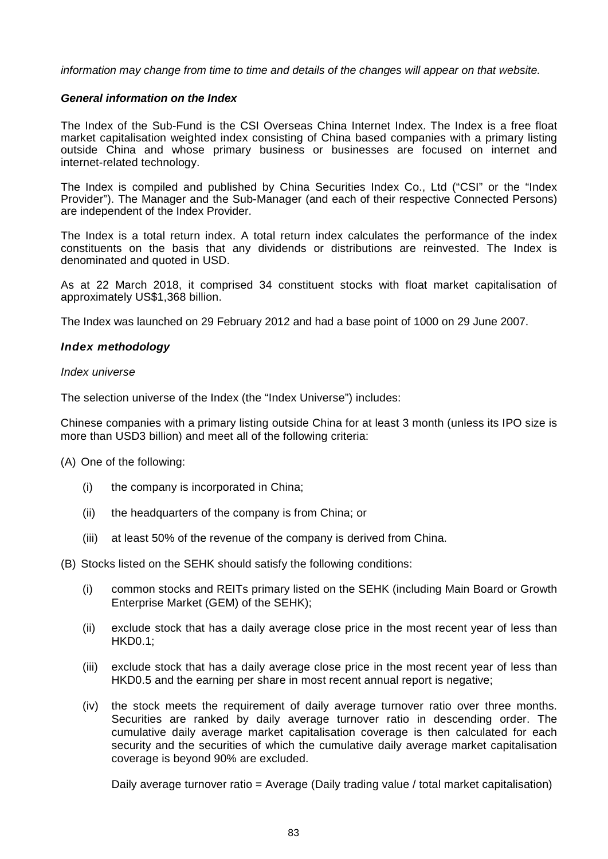*information may change from time to time and details of the changes will appear on that website.*

### *General information on the Index*

The Index of the Sub-Fund is the CSI Overseas China Internet Index. The Index is a free float market capitalisation weighted index consisting of China based companies with a primary listing outside China and whose primary business or businesses are focused on internet and internet-related technology.

The Index is compiled and published by China Securities Index Co., Ltd ("CSI" or the "Index Provider"). The Manager and the Sub-Manager (and each of their respective Connected Persons) are independent of the Index Provider.

The Index is a total return index. A total return index calculates the performance of the index constituents on the basis that any dividends or distributions are reinvested. The Index is denominated and quoted in USD.

As at 22 March 2018, it comprised 34 constituent stocks with float market capitalisation of approximately US\$1,368 billion.

The Index was launched on 29 February 2012 and had a base point of 1000 on 29 June 2007.

### *Index methodology*

#### *Index universe*

The selection universe of the Index (the "Index Universe") includes:

Chinese companies with a primary listing outside China for at least 3 month (unless its IPO size is more than USD3 billion) and meet all of the following criteria:

(A) One of the following:

- (i) the company is incorporated in China;
- (ii) the headquarters of the company is from China; or
- (iii) at least 50% of the revenue of the company is derived from China.

(B) Stocks listed on the SEHK should satisfy the following conditions:

- (i) common stocks and REITs primary listed on the SEHK (including Main Board or Growth Enterprise Market (GEM) of the SEHK);
- (ii) exclude stock that has a daily average close price in the most recent year of less than HKD0.1;
- (iii) exclude stock that has a daily average close price in the most recent year of less than HKD0.5 and the earning per share in most recent annual report is negative:
- (iv) the stock meets the requirement of daily average turnover ratio over three months. Securities are ranked by daily average turnover ratio in descending order. The cumulative daily average market capitalisation coverage is then calculated for each security and the securities of which the cumulative daily average market capitalisation coverage is beyond 90% are excluded.

Daily average turnover ratio = Average (Daily trading value / total market capitalisation)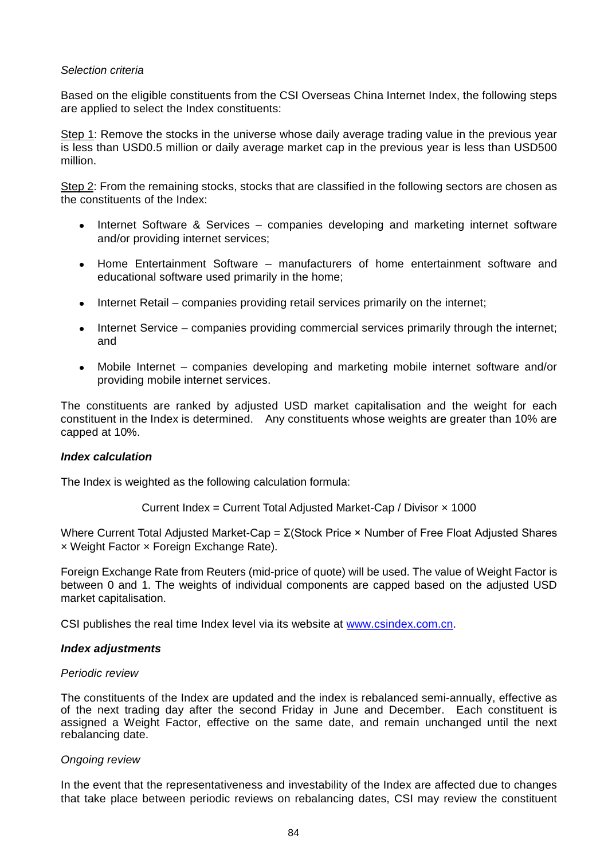#### *Selection criteria*

Based on the eligible constituents from the CSI Overseas China Internet Index, the following steps are applied to select the Index constituents:

Step 1: Remove the stocks in the universe whose daily average trading value in the previous year is less than USD0.5 million or daily average market cap in the previous year is less than USD500 million.

Step 2: From the remaining stocks, stocks that are classified in the following sectors are chosen as the constituents of the Index:

- Internet Software & Services companies developing and marketing internet software and/or providing internet services;
- Home Entertainment Software manufacturers of home entertainment software and educational software used primarily in the home;
- Internet Retail companies providing retail services primarily on the internet;
- Internet Service companies providing commercial services primarily through the internet; and
- Mobile Internet companies developing and marketing mobile internet software and/or providing mobile internet services.

The constituents are ranked by adjusted USD market capitalisation and the weight for each constituent in the Index is determined. Any constituents whose weights are greater than 10% are capped at 10%.

#### *Index calculation*

The Index is weighted as the following calculation formula:

Current Index = Current Total Adjusted Market-Cap / Divisor × 1000

Where Current Total Adjusted Market-Cap =  $Σ(Stock Price × Number of Free Floating Adjusted Shares)$ × Weight Factor × Foreign Exchange Rate).

Foreign Exchange Rate from Reuters (mid-price of quote) will be used. The value of Weight Factor is between 0 and 1. The weights of individual components are capped based on the adjusted USD market capitalisation.

CSI publishes the real time Index level via its website at www.csindex.com.cn.

#### *Index adjustments*

#### *Periodic review*

The constituents of the Index are updated and the index is rebalanced semi-annually, effective as of the next trading day after the second Friday in June and December. Each constituent is assigned a Weight Factor, effective on the same date, and remain unchanged until the next rebalancing date.

# *Ongoing review*

In the event that the representativeness and investability of the Index are affected due to changes that take place between periodic reviews on rebalancing dates, CSI may review the constituent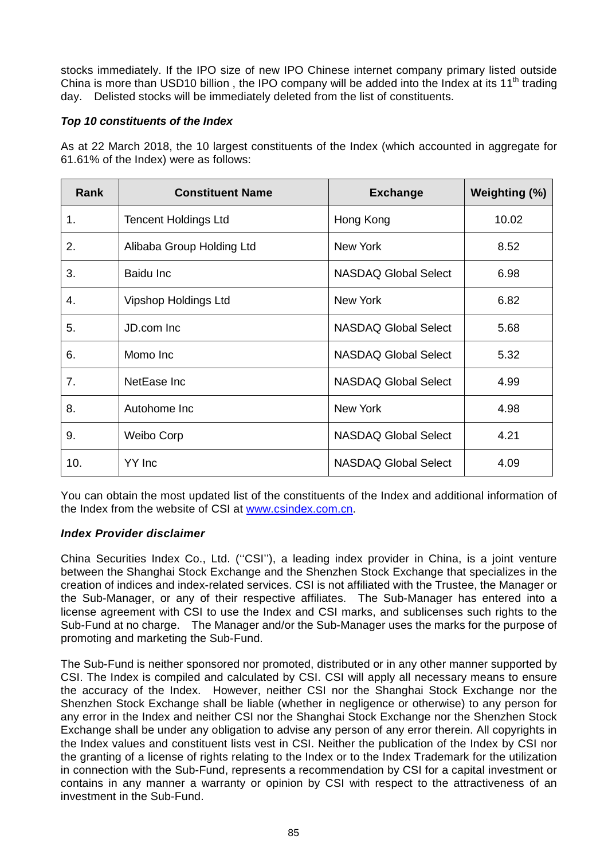stocks immediately. If the IPO size of new IPO Chinese internet company primary listed outside China is more than USD10 billion, the IPO company will be added into the Index at its  $11<sup>th</sup>$  trading day. Delisted stocks will be immediately deleted from the list of constituents.

# *Top 10 constituents of the Index*

As at 22 March 2018, the 10 largest constituents of the Index (which accounted in aggregate for 61.61% of the Index) were as follows:

| Rank | <b>Constituent Name</b>     | <b>Exchange</b>             | Weighting (%) |
|------|-----------------------------|-----------------------------|---------------|
| 1.   | <b>Tencent Holdings Ltd</b> | Hong Kong                   | 10.02         |
| 2.   | Alibaba Group Holding Ltd   | <b>New York</b>             | 8.52          |
| 3.   | Baidu Inc                   | NASDAQ Global Select        | 6.98          |
| 4.   | Vipshop Holdings Ltd        | <b>New York</b>             | 6.82          |
| 5.   | JD.com Inc                  | <b>NASDAQ Global Select</b> | 5.68          |
| 6.   | Momo Inc                    | <b>NASDAQ Global Select</b> | 5.32          |
| 7.   | NetEase Inc                 | <b>NASDAQ Global Select</b> | 4.99          |
| 8.   | Autohome Inc                | <b>New York</b>             | 4.98          |
| 9.   | Weibo Corp                  | <b>NASDAQ Global Select</b> | 4.21          |
| 10.  | YY Inc                      | <b>NASDAQ Global Select</b> | 4.09          |

You can obtain the most updated list of the constituents of the Index and additional information of the Index from the website of CSI at www.csindex.com.cn.

# *Index Provider disclaimer*

China Securities Index Co., Ltd. (''CSI''), a leading index provider in China, is a joint venture between the Shanghai Stock Exchange and the Shenzhen Stock Exchange that specializes in the creation of indices and index-related services. CSI is not affiliated with the Trustee, the Manager or the Sub-Manager, or any of their respective affiliates. The Sub-Manager has entered into a license agreement with CSI to use the Index and CSI marks, and sublicenses such rights to the Sub-Fund at no charge. The Manager and/or the Sub-Manager uses the marks for the purpose of promoting and marketing the Sub-Fund.

The Sub-Fund is neither sponsored nor promoted, distributed or in any other manner supported by CSI. The Index is compiled and calculated by CSI. CSI will apply all necessary means to ensure the accuracy of the Index. However, neither CSI nor the Shanghai Stock Exchange nor the Shenzhen Stock Exchange shall be liable (whether in negligence or otherwise) to any person for any error in the Index and neither CSI nor the Shanghai Stock Exchange nor the Shenzhen Stock Exchange shall be under any obligation to advise any person of any error therein. All copyrights in the Index values and constituent lists vest in CSI. Neither the publication of the Index by CSI nor the granting of a license of rights relating to the Index or to the Index Trademark for the utilization in connection with the Sub-Fund, represents a recommendation by CSI for a capital investment or contains in any manner a warranty or opinion by CSI with respect to the attractiveness of an investment in the Sub-Fund.